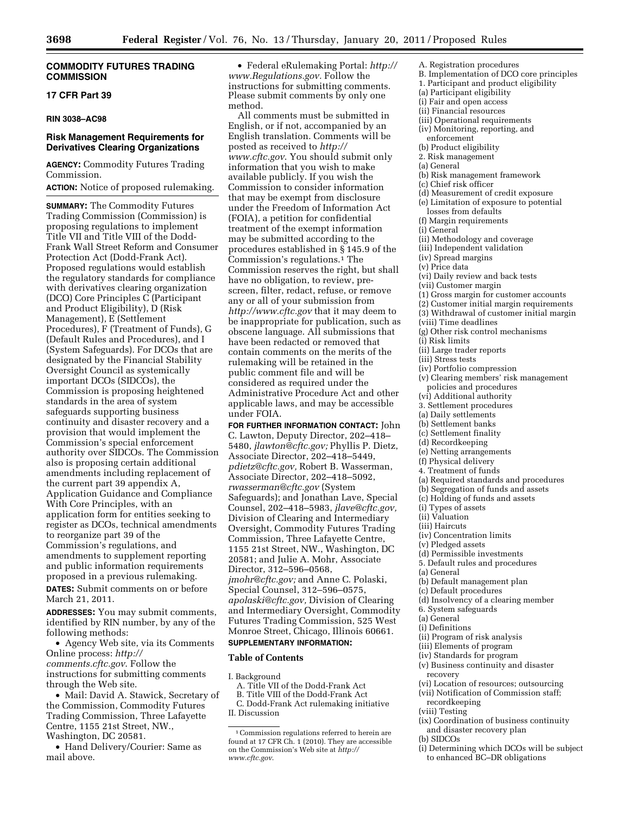### **COMMODITY FUTURES TRADING COMMISSION**

#### **17 CFR Part 39**

#### **RIN 3038–AC98**

### **Risk Management Requirements for Derivatives Clearing Organizations**

**AGENCY:** Commodity Futures Trading Commission.

**ACTION:** Notice of proposed rulemaking.

**SUMMARY:** The Commodity Futures Trading Commission (Commission) is proposing regulations to implement Title VII and Title VIII of the Dodd-Frank Wall Street Reform and Consumer Protection Act (Dodd-Frank Act). Proposed regulations would establish the regulatory standards for compliance with derivatives clearing organization (DCO) Core Principles C (Participant and Product Eligibility), D (Risk Management), E (Settlement Procedures), F (Treatment of Funds), G (Default Rules and Procedures), and I (System Safeguards). For DCOs that are designated by the Financial Stability Oversight Council as systemically important DCOs (SIDCOs), the Commission is proposing heightened standards in the area of system safeguards supporting business continuity and disaster recovery and a provision that would implement the Commission's special enforcement authority over SIDCOs. The Commission also is proposing certain additional amendments including replacement of the current part 39 appendix A, Application Guidance and Compliance With Core Principles, with an application form for entities seeking to register as DCOs, technical amendments to reorganize part 39 of the Commission's regulations, and amendments to supplement reporting and public information requirements proposed in a previous rulemaking.

**DATES:** Submit comments on or before March 21, 2011.

**ADDRESSES:** You may submit comments, identified by RIN number, by any of the following methods:

• Agency Web site, via its Comments Online process: *[http://](http://comments.cftc.gov) [comments.cftc.gov](http://comments.cftc.gov)*. Follow the instructions for submitting comments through the Web site.

• Mail: David A. Stawick, Secretary of the Commission, Commodity Futures Trading Commission, Three Lafayette Centre, 1155 21st Street, NW., Washington, DC 20581.

• Hand Delivery/Courier: Same as mail above.

• Federal eRulemaking Portal: *[http://](http://www.Regulations.gov) [www.Regulations.gov.](http://www.Regulations.gov)* Follow the instructions for submitting comments. Please submit comments by only one method.

All comments must be submitted in English, or if not, accompanied by an English translation. Comments will be posted as received to *[http://](http://www.cftc.gov) [www.cftc.gov](http://www.cftc.gov)*. You should submit only information that you wish to make available publicly. If you wish the Commission to consider information that may be exempt from disclosure under the Freedom of Information Act (FOIA), a petition for confidential treatment of the exempt information may be submitted according to the procedures established in § 145.9 of the Commission's regulations.<sup>1</sup> The Commission reserves the right, but shall have no obligation, to review, prescreen, filter, redact, refuse, or remove any or all of your submission from *<http://www.cftc.gov>* that it may deem to be inappropriate for publication, such as obscene language. All submissions that have been redacted or removed that contain comments on the merits of the rulemaking will be retained in the public comment file and will be considered as required under the Administrative Procedure Act and other applicable laws, and may be accessible under FOIA.

**FOR FURTHER INFORMATION CONTACT:** John C. Lawton, Deputy Director, 202–418– 5480, *[jlawton@cftc.gov;](mailto:jlawton@cftc.gov)* Phyllis P. Dietz, Associate Director, 202–418–5449, *[pdietz@cftc.gov,](mailto:pdietz@cftc.gov)* Robert B. Wasserman, Associate Director, 202–418–5092, *[rwasserman@cftc.gov](mailto:rwasserman@cftc.gov)* (System Safeguards); and Jonathan Lave, Special Counsel, 202–418–5983, *[jlave@cftc.gov,](mailto:jlave@cftc.gov)*  Division of Clearing and Intermediary Oversight, Commodity Futures Trading Commission, Three Lafayette Centre, 1155 21st Street, NW., Washington, DC 20581; and Julie A. Mohr, Associate Director, 312–596–0568, *[jmohr@cftc.gov;](mailto:jmohr@cftc.gov)* and Anne C. Polaski, Special Counsel, 312–596–0575, *[apolaski@cftc.gov,](mailto:apolaski@cftc.gov)* Division of Clearing and Intermediary Oversight, Commodity Futures Trading Commission, 525 West Monroe Street, Chicago, Illinois 60661.

# **SUPPLEMENTARY INFORMATION:**

### **Table of Contents**

I. Background

A. Title VII of the Dodd-Frank Act B. Title VIII of the Dodd-Frank Act

C. Dodd-Frank Act rulemaking initiative II. Discussion

- A. Registration procedures
- B. Implementation of DCO core principles
- 1. Participant and product eligibility
- (a) Participant eligibility
- (i) Fair and open access
- (ii) Financial resources
- (iii) Operational requirements
- (iv) Monitoring, reporting, and
- enforcement
- (b) Product eligibility 2. Risk management
- (a) General
- (b) Risk management framework
- (c) Chief risk officer
- (d) Measurement of credit exposure
- (e) Limitation of exposure to potential
- losses from defaults
- (f) Margin requirements
- (i) General
- (ii) Methodology and coverage
- (iii) Independent validation
- (iv) Spread margins
- (v) Price data
- (vi) Daily review and back tests
- (vii) Customer margin
- (1) Gross margin for customer accounts
- (2) Customer initial margin requirements
- (3) Withdrawal of customer initial margin
- (viii) Time deadlines
- (g) Other risk control mechanisms
- (i) Risk limits
- (ii) Large trader reports
- (iii) Stress tests
- (iv) Portfolio compression
- (v) Clearing members' risk management policies and procedures
- (vi) Additional authority
- 3. Settlement procedures
- (a) Daily settlements
- (b) Settlement banks
- (c) Settlement finality
- (d) Recordkeeping
- (e) Netting arrangements
- (f) Physical delivery
- 4. Treatment of funds
- (a) Required standards and procedures
- (b) Segregation of funds and assets
- (c) Holding of funds and assets
- (i) Types of assets (ii) Valuation
- (iii) Haircuts
- (iv) Concentration limits
- (v) Pledged assets
- (d) Permissible investments
- 
- 5. Default rules and procedures
- (a) General
- (b) Default management plan
- (c) Default procedures
- (d) Insolvency of a clearing member
- 6. System safeguards
- (a) General
- (i) Definitions
- (ii) Program of risk analysis
- (iii) Elements of program
- (iv) Standards for program
- (v) Business continuity and disaster recovery
- (vi) Location of resources; outsourcing
- (vii) Notification of Commission staff;
- recordkeeping
- (viii) Testing
- (ix) Coordination of business continuity and disaster recovery plan
- (b) SIDCOs
- (i) Determining which DCOs will be subject to enhanced BC–DR obligations

<sup>1</sup>Commission regulations referred to herein are found at 17 CFR Ch. 1 (2010). They are accessible on the Commission's Web site at *[http://](http://www.cftc.gov) [www.cftc.gov](http://www.cftc.gov)*.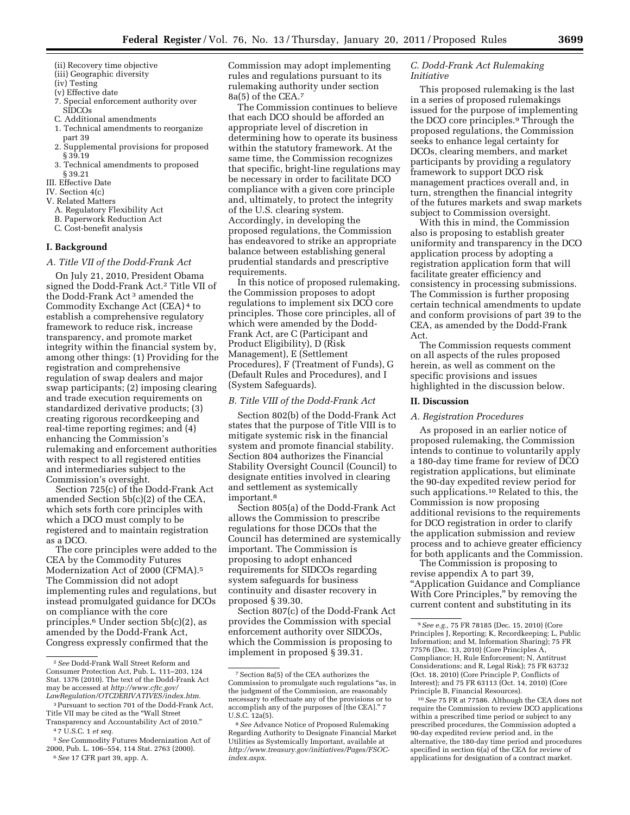- (iii) Geographic diversity
- (iv) Testing
- (v) Effective date
- 7. Special enforcement authority over SIDCOs
- C. Additional amendments
- 1. Technical amendments to reorganize part 39 2. Supplemental provisions for proposed
- § 39.19 3. Technical amendments to proposed
- § 39.21
- III. Effective Date
- IV. Section 4(c)
- V. Related Matters
	- A. Regulatory Flexibility Act
	- B. Paperwork Reduction Act
	- C. Cost-benefit analysis

### **I. Background**

#### *A. Title VII of the Dodd-Frank Act*

On July 21, 2010, President Obama signed the Dodd-Frank Act.2 Title VII of the Dodd-Frank Act 3 amended the Commodity Exchange Act (CEA) 4 to establish a comprehensive regulatory framework to reduce risk, increase transparency, and promote market integrity within the financial system by, among other things: (1) Providing for the registration and comprehensive regulation of swap dealers and major swap participants; (2) imposing clearing and trade execution requirements on standardized derivative products; (3) creating rigorous recordkeeping and real-time reporting regimes; and (4) enhancing the Commission's rulemaking and enforcement authorities with respect to all registered entities and intermediaries subject to the Commission's oversight.

Section 725(c) of the Dodd-Frank Act amended Section 5b(c)(2) of the CEA, which sets forth core principles with which a DCO must comply to be registered and to maintain registration as a DCO.

The core principles were added to the CEA by the Commodity Futures Modernization Act of 2000 (CFMA).5 The Commission did not adopt implementing rules and regulations, but instead promulgated guidance for DCOs on compliance with the core principles.6 Under section 5b(c)(2), as amended by the Dodd-Frank Act, Congress expressly confirmed that the

6*See* 17 CFR part 39, app. A.

Commission may adopt implementing rules and regulations pursuant to its rulemaking authority under section 8a(5) of the CEA.7

The Commission continues to believe that each DCO should be afforded an appropriate level of discretion in determining how to operate its business within the statutory framework. At the same time, the Commission recognizes that specific, bright-line regulations may be necessary in order to facilitate DCO compliance with a given core principle and, ultimately, to protect the integrity of the U.S. clearing system. Accordingly, in developing the proposed regulations, the Commission has endeavored to strike an appropriate balance between establishing general prudential standards and prescriptive requirements.

In this notice of proposed rulemaking, the Commission proposes to adopt regulations to implement six DCO core principles. Those core principles, all of which were amended by the Dodd-Frank Act, are C (Participant and Product Eligibility), D (Risk Management), E (Settlement Procedures), F (Treatment of Funds), G (Default Rules and Procedures), and I (System Safeguards).

### *B. Title VIII of the Dodd-Frank Act*

Section 802(b) of the Dodd-Frank Act states that the purpose of Title VIII is to mitigate systemic risk in the financial system and promote financial stability. Section 804 authorizes the Financial Stability Oversight Council (Council) to designate entities involved in clearing and settlement as systemically important.<sup>8</sup>

Section 805(a) of the Dodd-Frank Act allows the Commission to prescribe regulations for those DCOs that the Council has determined are systemically important. The Commission is proposing to adopt enhanced requirements for SIDCOs regarding system safeguards for business continuity and disaster recovery in proposed § 39.30.

Section 807(c) of the Dodd-Frank Act provides the Commission with special enforcement authority over SIDCOs, which the Commission is proposing to implement in proposed § 39.31.

# *C. Dodd-Frank Act Rulemaking Initiative*

This proposed rulemaking is the last in a series of proposed rulemakings issued for the purpose of implementing the DCO core principles.9 Through the proposed regulations, the Commission seeks to enhance legal certainty for DCOs, clearing members, and market participants by providing a regulatory framework to support DCO risk management practices overall and, in turn, strengthen the financial integrity of the futures markets and swap markets subject to Commission oversight.

With this in mind, the Commission also is proposing to establish greater uniformity and transparency in the DCO application process by adopting a registration application form that will facilitate greater efficiency and consistency in processing submissions. The Commission is further proposing certain technical amendments to update and conform provisions of part 39 to the CEA, as amended by the Dodd-Frank Act.

The Commission requests comment on all aspects of the rules proposed herein, as well as comment on the specific provisions and issues highlighted in the discussion below.

### **II. Discussion**

### *A. Registration Procedures*

As proposed in an earlier notice of proposed rulemaking, the Commission intends to continue to voluntarily apply a 180-day time frame for review of DCO registration applications, but eliminate the 90-day expedited review period for such applications.10 Related to this, the Commission is now proposing additional revisions to the requirements for DCO registration in order to clarify the application submission and review process and to achieve greater efficiency for both applicants and the Commission.

The Commission is proposing to revise appendix A to part 39, ''Application Guidance and Compliance With Core Principles,'' by removing the current content and substituting in its

<sup>2</sup>*See* Dodd-Frank Wall Street Reform and Consumer Protection Act, Pub. L. 111–203, 124 Stat. 1376 (2010). The text of the Dodd-Frank Act may be accessed at *[http://www.cftc.gov/](http://www.cftc.gov/LawRegulation/OTCDERIVATIVES/index.htm) [LawRegulation/OTCDERIVATIVES/index.htm.](http://www.cftc.gov/LawRegulation/OTCDERIVATIVES/index.htm)* 

<sup>3</sup>Pursuant to section 701 of the Dodd-Frank Act, Title VII may be cited as the ''Wall Street Transparency and Accountability Act of 2010.''

<sup>4</sup> 7 U.S.C. 1 *et seq.* 

<sup>5</sup>*See* Commodity Futures Modernization Act of 2000, Pub. L. 106–554, 114 Stat. 2763 (2000).

<sup>7</sup>Section 8a(5) of the CEA authorizes the Commission to promulgate such regulations ''as, in the judgment of the Commission, are reasonably necessary to effectuate any of the provisions or to accomplish any of the purposes of [the CEA].'' 7 U.S.C. 12a(5).

<sup>8</sup>*See* Advance Notice of Proposed Rulemaking Regarding Authority to Designate Financial Market Utilities as Systemically Important, available at *[http://www.treasury.gov/initiatives/Pages/FSOC](http://www.treasury.gov/initiatives/Pages/FSOC-index.aspx)[index.aspx](http://www.treasury.gov/initiatives/Pages/FSOC-index.aspx)*.

<sup>9</sup>*See e.g.,* 75 FR 78185 (Dec. 15, 2010) (Core Principles J, Reporting; K, Recordkeeping; L, Public Information; and M, Information Sharing); 75 FR 77576 (Dec. 13, 2010) (Core Principles A, Compliance; H, Rule Enforcement; N, Antitrust Considerations; and R, Legal Risk); 75 FR 63732 (Oct. 18, 2010) (Core Principle P, Conflicts of Interest); and 75 FR 63113 (Oct. 14, 2010) (Core Principle B, Financial Resources).

<sup>10</sup>*See* 75 FR at 77586. Although the CEA does not require the Commission to review DCO applications within a prescribed time period or subject to any prescribed procedures, the Commission adopted a 90-day expedited review period and, in the alternative, the 180-day time period and procedures specified in section 6(a) of the CEA for review of applications for designation of a contract market.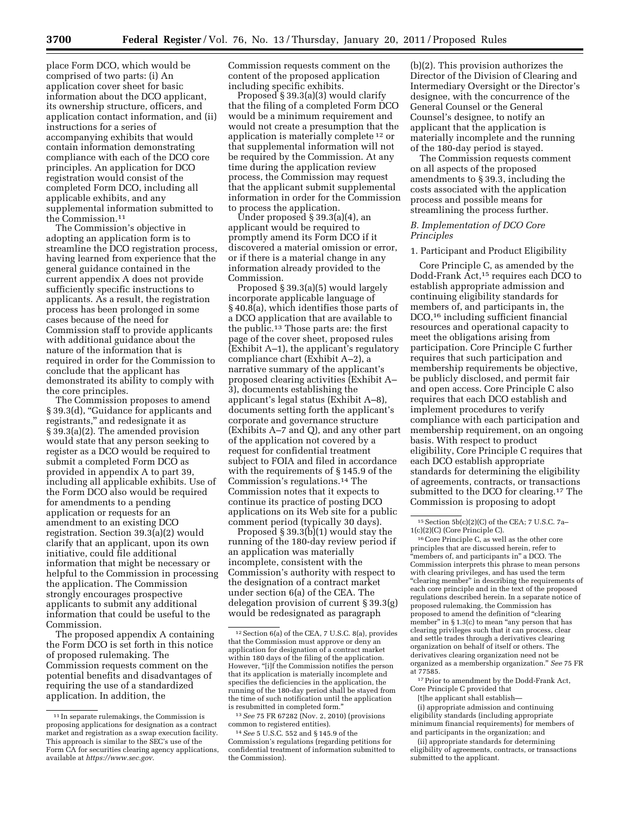place Form DCO, which would be comprised of two parts: (i) An application cover sheet for basic information about the DCO applicant, its ownership structure, officers, and application contact information, and (ii) instructions for a series of accompanying exhibits that would contain information demonstrating compliance with each of the DCO core principles. An application for DCO registration would consist of the completed Form DCO, including all applicable exhibits, and any supplemental information submitted to the Commission.11

The Commission's objective in adopting an application form is to streamline the DCO registration process, having learned from experience that the general guidance contained in the current appendix A does not provide sufficiently specific instructions to applicants. As a result, the registration process has been prolonged in some cases because of the need for Commission staff to provide applicants with additional guidance about the nature of the information that is required in order for the Commission to conclude that the applicant has demonstrated its ability to comply with the core principles.

The Commission proposes to amend § 39.3(d), ''Guidance for applicants and registrants,'' and redesignate it as § 39.3(a)(2). The amended provision would state that any person seeking to register as a DCO would be required to submit a completed Form DCO as provided in appendix A to part 39, including all applicable exhibits. Use of the Form DCO also would be required for amendments to a pending application or requests for an amendment to an existing DCO registration. Section 39.3(a)(2) would clarify that an applicant, upon its own initiative, could file additional information that might be necessary or helpful to the Commission in processing the application. The Commission strongly encourages prospective applicants to submit any additional information that could be useful to the Commission.

The proposed appendix A containing the Form DCO is set forth in this notice of proposed rulemaking. The Commission requests comment on the potential benefits and disadvantages of requiring the use of a standardized application. In addition, the

Commission requests comment on the content of the proposed application including specific exhibits.

Proposed § 39.3(a)(3) would clarify that the filing of a completed Form DCO would be a minimum requirement and would not create a presumption that the application is materially complete 12 or that supplemental information will not be required by the Commission. At any time during the application review process, the Commission may request that the applicant submit supplemental information in order for the Commission to process the application.

Under proposed § 39.3(a)(4), an applicant would be required to promptly amend its Form DCO if it discovered a material omission or error, or if there is a material change in any information already provided to the Commission.

Proposed § 39.3(a)(5) would largely incorporate applicable language of § 40.8(a), which identifies those parts of a DCO application that are available to the public.13 Those parts are: the first page of the cover sheet, proposed rules (Exhibit A–1), the applicant's regulatory compliance chart (Exhibit A–2), a narrative summary of the applicant's proposed clearing activities (Exhibit A– 3), documents establishing the applicant's legal status (Exhibit A–8), documents setting forth the applicant's corporate and governance structure (Exhibits A–7 and Q), and any other part of the application not covered by a request for confidential treatment subject to FOIA and filed in accordance with the requirements of § 145.9 of the Commission's regulations.14 The Commission notes that it expects to continue its practice of posting DCO applications on its Web site for a public comment period (typically 30 days).

Proposed  $\S 39.3(b)(1)$  would stay the running of the 180-day review period if an application was materially incomplete, consistent with the Commission's authority with respect to the designation of a contract market under section 6(a) of the CEA. The delegation provision of current § 39.3(g) would be redesignated as paragraph

(b)(2). This provision authorizes the Director of the Division of Clearing and Intermediary Oversight or the Director's designee, with the concurrence of the General Counsel or the General Counsel's designee, to notify an applicant that the application is materially incomplete and the running of the 180-day period is stayed.

The Commission requests comment on all aspects of the proposed amendments to § 39.3, including the costs associated with the application process and possible means for streamlining the process further.

# *B. Implementation of DCO Core Principles*

#### 1. Participant and Product Eligibility

Core Principle C, as amended by the Dodd-Frank Act,15 requires each DCO to establish appropriate admission and continuing eligibility standards for members of, and participants in, the DCO,16 including sufficient financial resources and operational capacity to meet the obligations arising from participation. Core Principle C further requires that such participation and membership requirements be objective, be publicly disclosed, and permit fair and open access. Core Principle C also requires that each DCO establish and implement procedures to verify compliance with each participation and membership requirement, on an ongoing basis. With respect to product eligibility, Core Principle C requires that each DCO establish appropriate standards for determining the eligibility of agreements, contracts, or transactions submitted to the DCO for clearing.<sup>17</sup> The Commission is proposing to adopt

16Core Principle C, as well as the other core principles that are discussed herein, refer to "members of, and participants in" a DCO. The Commission interprets this phrase to mean persons with clearing privileges, and has used the term "clearing member" in describing the requirements of each core principle and in the text of the proposed regulations described herein. In a separate notice of proposed rulemaking, the Commission has proposed to amend the definition of ''clearing member" in § 1.3(c) to mean "any person that has clearing privileges such that it can process, clear and settle trades through a derivatives clearing organization on behalf of itself or others. The derivatives clearing organization need not be organized as a membership organization.'' *See* 75 FR at 77585.

17 Prior to amendment by the Dodd-Frank Act, Core Principle C provided that

[t]he applicant shall establish—

(i) appropriate admission and continuing eligibility standards (including appropriate minimum financial requirements) for members of and participants in the organization; and

(ii) appropriate standards for determining eligibility of agreements, contracts, or transactions submitted to the applicant.

<sup>11</sup> In separate rulemakings, the Commission is proposing applications for designation as a contract market and registration as a swap execution facility. This approach is similar to the SEC's use of the Form CA for securities clearing agency applications, available at *<https://www.sec.gov>*.

<sup>12</sup>Section 6(a) of the CEA, 7 U.S.C. 8(a), provides that the Commission must approve or deny an application for designation of a contract market within 180 days of the filing of the application. However, ''[i]f the Commission notifies the person that its application is materially incomplete and specifies the deficiencies in the application, the running of the 180-day period shall be stayed from the time of such notification until the application is resubmitted in completed form.'

<sup>13</sup>*See* 75 FR 67282 (Nov. 2, 2010) (provisions common to registered entities).

<sup>14</sup>*See* 5 U.S.C. 552 and § 145.9 of the Commission's regulations (regarding petitions for confidential treatment of information submitted to the Commission).

 $15$  Section  $5b(c)(2)(C)$  of the CEA; 7 U.S.C. 7a-1(c)(2)(C) (Core Principle C).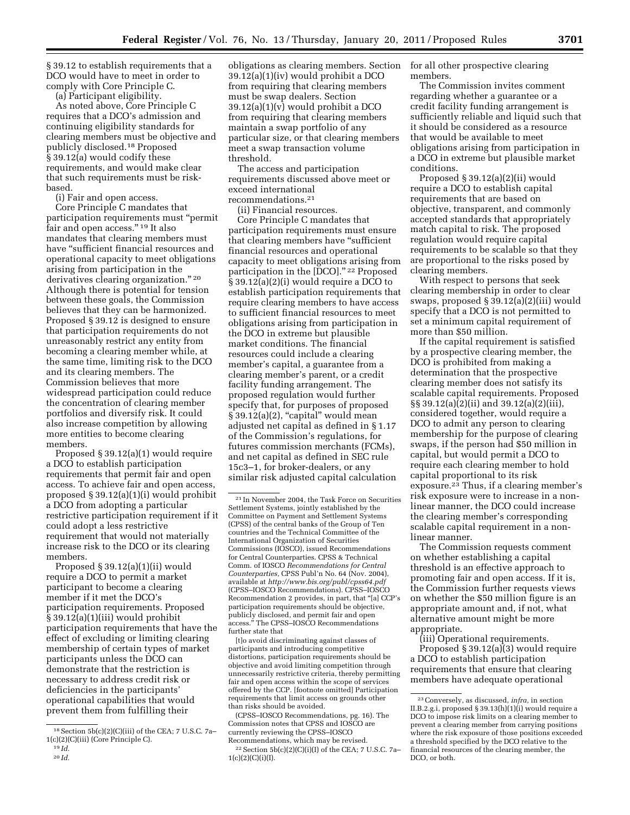§ 39.12 to establish requirements that a DCO would have to meet in order to comply with Core Principle C.

(a) Participant eligibility.

As noted above, Core Principle C requires that a DCO's admission and continuing eligibility standards for clearing members must be objective and publicly disclosed.18 Proposed § 39.12(a) would codify these requirements, and would make clear that such requirements must be riskbased.

(i) Fair and open access.

Core Principle C mandates that participation requirements must ''permit fair and open access.'' 19 It also mandates that clearing members must have ''sufficient financial resources and operational capacity to meet obligations arising from participation in the derivatives clearing organization."<sup>20</sup> Although there is potential for tension between these goals, the Commission believes that they can be harmonized. Proposed § 39.12 is designed to ensure that participation requirements do not unreasonably restrict any entity from becoming a clearing member while, at the same time, limiting risk to the DCO and its clearing members. The Commission believes that more widespread participation could reduce the concentration of clearing member portfolios and diversify risk. It could also increase competition by allowing more entities to become clearing members.

Proposed § 39.12(a)(1) would require a DCO to establish participation requirements that permit fair and open access. To achieve fair and open access, proposed § 39.12(a)(1)(i) would prohibit a DCO from adopting a particular restrictive participation requirement if it could adopt a less restrictive requirement that would not materially increase risk to the DCO or its clearing members.

Proposed § 39.12(a)(1)(ii) would require a DCO to permit a market participant to become a clearing member if it met the DCO's participation requirements. Proposed § 39.12(a)(1)(iii) would prohibit participation requirements that have the effect of excluding or limiting clearing membership of certain types of market participants unless the DCO can demonstrate that the restriction is necessary to address credit risk or deficiencies in the participants' operational capabilities that would prevent them from fulfilling their

obligations as clearing members. Section 39.12(a)(1)(iv) would prohibit a DCO from requiring that clearing members must be swap dealers. Section 39.12(a)(1)(v) would prohibit a DCO from requiring that clearing members maintain a swap portfolio of any particular size, or that clearing members meet a swap transaction volume threshold.

The access and participation requirements discussed above meet or exceed international recommendations.21

(ii) Financial resources.

Core Principle C mandates that participation requirements must ensure that clearing members have ''sufficient financial resources and operational capacity to meet obligations arising from participation in the [DCO]."<sup>22</sup> Proposed § 39.12(a)(2)(i) would require a DCO to establish participation requirements that require clearing members to have access to sufficient financial resources to meet obligations arising from participation in the DCO in extreme but plausible market conditions. The financial resources could include a clearing member's capital, a guarantee from a clearing member's parent, or a credit facility funding arrangement. The proposed regulation would further specify that, for purposes of proposed § 39.12(a)(2), "capital" would mean adjusted net capital as defined in § 1.17 of the Commission's regulations, for futures commission merchants (FCMs), and net capital as defined in SEC rule 15c3–1, for broker-dealers, or any similar risk adjusted capital calculation

[t]o avoid discriminating against classes of participants and introducing competitive distortions, participation requirements should be objective and avoid limiting competition through unnecessarily restrictive criteria, thereby permitting fair and open access within the scope of services offered by the CCP. [footnote omitted] Participation requirements that limit access on grounds other than risks should be avoided.

(CPSS–IOSCO Recommendations, pg. 16). The Commission notes that CPSS and IOSCO are currently reviewing the CPSS–IOSCO Recommendations, which may be revised. <sup>22</sup> Section 5b(c)(2)(C)(i)(I) of the CEA; 7 U.S.C. 7a- $1(c)(2)(C)(i)(I).$ 

for all other prospective clearing members.

The Commission invites comment regarding whether a guarantee or a credit facility funding arrangement is sufficiently reliable and liquid such that it should be considered as a resource that would be available to meet obligations arising from participation in a DCO in extreme but plausible market conditions.

Proposed § 39.12(a)(2)(ii) would require a DCO to establish capital requirements that are based on objective, transparent, and commonly accepted standards that appropriately match capital to risk. The proposed regulation would require capital requirements to be scalable so that they are proportional to the risks posed by clearing members.

With respect to persons that seek clearing membership in order to clear swaps, proposed § 39.12(a)(2)(iii) would specify that a DCO is not permitted to set a minimum capital requirement of more than \$50 million.

If the capital requirement is satisfied by a prospective clearing member, the DCO is prohibited from making a determination that the prospective clearing member does not satisfy its scalable capital requirements. Proposed §§ 39.12(a)(2)(ii) and 39.12(a)(2)(iii), considered together, would require a DCO to admit any person to clearing membership for the purpose of clearing swaps, if the person had \$50 million in capital, but would permit a DCO to require each clearing member to hold capital proportional to its risk exposure.23 Thus, if a clearing member's risk exposure were to increase in a nonlinear manner, the DCO could increase the clearing member's corresponding scalable capital requirement in a nonlinear manner.

The Commission requests comment on whether establishing a capital threshold is an effective approach to promoting fair and open access. If it is, the Commission further requests views on whether the \$50 million figure is an appropriate amount and, if not, what alternative amount might be more appropriate.

(iii) Operational requirements. Proposed § 39.12(a)(3) would require a DCO to establish participation requirements that ensure that clearing members have adequate operational

 $18$  Section  $5b(c)(2)(C)(iii)$  of the CEA; 7 U.S.C. 7a-1(c)(2)(C)(iii) (Core Principle C). 19 *Id.* 

<sup>20</sup> *Id.* 

<sup>21</sup> In November 2004, the Task Force on Securities Settlement Systems, jointly established by the Committee on Payment and Settlement Systems (CPSS) of the central banks of the Group of Ten countries and the Technical Committee of the International Organization of Securities Commissions (IOSCO), issued Recommendations for Central Counterparties. CPSS & Technical Comm. of IOSCO *Recommendations for Central Counterparties,* CPSS Publ'n No. 64 (Nov. 2004), available at *<http://www.bis.org/publ/cpss64.pdf>* (CPSS–IOSCO Recommendations). CPSS–IOSCO Recommendation 2 provides, in part, that ''[a] CCP's participation requirements should be objective, publicly disclosed, and permit fair and open access.'' The CPSS–IOSCO Recommendations further state that

<sup>23</sup>Conversely, as discussed, *infra,* in section II.B.2.g.i, proposed § 39.13(h)(1)(i) would require a DCO to impose risk limits on a clearing member to prevent a clearing member from carrying positions where the risk exposure of those positions exceeded a threshold specified by the DCO relative to the financial resources of the clearing member, the DCO, or both.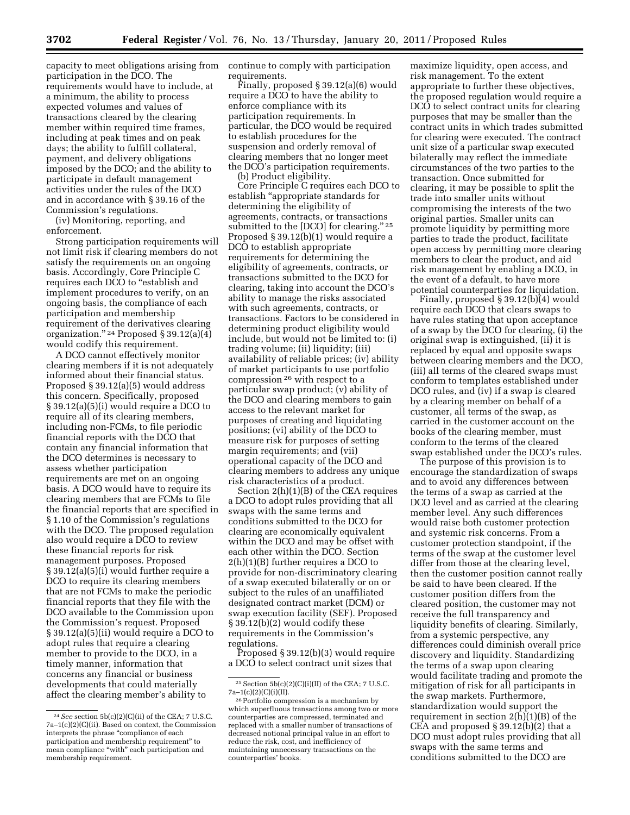capacity to meet obligations arising from continue to comply with participation participation in the DCO. The requirements would have to include, at a minimum, the ability to process expected volumes and values of transactions cleared by the clearing member within required time frames, including at peak times and on peak days; the ability to fulfill collateral, payment, and delivery obligations imposed by the DCO; and the ability to participate in default management activities under the rules of the DCO and in accordance with § 39.16 of the Commission's regulations.

(iv) Monitoring, reporting, and enforcement.

Strong participation requirements will not limit risk if clearing members do not satisfy the requirements on an ongoing basis. Accordingly, Core Principle C requires each DCO to "establish and implement procedures to verify, on an ongoing basis, the compliance of each participation and membership requirement of the derivatives clearing organization.'' 24 Proposed § 39.12(a)(4) would codify this requirement.

A DCO cannot effectively monitor clearing members if it is not adequately informed about their financial status. Proposed § 39.12(a)(5) would address this concern. Specifically, proposed § 39.12(a)(5)(i) would require a DCO to require all of its clearing members, including non-FCMs, to file periodic financial reports with the DCO that contain any financial information that the DCO determines is necessary to assess whether participation requirements are met on an ongoing basis. A DCO would have to require its clearing members that are FCMs to file the financial reports that are specified in § 1.10 of the Commission's regulations with the DCO. The proposed regulation also would require a DCO to review these financial reports for risk management purposes. Proposed § 39.12(a)(5)(i) would further require a DCO to require its clearing members that are not FCMs to make the periodic financial reports that they file with the DCO available to the Commission upon the Commission's request. Proposed § 39.12(a)(5)(ii) would require a DCO to adopt rules that require a clearing member to provide to the DCO, in a timely manner, information that concerns any financial or business developments that could materially affect the clearing member's ability to

requirements.

Finally, proposed § 39.12(a)(6) would require a DCO to have the ability to enforce compliance with its participation requirements. In particular, the DCO would be required to establish procedures for the suspension and orderly removal of clearing members that no longer meet the DCO's participation requirements. (b) Product eligibility.

Core Principle C requires each DCO to establish ''appropriate standards for determining the eligibility of agreements, contracts, or transactions submitted to the [DCO] for clearing." 25 Proposed § 39.12(b)(1) would require a DCO to establish appropriate requirements for determining the eligibility of agreements, contracts, or transactions submitted to the DCO for clearing, taking into account the DCO's ability to manage the risks associated with such agreements, contracts, or transactions. Factors to be considered in determining product eligibility would include, but would not be limited to: (i) trading volume; (ii) liquidity; (iii) availability of reliable prices; (iv) ability of market participants to use portfolio compression 26 with respect to a particular swap product; (v) ability of the DCO and clearing members to gain access to the relevant market for purposes of creating and liquidating positions; (vi) ability of the DCO to measure risk for purposes of setting margin requirements; and (vii) operational capacity of the DCO and clearing members to address any unique risk characteristics of a product.

Section 2(h)(1)(B) of the CEA requires a DCO to adopt rules providing that all swaps with the same terms and conditions submitted to the DCO for clearing are economically equivalent within the DCO and may be offset with each other within the DCO. Section 2(h)(1)(B) further requires a DCO to provide for non-discriminatory clearing of a swap executed bilaterally or on or subject to the rules of an unaffiliated designated contract market (DCM) or swap execution facility (SEF). Proposed § 39.12(b)(2) would codify these requirements in the Commission's regulations.

Proposed § 39.12(b)(3) would require a DCO to select contract unit sizes that

maximize liquidity, open access, and risk management. To the extent appropriate to further these objectives, the proposed regulation would require a DCO to select contract units for clearing purposes that may be smaller than the contract units in which trades submitted for clearing were executed. The contract unit size of a particular swap executed bilaterally may reflect the immediate circumstances of the two parties to the transaction. Once submitted for clearing, it may be possible to split the trade into smaller units without compromising the interests of the two original parties. Smaller units can promote liquidity by permitting more parties to trade the product, facilitate open access by permitting more clearing members to clear the product, and aid risk management by enabling a DCO, in the event of a default, to have more potential counterparties for liquidation.

Finally, proposed § 39.12(b)(4) would require each DCO that clears swaps to have rules stating that upon acceptance of a swap by the DCO for clearing, (i) the original swap is extinguished, (ii) it is replaced by equal and opposite swaps between clearing members and the DCO, (iii) all terms of the cleared swaps must conform to templates established under DCO rules, and (iv) if a swap is cleared by a clearing member on behalf of a customer, all terms of the swap, as carried in the customer account on the books of the clearing member, must conform to the terms of the cleared swap established under the DCO's rules.

The purpose of this provision is to encourage the standardization of swaps and to avoid any differences between the terms of a swap as carried at the DCO level and as carried at the clearing member level. Any such differences would raise both customer protection and systemic risk concerns. From a customer protection standpoint, if the terms of the swap at the customer level differ from those at the clearing level, then the customer position cannot really be said to have been cleared. If the customer position differs from the cleared position, the customer may not receive the full transparency and liquidity benefits of clearing. Similarly, from a systemic perspective, any differences could diminish overall price discovery and liquidity. Standardizing the terms of a swap upon clearing would facilitate trading and promote the mitigation of risk for all participants in the swap markets. Furthermore, standardization would support the requirement in section 2(h)(1)(B) of the CEA and proposed § 39.12(b)(2) that a DCO must adopt rules providing that all swaps with the same terms and conditions submitted to the DCO are

<sup>24</sup>*See* section 5b(c)(2)(C)(ii) of the CEA; 7 U.S.C. 7a–1(c)(2)(C)(ii). Based on context, the Commission interprets the phrase "compliance of each participation and membership requirement'' to mean compliance ''with'' each participation and membership requirement.

 $^{25}$  Section 5b(c)(2)(C)(i)(II) of the CEA; 7 U.S.C.  $7\mathrm{a}{-1}\mathrm{(c)}\mathrm{(2)}\mathrm{(C)}\mathrm{(i)}\mathrm{(II)}.$ 

<sup>&</sup>lt;sup>26</sup> Portfolio compression is a mechanism by which superfluous transactions among two or more counterparties are compressed, terminated and replaced with a smaller number of transactions of decreased notional principal value in an effort to reduce the risk, cost, and inefficiency of maintaining unnecessary transactions on the counterparties' books.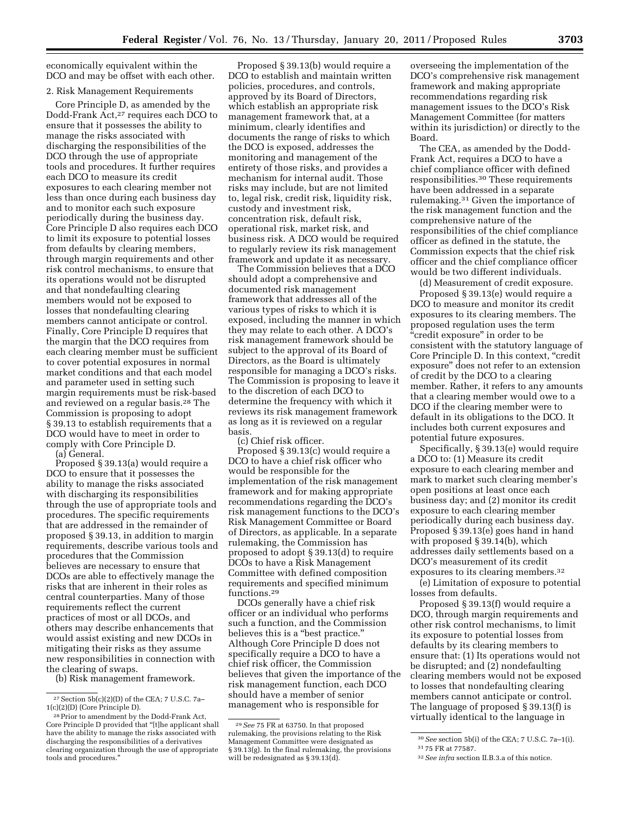economically equivalent within the DCO and may be offset with each other.

#### 2. Risk Management Requirements

Core Principle D, as amended by the Dodd-Frank Act,27 requires each DCO to ensure that it possesses the ability to manage the risks associated with discharging the responsibilities of the DCO through the use of appropriate tools and procedures. It further requires each DCO to measure its credit exposures to each clearing member not less than once during each business day and to monitor each such exposure periodically during the business day. Core Principle D also requires each DCO to limit its exposure to potential losses from defaults by clearing members, through margin requirements and other risk control mechanisms, to ensure that its operations would not be disrupted and that nondefaulting clearing members would not be exposed to losses that nondefaulting clearing members cannot anticipate or control. Finally, Core Principle D requires that the margin that the DCO requires from each clearing member must be sufficient to cover potential exposures in normal market conditions and that each model and parameter used in setting such margin requirements must be risk-based and reviewed on a regular basis.28 The Commission is proposing to adopt § 39.13 to establish requirements that a DCO would have to meet in order to comply with Core Principle D.

(a) General.

Proposed § 39.13(a) would require a DCO to ensure that it possesses the ability to manage the risks associated with discharging its responsibilities through the use of appropriate tools and procedures. The specific requirements that are addressed in the remainder of proposed § 39.13, in addition to margin requirements, describe various tools and procedures that the Commission believes are necessary to ensure that DCOs are able to effectively manage the risks that are inherent in their roles as central counterparties. Many of those requirements reflect the current practices of most or all DCOs, and others may describe enhancements that would assist existing and new DCOs in mitigating their risks as they assume new responsibilities in connection with the clearing of swaps.

(b) Risk management framework.

Proposed § 39.13(b) would require a DCO to establish and maintain written policies, procedures, and controls, approved by its Board of Directors, which establish an appropriate risk management framework that, at a minimum, clearly identifies and documents the range of risks to which the DCO is exposed, addresses the monitoring and management of the entirety of those risks, and provides a mechanism for internal audit. Those risks may include, but are not limited to, legal risk, credit risk, liquidity risk, custody and investment risk, concentration risk, default risk, operational risk, market risk, and business risk. A DCO would be required to regularly review its risk management framework and update it as necessary.

The Commission believes that a DCO should adopt a comprehensive and documented risk management framework that addresses all of the various types of risks to which it is exposed, including the manner in which they may relate to each other. A DCO's risk management framework should be subject to the approval of its Board of Directors, as the Board is ultimately responsible for managing a DCO's risks. The Commission is proposing to leave it to the discretion of each DCO to determine the frequency with which it reviews its risk management framework as long as it is reviewed on a regular basis.

(c) Chief risk officer.

Proposed § 39.13(c) would require a DCO to have a chief risk officer who would be responsible for the implementation of the risk management framework and for making appropriate recommendations regarding the DCO's risk management functions to the DCO's Risk Management Committee or Board of Directors, as applicable. In a separate rulemaking, the Commission has proposed to adopt § 39.13(d) to require DCOs to have a Risk Management Committee with defined composition requirements and specified minimum functions.29

DCOs generally have a chief risk officer or an individual who performs such a function, and the Commission believes this is a "best practice." Although Core Principle D does not specifically require a DCO to have a chief risk officer, the Commission believes that given the importance of the risk management function, each DCO should have a member of senior management who is responsible for

overseeing the implementation of the DCO's comprehensive risk management framework and making appropriate recommendations regarding risk management issues to the DCO's Risk Management Committee (for matters within its jurisdiction) or directly to the Board.

The CEA, as amended by the Dodd-Frank Act, requires a DCO to have a chief compliance officer with defined responsibilities.30 These requirements have been addressed in a separate rulemaking.31 Given the importance of the risk management function and the comprehensive nature of the responsibilities of the chief compliance officer as defined in the statute, the Commission expects that the chief risk officer and the chief compliance officer would be two different individuals.

(d) Measurement of credit exposure. Proposed § 39.13(e) would require a DCO to measure and monitor its credit exposures to its clearing members. The proposed regulation uses the term "credit exposure" in order to be consistent with the statutory language of Core Principle D. In this context, ''credit exposure'' does not refer to an extension of credit by the DCO to a clearing member. Rather, it refers to any amounts that a clearing member would owe to a DCO if the clearing member were to default in its obligations to the DCO. It includes both current exposures and potential future exposures.

Specifically, § 39.13(e) would require a DCO to: (1) Measure its credit exposure to each clearing member and mark to market such clearing member's open positions at least once each business day; and (2) monitor its credit exposure to each clearing member periodically during each business day. Proposed § 39.13(e) goes hand in hand with proposed § 39.14(b), which addresses daily settlements based on a DCO's measurement of its credit exposures to its clearing members.<sup>32</sup>

(e) Limitation of exposure to potential losses from defaults.

Proposed § 39.13(f) would require a DCO, through margin requirements and other risk control mechanisms, to limit its exposure to potential losses from defaults by its clearing members to ensure that: (1) Its operations would not be disrupted; and (2) nondefaulting clearing members would not be exposed to losses that nondefaulting clearing members cannot anticipate or control. The language of proposed § 39.13(f) is virtually identical to the language in

<sup>&</sup>lt;sup>27</sup> Section  $5b(c)(2)(D)$  of the CEA; 7 U.S.C. 7a-1(c)(2)(D) (Core Principle D).

<sup>28</sup>Prior to amendment by the Dodd-Frank Act, Core Principle D provided that ''[t]he applicant shall have the ability to manage the risks associated with discharging the responsibilities of a derivatives clearing organization through the use of appropriate tools and procedures.''

<sup>29</sup>*See* 75 FR at 63750. In that proposed rulemaking, the provisions relating to the Risk Management Committee were designated as § 39.13(g). In the final rulemaking, the provisions will be redesignated as § 39.13(d).

<sup>30</sup>*See* section 5b(i) of the CEA; 7 U.S.C. 7a–1(i). 31 75 FR at 77587.

<sup>32</sup>*See infra* section II.B.3.a of this notice.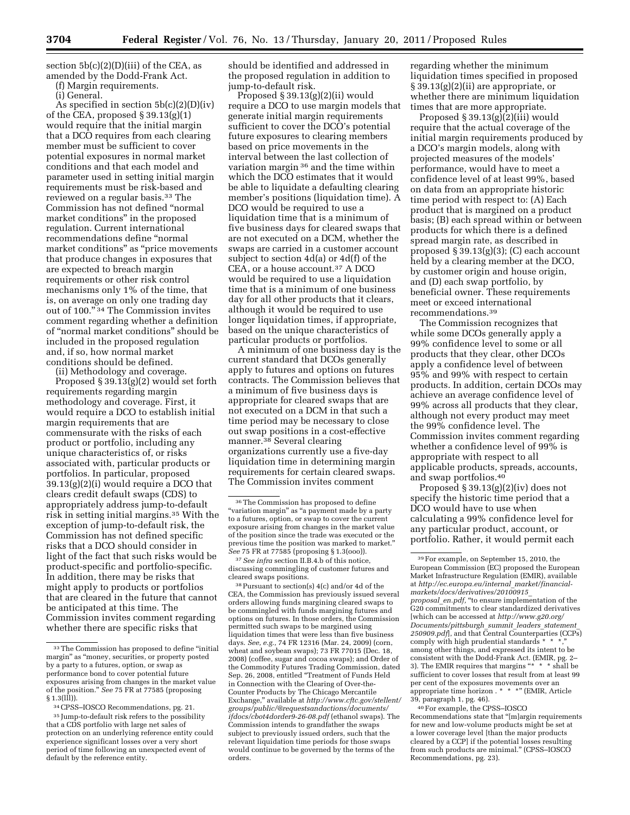section  $5b(c)(2)(D)(iii)$  of the CEA, as amended by the Dodd-Frank Act.

(f) Margin requirements.

(i) General.

As specified in section 5b(c)(2)(D)(iv) of the CEA, proposed § 39.13(g)(1) would require that the initial margin that a DCO requires from each clearing member must be sufficient to cover potential exposures in normal market conditions and that each model and parameter used in setting initial margin requirements must be risk-based and reviewed on a regular basis.33 The Commission has not defined ''normal market conditions'' in the proposed regulation. Current international recommendations define ''normal market conditions'' as ''price movements that produce changes in exposures that are expected to breach margin requirements or other risk control mechanisms only 1% of the time, that is, on average on only one trading day out of 100."<sup>34</sup> The Commission invites comment regarding whether a definition of ''normal market conditions'' should be included in the proposed regulation and, if so, how normal market conditions should be defined.

(ii) Methodology and coverage. Proposed § 39.13(g)(2) would set forth requirements regarding margin methodology and coverage. First, it would require a DCO to establish initial margin requirements that are commensurate with the risks of each product or portfolio, including any unique characteristics of, or risks associated with, particular products or portfolios. In particular, proposed 39.13(g)(2)(i) would require a DCO that clears credit default swaps (CDS) to appropriately address jump-to-default risk in setting initial margins.35 With the exception of jump-to-default risk, the Commission has not defined specific risks that a DCO should consider in light of the fact that such risks would be product-specific and portfolio-specific. In addition, there may be risks that might apply to products or portfolios that are cleared in the future that cannot be anticipated at this time. The Commission invites comment regarding whether there are specific risks that

should be identified and addressed in the proposed regulation in addition to jump-to-default risk.

Proposed § 39.13(g)(2)(ii) would require a DCO to use margin models that generate initial margin requirements sufficient to cover the DCO's potential future exposures to clearing members based on price movements in the interval between the last collection of variation margin 36 and the time within which the DCO estimates that it would be able to liquidate a defaulting clearing member's positions (liquidation time). A DCO would be required to use a liquidation time that is a minimum of five business days for cleared swaps that are not executed on a DCM, whether the swaps are carried in a customer account subject to section 4d(a) or 4d(f) of the CEA, or a house account.37 A DCO would be required to use a liquidation time that is a minimum of one business day for all other products that it clears, although it would be required to use longer liquidation times, if appropriate, based on the unique characteristics of particular products or portfolios.

A minimum of one business day is the current standard that DCOs generally apply to futures and options on futures contracts. The Commission believes that a minimum of five business days is appropriate for cleared swaps that are not executed on a DCM in that such a time period may be necessary to close out swap positions in a cost-effective manner.38 Several clearing organizations currently use a five-day liquidation time in determining margin requirements for certain cleared swaps. The Commission invites comment

37*See infra* section II.B.4.b of this notice, discussing commingling of customer futures and cleared swaps positions.

38Pursuant to section(s) 4(c) and/or 4d of the CEA, the Commission has previously issued several orders allowing funds margining cleared swaps to be commingled with funds margining futures and options on futures. In those orders, the Commission permitted such swaps to be margined using liquidation times that were less than five business days. *See, e.g.,* 74 FR 12316 (Mar. 24, 2009) (corn, wheat and soybean swaps); 73 FR 77015 (Dec. 18, 2008) (coffee, sugar and cocoa swaps); and Order of the Commodity Futures Trading Commission, dated Sep. 26, 2008, entitled ''Treatment of Funds Held in Connection with the Clearing of Over-the-Counter Products by The Chicago Mercantile Exchange,'' available at *http://www.cftc.gov/stellent/ [groups/public/@requestsandactions/documents/](http://www.cftc.gov/stellent/groups/public/@requestsandactions/documents/ifdocs/cbot4dorder9-26-08.pdf)  ifdocs/cbot4dorder9-26-08.pdf* (ethanol swaps). The Commission intends to grandfather the swaps subject to previously issued orders, such that the relevant liquidation time periods for those swaps would continue to be governed by the terms of the orders.

regarding whether the minimum liquidation times specified in proposed § 39.13(g)(2)(ii) are appropriate, or whether there are minimum liquidation times that are more appropriate.

Proposed  $\S 39.13(g)(iii)$  would require that the actual coverage of the initial margin requirements produced by a DCO's margin models, along with projected measures of the models' performance, would have to meet a confidence level of at least 99%, based on data from an appropriate historic time period with respect to: (A) Each product that is margined on a product basis; (B) each spread within or between products for which there is a defined spread margin rate, as described in proposed § 39.13(g)(3); (C) each account held by a clearing member at the DCO, by customer origin and house origin, and (D) each swap portfolio, by beneficial owner. These requirements meet or exceed international recommendations.39

The Commission recognizes that while some DCOs generally apply a 99% confidence level to some or all products that they clear, other DCOs apply a confidence level of between 95% and 99% with respect to certain products. In addition, certain DCOs may achieve an average confidence level of 99% across all products that they clear, although not every product may meet the 99% confidence level. The Commission invites comment regarding whether a confidence level of 99% is appropriate with respect to all applicable products, spreads, accounts, and swap portfolios.40

Proposed  $\S 39.13(g)(2)(iv)$  does not specify the historic time period that a DCO would have to use when calculating a 99% confidence level for any particular product, account, or portfolio. Rather, it would permit each

<sup>33</sup>The Commission has proposed to define ''initial margin'' as ''money, securities, or property posted by a party to a futures, option, or swap as performance bond to cover potential future exposures arising from changes in the market value of the position.'' *See* 75 FR at 77585 (proposing  $§ 1.3(111)$ .

<sup>34</sup>CPSS–IOSCO Recommendations, pg. 21.

<sup>35</sup> Jump-to-default risk refers to the possibility that a CDS portfolio with large net sales of protection on an underlying reference entity could experience significant losses over a very short period of time following an unexpected event of default by the reference entity.

<sup>36</sup>The Commission has proposed to define ''variation margin'' as ''a payment made by a party to a futures, option, or swap to cover the current exposure arising from changes in the market value of the position since the trade was executed or the previous time the position was marked to market.'' *See* 75 FR at 77585 (proposing § 1.3(ooo)).

<sup>39</sup>For example, on September 15, 2010, the European Commission (EC) proposed the European Market Infrastructure Regulation (EMIR), available at *[http://ec.europa.eu/internal](http://ec.europa.eu/internal_market/financial-markets/docs/derivatives/20100915_proposal_en.pdf)*\_*market/financial[markets/docs/derivatives/20100915](http://ec.europa.eu/internal_market/financial-markets/docs/derivatives/20100915_proposal_en.pdf)*\_ *[proposal](http://ec.europa.eu/internal_market/financial-markets/docs/derivatives/20100915_proposal_en.pdf)*\_*en.pdf,* ''to ensure implementation of the G20 commitments to clear standardized derivatives [which can be accessed at *[http://www.g20.org/](http://www.g20.org/Documents/pittsburgh_summit_leaders_statement_250909.pdf) [Documents/pittsburgh](http://www.g20.org/Documents/pittsburgh_summit_leaders_statement_250909.pdf)*\_*summit*\_*leaders*\_*statement*\_ *[250909.pdf](http://www.g20.org/Documents/pittsburgh_summit_leaders_statement_250909.pdf)*], and that Central Counterparties (CCPs) comply with high prudential standards  $*$   $*$ among other things, and expressed its intent to be consistent with the Dodd-Frank Act. (EMIR, pg. 2–<br>3). The EMIR requires that margins "\* \* \* shall be sufficient to cover losses that result from at least 99 per cent of the exposures movements over an appropriate time horizon . \* \* \*'' (EMIR, Article 39, paragraph 1, pg. 46).

<sup>40</sup>For example, the CPSS–IOSCO Recommendations state that ''[m]argin requirements for new and low-volume products might be set at a lower coverage level [than the major products cleared by a CCP] if the potential losses resulting from such products are minimal.'' (CPSS–IOSCO Recommendations, pg. 23).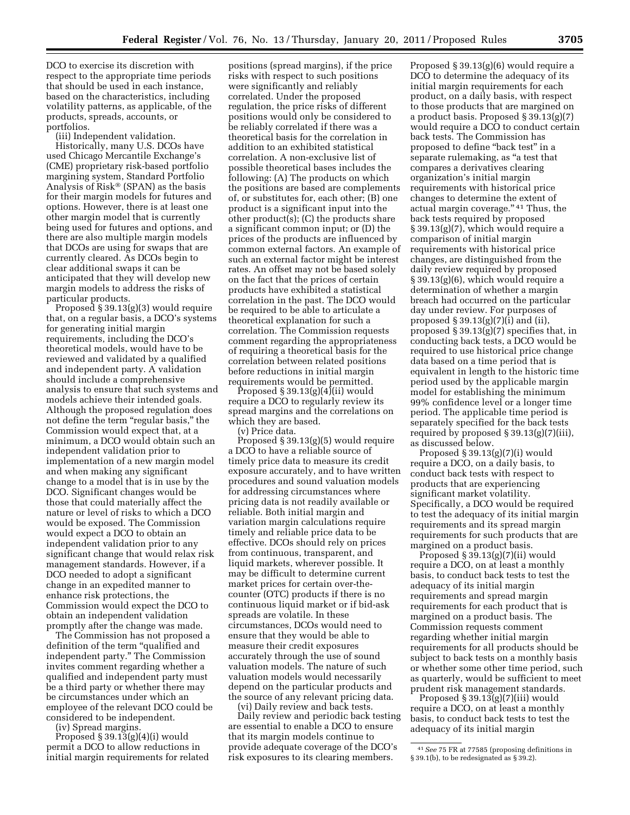DCO to exercise its discretion with respect to the appropriate time periods that should be used in each instance, based on the characteristics, including volatility patterns, as applicable, of the products, spreads, accounts, or portfolios.

(iii) Independent validation.

Historically, many U.S. DCOs have used Chicago Mercantile Exchange's (CME) proprietary risk-based portfolio margining system, Standard Portfolio Analysis of Risk® (SPAN) as the basis for their margin models for futures and options. However, there is at least one other margin model that is currently being used for futures and options, and there are also multiple margin models that DCOs are using for swaps that are currently cleared. As DCOs begin to clear additional swaps it can be anticipated that they will develop new margin models to address the risks of particular products.

Proposed § 39.13(g)(3) would require that, on a regular basis, a DCO's systems for generating initial margin requirements, including the DCO's theoretical models, would have to be reviewed and validated by a qualified and independent party. A validation should include a comprehensive analysis to ensure that such systems and models achieve their intended goals. Although the proposed regulation does not define the term "regular basis," the Commission would expect that, at a minimum, a DCO would obtain such an independent validation prior to implementation of a new margin model and when making any significant change to a model that is in use by the DCO. Significant changes would be those that could materially affect the nature or level of risks to which a DCO would be exposed. The Commission would expect a DCO to obtain an independent validation prior to any significant change that would relax risk management standards. However, if a DCO needed to adopt a significant change in an expedited manner to enhance risk protections, the Commission would expect the DCO to obtain an independent validation promptly after the change was made.

The Commission has not proposed a definition of the term "qualified and independent party.'' The Commission invites comment regarding whether a qualified and independent party must be a third party or whether there may be circumstances under which an employee of the relevant DCO could be considered to be independent.

(iv) Spread margins.

Proposed  $\S 39.13(g)(4)(i)$  would permit a DCO to allow reductions in initial margin requirements for related

positions (spread margins), if the price risks with respect to such positions were significantly and reliably correlated. Under the proposed regulation, the price risks of different positions would only be considered to be reliably correlated if there was a theoretical basis for the correlation in addition to an exhibited statistical correlation. A non-exclusive list of possible theoretical bases includes the following: (A) The products on which the positions are based are complements of, or substitutes for, each other; (B) one product is a significant input into the other product(s); (C) the products share a significant common input; or (D) the prices of the products are influenced by common external factors. An example of such an external factor might be interest rates. An offset may not be based solely on the fact that the prices of certain products have exhibited a statistical correlation in the past. The DCO would be required to be able to articulate a theoretical explanation for such a correlation. The Commission requests comment regarding the appropriateness of requiring a theoretical basis for the correlation between related positions before reductions in initial margin requirements would be permitted.

Proposed  $\S 39.13(g)(4)$ (ii) would require a DCO to regularly review its spread margins and the correlations on which they are based.

(v) Price data.

Proposed § 39.13(g)(5) would require a DCO to have a reliable source of timely price data to measure its credit exposure accurately, and to have written procedures and sound valuation models for addressing circumstances where pricing data is not readily available or reliable. Both initial margin and variation margin calculations require timely and reliable price data to be effective. DCOs should rely on prices from continuous, transparent, and liquid markets, wherever possible. It may be difficult to determine current market prices for certain over-thecounter (OTC) products if there is no continuous liquid market or if bid-ask spreads are volatile. In these circumstances, DCOs would need to ensure that they would be able to measure their credit exposures accurately through the use of sound valuation models. The nature of such valuation models would necessarily depend on the particular products and the source of any relevant pricing data.

(vi) Daily review and back tests. Daily review and periodic back testing are essential to enable a DCO to ensure that its margin models continue to provide adequate coverage of the DCO's risk exposures to its clearing members.

Proposed § 39.13(g)(6) would require a DCO to determine the adequacy of its initial margin requirements for each product, on a daily basis, with respect to those products that are margined on a product basis. Proposed § 39.13(g)(7) would require a DCO to conduct certain back tests. The Commission has proposed to define "back test" in a separate rulemaking, as "a test that compares a derivatives clearing organization's initial margin requirements with historical price changes to determine the extent of actual margin coverage.'' 41 Thus, the back tests required by proposed § 39.13(g)(7), which would require a comparison of initial margin requirements with historical price changes, are distinguished from the daily review required by proposed § 39.13(g)(6), which would require a determination of whether a margin breach had occurred on the particular day under review. For purposes of proposed  $\S 39.13(g)(7)(i)$  and (ii), proposed § 39.13(g)(7) specifies that, in conducting back tests, a DCO would be required to use historical price change data based on a time period that is equivalent in length to the historic time period used by the applicable margin model for establishing the minimum 99% confidence level or a longer time period. The applicable time period is separately specified for the back tests required by proposed § 39.13(g)(7)(iii), as discussed below.

Proposed  $\S 39.13(g)(7)(i)$  would require a DCO, on a daily basis, to conduct back tests with respect to products that are experiencing significant market volatility. Specifically, a DCO would be required to test the adequacy of its initial margin requirements and its spread margin requirements for such products that are margined on a product basis.

Proposed § 39.13(g)(7)(ii) would require a DCO, on at least a monthly basis, to conduct back tests to test the adequacy of its initial margin requirements and spread margin requirements for each product that is margined on a product basis. The Commission requests comment regarding whether initial margin requirements for all products should be subject to back tests on a monthly basis or whether some other time period, such as quarterly, would be sufficient to meet prudent risk management standards.

Proposed  $\S 39.13(g)(7)(iii)$  would require a DCO, on at least a monthly basis, to conduct back tests to test the adequacy of its initial margin

<sup>41</sup>*See* 75 FR at 77585 (proposing definitions in § 39.1(b), to be redesignated as § 39.2).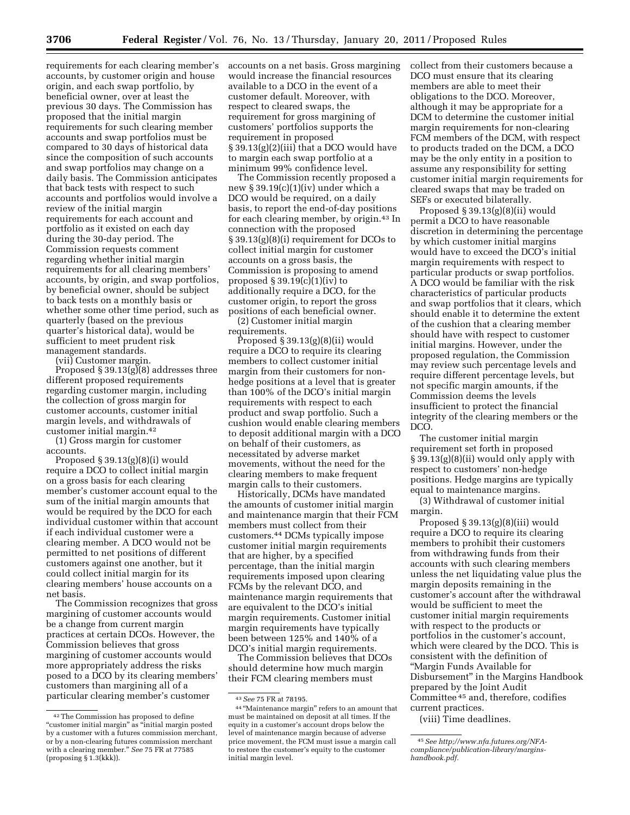requirements for each clearing member's accounts, by customer origin and house origin, and each swap portfolio, by beneficial owner, over at least the previous 30 days. The Commission has proposed that the initial margin requirements for such clearing member accounts and swap portfolios must be compared to 30 days of historical data since the composition of such accounts and swap portfolios may change on a daily basis. The Commission anticipates that back tests with respect to such accounts and portfolios would involve a review of the initial margin requirements for each account and portfolio as it existed on each day during the 30-day period. The Commission requests comment regarding whether initial margin requirements for all clearing members' accounts, by origin, and swap portfolios, by beneficial owner, should be subject to back tests on a monthly basis or whether some other time period, such as quarterly (based on the previous quarter's historical data), would be sufficient to meet prudent risk management standards.

(vii) Customer margin.

Proposed § 39.13 $(g)(8)$  addresses three different proposed requirements regarding customer margin, including the collection of gross margin for customer accounts, customer initial margin levels, and withdrawals of customer initial margin.42

(1) Gross margin for customer accounts.

Proposed  $\S 39.13(g)(8)(i)$  would require a DCO to collect initial margin on a gross basis for each clearing member's customer account equal to the sum of the initial margin amounts that would be required by the DCO for each individual customer within that account if each individual customer were a clearing member. A DCO would not be permitted to net positions of different customers against one another, but it could collect initial margin for its clearing members' house accounts on a net basis.

The Commission recognizes that gross margining of customer accounts would be a change from current margin practices at certain DCOs. However, the Commission believes that gross margining of customer accounts would more appropriately address the risks posed to a DCO by its clearing members' customers than margining all of a particular clearing member's customer

accounts on a net basis. Gross margining would increase the financial resources available to a DCO in the event of a customer default. Moreover, with respect to cleared swaps, the requirement for gross margining of customers' portfolios supports the requirement in proposed § 39.13(g)(2)(iii) that a DCO would have to margin each swap portfolio at a minimum 99% confidence level.

The Commission recently proposed a new § 39.19(c)(1)(iv) under which a DCO would be required, on a daily basis, to report the end-of-day positions for each clearing member, by origin.43 In connection with the proposed § 39.13(g)(8)(i) requirement for DCOs to collect initial margin for customer accounts on a gross basis, the Commission is proposing to amend proposed  $\S 39.19(c)(1)(iv)$  to additionally require a DCO, for the customer origin, to report the gross positions of each beneficial owner.

(2) Customer initial margin requirements.

Proposed  $\S 39.13(g)(8)(ii)$  would require a DCO to require its clearing members to collect customer initial margin from their customers for nonhedge positions at a level that is greater than 100% of the DCO's initial margin requirements with respect to each product and swap portfolio. Such a cushion would enable clearing members to deposit additional margin with a DCO on behalf of their customers, as necessitated by adverse market movements, without the need for the clearing members to make frequent margin calls to their customers.

Historically, DCMs have mandated the amounts of customer initial margin and maintenance margin that their FCM members must collect from their customers.44 DCMs typically impose customer initial margin requirements that are higher, by a specified percentage, than the initial margin requirements imposed upon clearing FCMs by the relevant DCO, and maintenance margin requirements that are equivalent to the DCO's initial margin requirements. Customer initial margin requirements have typically been between 125% and 140% of a DCO's initial margin requirements.

The Commission believes that DCOs should determine how much margin their FCM clearing members must

collect from their customers because a DCO must ensure that its clearing members are able to meet their obligations to the DCO. Moreover, although it may be appropriate for a DCM to determine the customer initial margin requirements for non-clearing FCM members of the DCM, with respect to products traded on the DCM, a DCO may be the only entity in a position to assume any responsibility for setting customer initial margin requirements for cleared swaps that may be traded on SEFs or executed bilaterally.

Proposed § 39.13(g)(8)(ii) would permit a DCO to have reasonable discretion in determining the percentage by which customer initial margins would have to exceed the DCO's initial margin requirements with respect to particular products or swap portfolios. A DCO would be familiar with the risk characteristics of particular products and swap portfolios that it clears, which should enable it to determine the extent of the cushion that a clearing member should have with respect to customer initial margins. However, under the proposed regulation, the Commission may review such percentage levels and require different percentage levels, but not specific margin amounts, if the Commission deems the levels insufficient to protect the financial integrity of the clearing members or the DCO.

The customer initial margin requirement set forth in proposed § 39.13(g)(8)(ii) would only apply with respect to customers' non-hedge positions. Hedge margins are typically equal to maintenance margins.

(3) Withdrawal of customer initial margin.

Proposed § 39.13(g)(8)(iii) would require a DCO to require its clearing members to prohibit their customers from withdrawing funds from their accounts with such clearing members unless the net liquidating value plus the margin deposits remaining in the customer's account after the withdrawal would be sufficient to meet the customer initial margin requirements with respect to the products or portfolios in the customer's account, which were cleared by the DCO. This is consistent with the definition of ''Margin Funds Available for Disbursement'' in the Margins Handbook prepared by the Joint Audit Committee 45 and, therefore, codifies current practices.

(viii) Time deadlines.

<sup>42</sup>The Commission has proposed to define "customer initial margin" as "initial margin posted by a customer with a futures commission merchant, or by a non-clearing futures commission merchant with a clearing member.'' *See* 75 FR at 77585 (proposing § 1.3(kkk)).

<sup>43</sup>*See* 75 FR at 78195.

<sup>44</sup> ''Maintenance margin'' refers to an amount that must be maintained on deposit at all times. If the equity in a customer's account drops below the level of maintenance margin because of adverse price movement, the FCM must issue a margin call to restore the customer's equity to the customer initial margin level.

<sup>45</sup>*See http;//www.nfa.futures.org/NFA[compliance/publication-library/margins](http://www.nfa.futures.org/NFA-compliance/publication-library/margins-handbook.pdf)handbook.pdf.*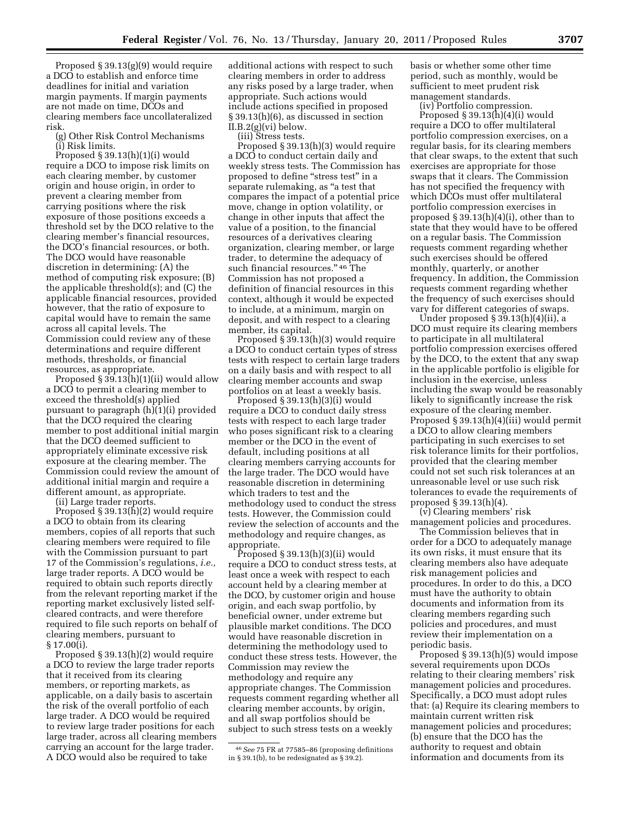Proposed § 39.13(g)(9) would require a DCO to establish and enforce time deadlines for initial and variation margin payments. If margin payments are not made on time, DCOs and clearing members face uncollateralized risk.

(g) Other Risk Control Mechanisms (i) Risk limits.

Proposed § 39.13(h)(1)(i) would require a DCO to impose risk limits on each clearing member, by customer origin and house origin, in order to prevent a clearing member from carrying positions where the risk exposure of those positions exceeds a threshold set by the DCO relative to the clearing member's financial resources, the DCO's financial resources, or both. The DCO would have reasonable discretion in determining: (A) the method of computing risk exposure; (B) the applicable threshold(s); and (C) the applicable financial resources, provided however, that the ratio of exposure to capital would have to remain the same across all capital levels. The Commission could review any of these determinations and require different methods, thresholds, or financial resources, as appropriate.

Proposed § 39.13(h)(1)(ii) would allow a DCO to permit a clearing member to exceed the threshold(s) applied pursuant to paragraph (h)(1)(i) provided that the DCO required the clearing member to post additional initial margin that the DCO deemed sufficient to appropriately eliminate excessive risk exposure at the clearing member. The Commission could review the amount of additional initial margin and require a different amount, as appropriate.

(ii) Large trader reports.

Proposed § 39.13(h)(2) would require a DCO to obtain from its clearing members, copies of all reports that such clearing members were required to file with the Commission pursuant to part 17 of the Commission's regulations, *i.e.,*  large trader reports. A DCO would be required to obtain such reports directly from the relevant reporting market if the reporting market exclusively listed selfcleared contracts, and were therefore required to file such reports on behalf of clearing members, pursuant to § 17.00(i).

Proposed § 39.13(h)(2) would require a DCO to review the large trader reports that it received from its clearing members, or reporting markets, as applicable, on a daily basis to ascertain the risk of the overall portfolio of each large trader. A DCO would be required to review large trader positions for each large trader, across all clearing members carrying an account for the large trader. A DCO would also be required to take

additional actions with respect to such clearing members in order to address any risks posed by a large trader, when appropriate. Such actions would include actions specified in proposed § 39.13(h)(6), as discussed in section  $II.B.2(g)(vi)$  below.

(iii) Stress tests.

Proposed § 39.13(h)(3) would require a DCO to conduct certain daily and weekly stress tests. The Commission has proposed to define ''stress test'' in a separate rulemaking, as "a test that compares the impact of a potential price move, change in option volatility, or change in other inputs that affect the value of a position, to the financial resources of a derivatives clearing organization, clearing member, or large trader, to determine the adequacy of such financial resources." <sup>46</sup> The Commission has not proposed a definition of financial resources in this context, although it would be expected to include, at a minimum, margin on deposit, and with respect to a clearing member, its capital.

Proposed § 39.13(h)(3) would require a DCO to conduct certain types of stress tests with respect to certain large traders on a daily basis and with respect to all clearing member accounts and swap portfolios on at least a weekly basis.

Proposed § 39.13(h)(3)(i) would require a DCO to conduct daily stress tests with respect to each large trader who poses significant risk to a clearing member or the DCO in the event of default, including positions at all clearing members carrying accounts for the large trader. The DCO would have reasonable discretion in determining which traders to test and the methodology used to conduct the stress tests. However, the Commission could review the selection of accounts and the methodology and require changes, as appropriate.

Proposed § 39.13(h)(3)(ii) would require a DCO to conduct stress tests, at least once a week with respect to each account held by a clearing member at the DCO, by customer origin and house origin, and each swap portfolio, by beneficial owner, under extreme but plausible market conditions. The DCO would have reasonable discretion in determining the methodology used to conduct these stress tests. However, the Commission may review the methodology and require any appropriate changes. The Commission requests comment regarding whether all clearing member accounts, by origin, and all swap portfolios should be subject to such stress tests on a weekly

basis or whether some other time period, such as monthly, would be sufficient to meet prudent risk management standards.

(iv) Portfolio compression.

Proposed § 39.13(h)(4)(i) would require a DCO to offer multilateral portfolio compression exercises, on a regular basis, for its clearing members that clear swaps, to the extent that such exercises are appropriate for those swaps that it clears. The Commission has not specified the frequency with which DCOs must offer multilateral portfolio compression exercises in proposed § 39.13(h)(4)(i), other than to state that they would have to be offered on a regular basis. The Commission requests comment regarding whether such exercises should be offered monthly, quarterly, or another frequency. In addition, the Commission requests comment regarding whether the frequency of such exercises should vary for different categories of swaps.

Under proposed  $\S 39.13(h)(4)(ii)$ , a DCO must require its clearing members to participate in all multilateral portfolio compression exercises offered by the DCO, to the extent that any swap in the applicable portfolio is eligible for inclusion in the exercise, unless including the swap would be reasonably likely to significantly increase the risk exposure of the clearing member. Proposed § 39.13(h)(4)(iii) would permit a DCO to allow clearing members participating in such exercises to set risk tolerance limits for their portfolios, provided that the clearing member could not set such risk tolerances at an unreasonable level or use such risk tolerances to evade the requirements of proposed § 39.13(h)(4).

(v) Clearing members' risk management policies and procedures.

The Commission believes that in order for a DCO to adequately manage its own risks, it must ensure that its clearing members also have adequate risk management policies and procedures. In order to do this, a DCO must have the authority to obtain documents and information from its clearing members regarding such policies and procedures, and must review their implementation on a periodic basis.

Proposed § 39.13(h)(5) would impose several requirements upon DCOs relating to their clearing members' risk management policies and procedures. Specifically, a DCO must adopt rules that: (a) Require its clearing members to maintain current written risk management policies and procedures; (b) ensure that the DCO has the authority to request and obtain information and documents from its

<sup>46</sup>*See* 75 FR at 77585–86 (proposing definitions in § 39.1(b), to be redesignated as § 39.2).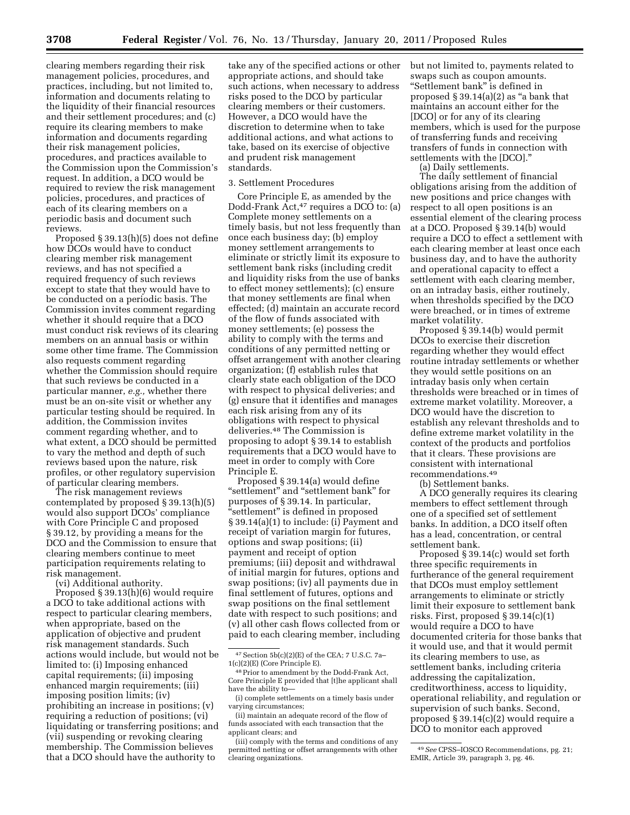clearing members regarding their risk management policies, procedures, and practices, including, but not limited to, information and documents relating to the liquidity of their financial resources and their settlement procedures; and (c) require its clearing members to make information and documents regarding their risk management policies, procedures, and practices available to the Commission upon the Commission's request. In addition, a DCO would be required to review the risk management policies, procedures, and practices of each of its clearing members on a periodic basis and document such reviews.

Proposed § 39.13(h)(5) does not define how DCOs would have to conduct clearing member risk management reviews, and has not specified a required frequency of such reviews except to state that they would have to be conducted on a periodic basis. The Commission invites comment regarding whether it should require that a DCO must conduct risk reviews of its clearing members on an annual basis or within some other time frame. The Commission also requests comment regarding whether the Commission should require that such reviews be conducted in a particular manner, *e.g.,* whether there must be an on-site visit or whether any particular testing should be required. In addition, the Commission invites comment regarding whether, and to what extent, a DCO should be permitted to vary the method and depth of such reviews based upon the nature, risk profiles, or other regulatory supervision of particular clearing members.

The risk management reviews contemplated by proposed § 39.13(h)(5) would also support DCOs' compliance with Core Principle C and proposed § 39.12, by providing a means for the DCO and the Commission to ensure that clearing members continue to meet participation requirements relating to risk management.

(vi) Additional authority.

Proposed § 39.13(h)(6) would require a DCO to take additional actions with respect to particular clearing members, when appropriate, based on the application of objective and prudent risk management standards. Such actions would include, but would not be limited to: (i) Imposing enhanced capital requirements; (ii) imposing enhanced margin requirements; (iii) imposing position limits; (iv) prohibiting an increase in positions; (v) requiring a reduction of positions; (vi) liquidating or transferring positions; and (vii) suspending or revoking clearing membership. The Commission believes that a DCO should have the authority to

take any of the specified actions or other appropriate actions, and should take such actions, when necessary to address risks posed to the DCO by particular clearing members or their customers. However, a DCO would have the discretion to determine when to take additional actions, and what actions to take, based on its exercise of objective and prudent risk management standards.

# 3. Settlement Procedures

Core Principle E, as amended by the Dodd-Frank Act,<sup>47</sup> requires a DCO to: (a) Complete money settlements on a timely basis, but not less frequently than once each business day; (b) employ money settlement arrangements to eliminate or strictly limit its exposure to settlement bank risks (including credit and liquidity risks from the use of banks to effect money settlements); (c) ensure that money settlements are final when effected; (d) maintain an accurate record of the flow of funds associated with money settlements; (e) possess the ability to comply with the terms and conditions of any permitted netting or offset arrangement with another clearing organization; (f) establish rules that clearly state each obligation of the DCO with respect to physical deliveries; and (g) ensure that it identifies and manages each risk arising from any of its obligations with respect to physical deliveries.48 The Commission is proposing to adopt § 39.14 to establish requirements that a DCO would have to meet in order to comply with Core Principle E.

Proposed § 39.14(a) would define "settlement" and "settlement bank" for purposes of § 39.14. In particular, "settlement" is defined in proposed § 39.14(a)(1) to include: (i) Payment and receipt of variation margin for futures, options and swap positions; (ii) payment and receipt of option premiums; (iii) deposit and withdrawal of initial margin for futures, options and swap positions; (iv) all payments due in final settlement of futures, options and swap positions on the final settlement date with respect to such positions; and (v) all other cash flows collected from or paid to each clearing member, including but not limited to, payments related to swaps such as coupon amounts. ''Settlement bank'' is defined in proposed  $\S 39.14(a)(2)$  as "a bank that maintains an account either for the [DCO] or for any of its clearing members, which is used for the purpose of transferring funds and receiving transfers of funds in connection with settlements with the [DCO].''

(a) Daily settlements.

The daily settlement of financial obligations arising from the addition of new positions and price changes with respect to all open positions is an essential element of the clearing process at a DCO. Proposed § 39.14(b) would require a DCO to effect a settlement with each clearing member at least once each business day, and to have the authority and operational capacity to effect a settlement with each clearing member, on an intraday basis, either routinely, when thresholds specified by the DCO were breached, or in times of extreme market volatility.

Proposed § 39.14(b) would permit DCOs to exercise their discretion regarding whether they would effect routine intraday settlements or whether they would settle positions on an intraday basis only when certain thresholds were breached or in times of extreme market volatility. Moreover, a DCO would have the discretion to establish any relevant thresholds and to define extreme market volatility in the context of the products and portfolios that it clears. These provisions are consistent with international recommendations.49

(b) Settlement banks.

A DCO generally requires its clearing members to effect settlement through one of a specified set of settlement banks. In addition, a DCO itself often has a lead, concentration, or central settlement bank.

Proposed § 39.14(c) would set forth three specific requirements in furtherance of the general requirement that DCOs must employ settlement arrangements to eliminate or strictly limit their exposure to settlement bank risks. First, proposed § 39.14(c)(1) would require a DCO to have documented criteria for those banks that it would use, and that it would permit its clearing members to use, as settlement banks, including criteria addressing the capitalization, creditworthiness, access to liquidity, operational reliability, and regulation or supervision of such banks. Second, proposed § 39.14(c)(2) would require a DCO to monitor each approved

 $47$  Section  $5b(c)(2)(E)$  of the CEA; 7 U.S.C. 7a-1(c)(2)(E) (Core Principle E).

<sup>48</sup>Prior to amendment by the Dodd-Frank Act, Core Principle E provided that [t]he applicant shall have the ability to—

<sup>(</sup>i) complete settlements on a timely basis under varying circumstances;

<sup>(</sup>ii) maintain an adequate record of the flow of funds associated with each transaction that the applicant clears; and

<sup>(</sup>iii) comply with the terms and conditions of any permitted netting or offset arrangements with other clearing organizations.

<sup>49</sup>*See* CPSS–IOSCO Recommendations, pg. 21; EMIR, Article 39, paragraph 3, pg. 46.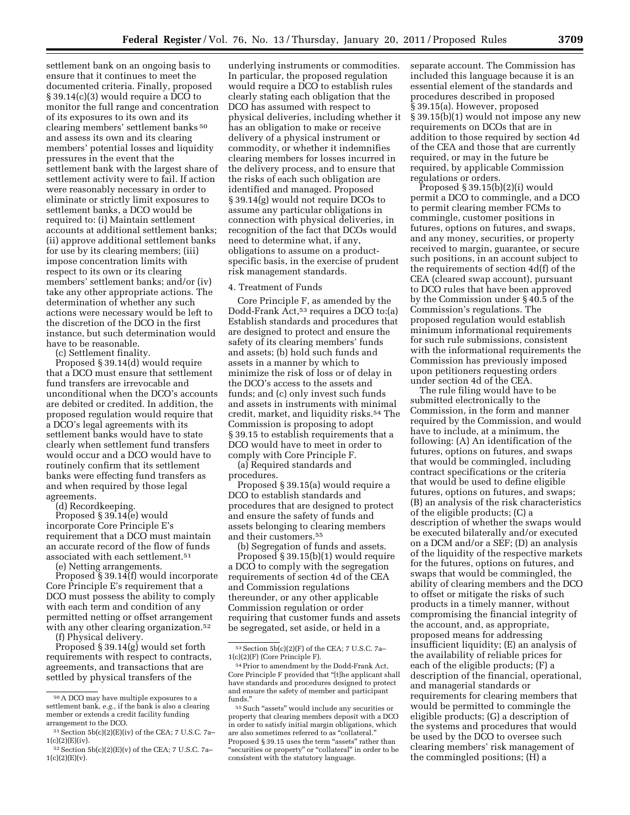settlement bank on an ongoing basis to ensure that it continues to meet the documented criteria. Finally, proposed § 39.14(c)(3) would require a DCO to monitor the full range and concentration of its exposures to its own and its clearing members' settlement banks 50 and assess its own and its clearing members' potential losses and liquidity pressures in the event that the settlement bank with the largest share of settlement activity were to fail. If action were reasonably necessary in order to eliminate or strictly limit exposures to settlement banks, a DCO would be required to: (i) Maintain settlement accounts at additional settlement banks; (ii) approve additional settlement banks for use by its clearing members; (iii) impose concentration limits with respect to its own or its clearing members' settlement banks; and/or (iv) take any other appropriate actions. The determination of whether any such actions were necessary would be left to the discretion of the DCO in the first instance, but such determination would have to be reasonable.

(c) Settlement finality.

Proposed § 39.14(d) would require that a DCO must ensure that settlement fund transfers are irrevocable and unconditional when the DCO's accounts are debited or credited. In addition, the proposed regulation would require that a DCO's legal agreements with its settlement banks would have to state clearly when settlement fund transfers would occur and a DCO would have to routinely confirm that its settlement banks were effecting fund transfers as and when required by those legal agreements.

(d) Recordkeeping.

Proposed § 39.14(e) would incorporate Core Principle E's requirement that a DCO must maintain an accurate record of the flow of funds associated with each settlement.51

(e) Netting arrangements.

Proposed § 39.14(f) would incorporate Core Principle E's requirement that a DCO must possess the ability to comply with each term and condition of any permitted netting or offset arrangement with any other clearing organization.<sup>52</sup>

(f) Physical delivery.

Proposed § 39.14(g) would set forth requirements with respect to contracts, agreements, and transactions that are settled by physical transfers of the

underlying instruments or commodities. In particular, the proposed regulation would require a DCO to establish rules clearly stating each obligation that the DCO has assumed with respect to physical deliveries, including whether it has an obligation to make or receive delivery of a physical instrument or commodity, or whether it indemnifies clearing members for losses incurred in the delivery process, and to ensure that the risks of each such obligation are identified and managed. Proposed § 39.14(g) would not require DCOs to assume any particular obligations in connection with physical deliveries, in recognition of the fact that DCOs would need to determine what, if any, obligations to assume on a productspecific basis, in the exercise of prudent risk management standards.

### 4. Treatment of Funds

Core Principle F, as amended by the Dodd-Frank Act,<sup>53</sup> requires a DCO to:(a) Establish standards and procedures that are designed to protect and ensure the safety of its clearing members' funds and assets; (b) hold such funds and assets in a manner by which to minimize the risk of loss or of delay in the DCO's access to the assets and funds; and (c) only invest such funds and assets in instruments with minimal credit, market, and liquidity risks.54 The Commission is proposing to adopt § 39.15 to establish requirements that a DCO would have to meet in order to comply with Core Principle F.

(a) Required standards and procedures.

Proposed § 39.15(a) would require a DCO to establish standards and procedures that are designed to protect and ensure the safety of funds and assets belonging to clearing members and their customers.55

(b) Segregation of funds and assets. Proposed § 39.15(b)(1) would require a DCO to comply with the segregation requirements of section 4d of the CEA and Commission regulations thereunder, or any other applicable Commission regulation or order requiring that customer funds and assets be segregated, set aside, or held in a

separate account. The Commission has included this language because it is an essential element of the standards and procedures described in proposed § 39.15(a). However, proposed § 39.15(b)(1) would not impose any new requirements on DCOs that are in addition to those required by section 4d of the CEA and those that are currently required, or may in the future be required, by applicable Commission regulations or orders.

Proposed  $\S 39.15(b)(2)(i)$  would permit a DCO to commingle, and a DCO to permit clearing member FCMs to commingle, customer positions in futures, options on futures, and swaps, and any money, securities, or property received to margin, guarantee, or secure such positions, in an account subject to the requirements of section 4d(f) of the CEA (cleared swap account), pursuant to DCO rules that have been approved by the Commission under § 40.5 of the Commission's regulations. The proposed regulation would establish minimum informational requirements for such rule submissions, consistent with the informational requirements the Commission has previously imposed upon petitioners requesting orders under section 4d of the CEA.

The rule filing would have to be submitted electronically to the Commission, in the form and manner required by the Commission, and would have to include, at a minimum, the following: (A) An identification of the futures, options on futures, and swaps that would be commingled, including contract specifications or the criteria that would be used to define eligible futures, options on futures, and swaps; (B) an analysis of the risk characteristics of the eligible products; (C) a description of whether the swaps would be executed bilaterally and/or executed on a DCM and/or a SEF; (D) an analysis of the liquidity of the respective markets for the futures, options on futures, and swaps that would be commingled, the ability of clearing members and the DCO to offset or mitigate the risks of such products in a timely manner, without compromising the financial integrity of the account, and, as appropriate, proposed means for addressing insufficient liquidity; (E) an analysis of the availability of reliable prices for each of the eligible products; (F) a description of the financial, operational, and managerial standards or requirements for clearing members that would be permitted to commingle the eligible products; (G) a description of the systems and procedures that would be used by the DCO to oversee such clearing members' risk management of the commingled positions; (H) a

<sup>50</sup>A DCO may have multiple exposures to a settlement bank, *e.g.,* if the bank is also a clearing member or extends a credit facility funding arrangement to the DCO.

 $51$  Section  $5b(c)(2)(E)(iv)$  of the CEA; 7 U.S.C. 7a- $1(c)(2)(E)(iv).$ 

 $52$  Section  $5b(c)(2)(E)(v)$  of the CEA; 7 U.S.C. 7a- $1(c)(2)(E)(v).$ 

 $53$  Section  $5b(c)(2)(F)$  of the CEA; 7 U.S.C. 7a-1(c)(2)(F) (Core Principle F).

<sup>54</sup>Prior to amendment by the Dodd-Frank Act, Core Principle F provided that ''[t]he applicant shall have standards and procedures designed to protect and ensure the safety of member and participant funds.''

<sup>55</sup>Such ''assets'' would include any securities or property that clearing members deposit with a DCO in order to satisfy initial margin obligations, which are also sometimes referred to as "collateral. Proposed § 39.15 uses the term "assets" rather than "securities or property" or "collateral" in order to be consistent with the statutory language.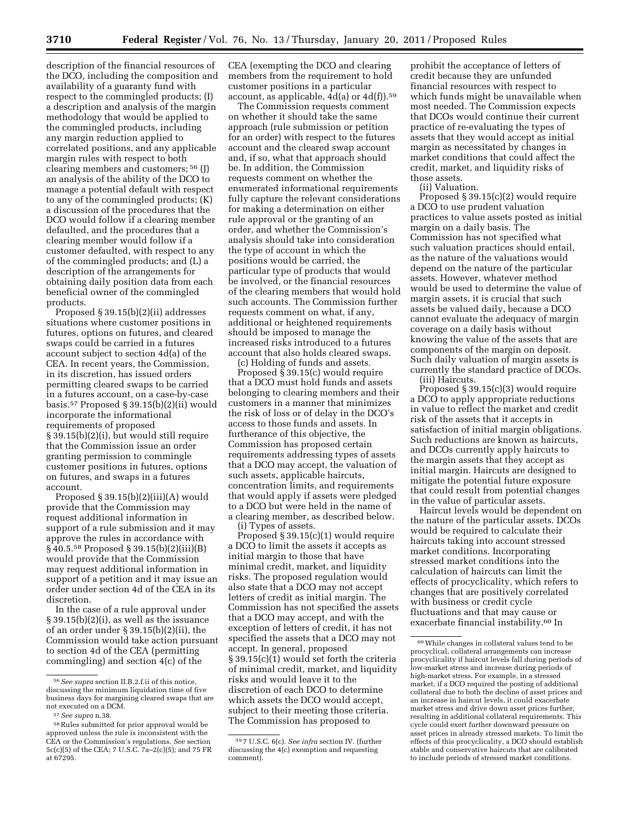description of the financial resources of the DCO, including the composition and availability of a guaranty fund with respect to the commingled products; (I) a description and analysis of the margin methodology that would be applied to the commingled products, including any margin reduction applied to correlated positions, and any applicable margin rules with respect to both clearing members and customers; 56 (J) an analysis of the ability of the DCO to manage a potential default with respect to any of the commingled products; (K) a discussion of the procedures that the DCO would follow if a clearing member defaulted, and the procedures that a clearing member would follow if a customer defaulted, with respect to any of the commingled products; and (L) a description of the arrangements for obtaining daily position data from each beneficial owner of the commingled products.

Proposed § 39.15(b)(2)(ii) addresses situations where customer positions in futures, options on futures, and cleared swaps could be carried in a futures account subject to section 4d(a) of the CEA. In recent years, the Commission, in its discretion, has issued orders permitting cleared swaps to be carried in a futures account, on a case-by-case basis.57 Proposed § 39.15(b)(2)(ii) would incorporate the informational requirements of proposed § 39.15(b)(2)(i), but would still require that the Commission issue an order granting permission to commingle customer positions in futures, options on futures, and swaps in a futures account.

Proposed  $§$  39.15(b)(2)(iii)(A) would provide that the Commission may request additional information in support of a rule submission and it may approve the rules in accordance with § 40.5.58 Proposed § 39.15(b)(2)(iii)(B) would provide that the Commission may request additional information in support of a petition and it may issue an order under section 4d of the CEA in its discretion.

In the case of a rule approval under § 39.15(b)(2)(i), as well as the issuance of an order under  $\S 39.15(b)(2)(ii)$ , the Commission would take action pursuant to section 4d of the CEA (permitting commingling) and section 4(c) of the

CEA (exempting the DCO and clearing members from the requirement to hold customer positions in a particular account, as applicable,  $4d(a)$  or  $4d(f)$ ).<sup>59</sup>

The Commission requests comment on whether it should take the same approach (rule submission or petition for an order) with respect to the futures account and the cleared swap account and, if so, what that approach should be. In addition, the Commission requests comment on whether the enumerated informational requirements fully capture the relevant considerations for making a determination on either rule approval or the granting of an order, and whether the Commission's analysis should take into consideration the type of account in which the positions would be carried, the particular type of products that would be involved, or the financial resources of the clearing members that would hold such accounts. The Commission further requests comment on what, if any, additional or heightened requirements should be imposed to manage the increased risks introduced to a futures account that also holds cleared swaps.

(c) Holding of funds and assets.

Proposed  $\S$  39.15(c) would require that a DCO must hold funds and assets belonging to clearing members and their customers in a manner that minimizes the risk of loss or of delay in the DCO's access to those funds and assets. In furtherance of this objective, the Commission has proposed certain requirements addressing types of assets that a DCO may accept, the valuation of such assets, applicable haircuts, concentration limits, and requirements that would apply if assets were pledged to a DCO but were held in the name of a clearing member, as described below.

i) Types of assets. Proposed § 39.15(c)(1) would require a DCO to limit the assets it accepts as initial margin to those that have minimal credit, market, and liquidity risks. The proposed regulation would also state that a DCO may not accept letters of credit as initial margin. The Commission has not specified the assets that a DCO may accept, and with the exception of letters of credit, it has not specified the assets that a DCO may not accept. In general, proposed § 39.15(c)(1) would set forth the criteria of minimal credit, market, and liquidity risks and would leave it to the discretion of each DCO to determine which assets the DCO would accept, subject to their meeting those criteria. The Commission has proposed to

prohibit the acceptance of letters of credit because they are unfunded financial resources with respect to which funds might be unavailable when most needed. The Commission expects that DCOs would continue their current practice of re-evaluating the types of assets that they would accept as initial margin as necessitated by changes in market conditions that could affect the credit, market, and liquidity risks of those assets.

(ii) Valuation.

Proposed § 39.15(c)(2) would require a DCO to use prudent valuation practices to value assets posted as initial margin on a daily basis. The Commission has not specified what such valuation practices should entail, as the nature of the valuations would depend on the nature of the particular assets. However, whatever method would be used to determine the value of margin assets, it is crucial that such assets be valued daily, because a DCO cannot evaluate the adequacy of margin coverage on a daily basis without knowing the value of the assets that are components of the margin on deposit. Such daily valuation of margin assets is currently the standard practice of DCOs. (iii) Haircuts.

Proposed § 39.15(c)(3) would require a DCO to apply appropriate reductions in value to reflect the market and credit risk of the assets that it accepts in satisfaction of initial margin obligations. Such reductions are known as haircuts, and DCOs currently apply haircuts to the margin assets that they accept as initial margin. Haircuts are designed to mitigate the potential future exposure that could result from potential changes in the value of particular assets.

Haircut levels would be dependent on the nature of the particular assets. DCOs would be required to calculate their haircuts taking into account stressed market conditions. Incorporating stressed market conditions into the calculation of haircuts can limit the effects of procyclicality, which refers to changes that are positively correlated with business or credit cycle fluctuations and that may cause or exacerbate financial instability.60 In

<sup>56</sup>*See supra* section II.B.2.f.ii of this notice, discussing the minimum liquidation time of five business days for margining cleared swaps that are not executed on a DCM.

<sup>57</sup>*See supra* n.38.

<sup>58</sup>Rules submitted for prior approval would be approved unless the rule is inconsistent with the CEA or the Commission's regulations. *See* section 5c(c)(5) of the CEA; 7 U.S.C. 7a–2(c)(5); and 75 FR at 67295.

<sup>59</sup> 7 U.S.C. 6(c). *See infra* section IV. (further discussing the 4(c) exemption and requesting comment).

<sup>60</sup>While changes in collateral values tend to be procyclical, collateral arrangements can increase procyclicality if haircut levels fall during periods of low-market stress and increase during periods of high-market stress. For example, in a stressed market, if a DCO required the posting of additional collateral due to both the decline of asset prices and an increase in haircut levels, it could exacerbate market stress and drive down asset prices further, resulting in additional collateral requirements. This cycle could exert further downward pressure on asset prices in already stressed markets. To limit the effects of this procyclicality, a DCO should establish stable and conservative haircuts that are calibrated to include periods of stressed market conditions.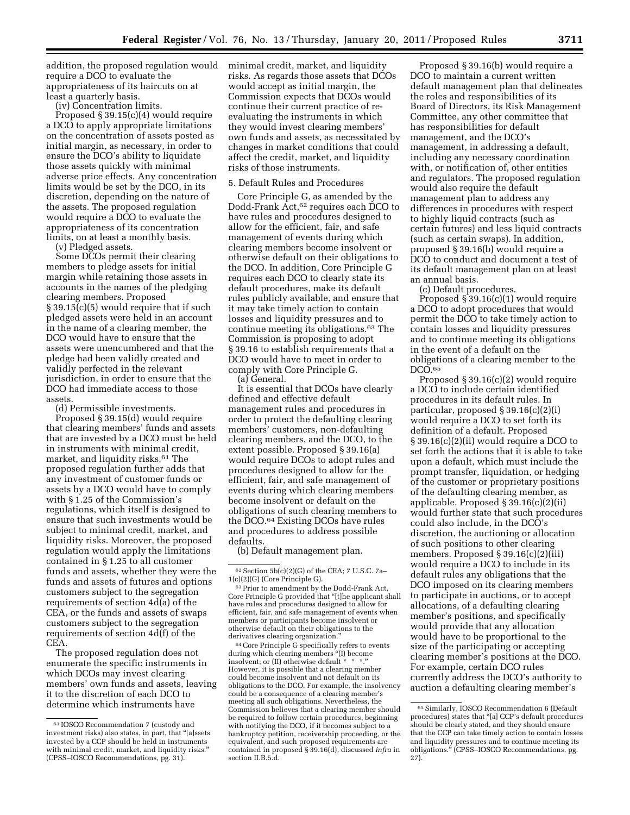addition, the proposed regulation would require a DCO to evaluate the appropriateness of its haircuts on at least a quarterly basis.

(iv) Concentration limits.

Proposed § 39.15(c)(4) would require a DCO to apply appropriate limitations on the concentration of assets posted as initial margin, as necessary, in order to ensure the DCO's ability to liquidate those assets quickly with minimal adverse price effects. Any concentration limits would be set by the DCO, in its discretion, depending on the nature of the assets. The proposed regulation would require a DCO to evaluate the appropriateness of its concentration limits, on at least a monthly basis.

(v) Pledged assets. Some DCOs permit their clearing members to pledge assets for initial margin while retaining those assets in accounts in the names of the pledging clearing members. Proposed § 39.15(c)(5) would require that if such pledged assets were held in an account in the name of a clearing member, the DCO would have to ensure that the assets were unencumbered and that the pledge had been validly created and validly perfected in the relevant jurisdiction, in order to ensure that the DCO had immediate access to those assets.

(d) Permissible investments.

Proposed § 39.15(d) would require that clearing members' funds and assets that are invested by a DCO must be held in instruments with minimal credit, market, and liquidity risks.61 The proposed regulation further adds that any investment of customer funds or assets by a DCO would have to comply with § 1.25 of the Commission's regulations, which itself is designed to ensure that such investments would be subject to minimal credit, market, and liquidity risks. Moreover, the proposed regulation would apply the limitations contained in § 1.25 to all customer funds and assets, whether they were the funds and assets of futures and options customers subject to the segregation requirements of section 4d(a) of the CEA, or the funds and assets of swaps customers subject to the segregation requirements of section 4d(f) of the CEA.

The proposed regulation does not enumerate the specific instruments in which DCOs may invest clearing members' own funds and assets, leaving it to the discretion of each DCO to determine which instruments have

minimal credit, market, and liquidity risks. As regards those assets that DCOs would accept as initial margin, the Commission expects that DCOs would continue their current practice of reevaluating the instruments in which they would invest clearing members' own funds and assets, as necessitated by changes in market conditions that could affect the credit, market, and liquidity risks of those instruments.

### 5. Default Rules and Procedures

Core Principle G, as amended by the Dodd-Frank Act,62 requires each DCO to have rules and procedures designed to allow for the efficient, fair, and safe management of events during which clearing members become insolvent or otherwise default on their obligations to the DCO. In addition, Core Principle G requires each DCO to clearly state its default procedures, make its default rules publicly available, and ensure that it may take timely action to contain losses and liquidity pressures and to continue meeting its obligations.63 The Commission is proposing to adopt § 39.16 to establish requirements that a DCO would have to meet in order to comply with Core Principle G.

(a) General.

It is essential that DCOs have clearly defined and effective default management rules and procedures in order to protect the defaulting clearing members' customers, non-defaulting clearing members, and the DCO, to the extent possible. Proposed § 39.16(a) would require DCOs to adopt rules and procedures designed to allow for the efficient, fair, and safe management of events during which clearing members become insolvent or default on the obligations of such clearing members to the DCO.64 Existing DCOs have rules and procedures to address possible defaults.

(b) Default management plan.

64Core Principle G specifically refers to events during which clearing members ''(I) become insolvent; or (II) otherwise default \* \* \*.'' However, it is possible that a clearing member could become insolvent and not default on its obligations to the DCO. For example, the insolvency could be a consequence of a clearing member's meeting all such obligations. Nevertheless, the Commission believes that a clearing member should be required to follow certain procedures, beginning with notifying the DCO, if it becomes subject to a bankruptcy petition, receivership proceeding, or the equivalent, and such proposed requirements are contained in proposed § 39.16(d), discussed *infra* in section II.B.5.d.

Proposed § 39.16(b) would require a DCO to maintain a current written default management plan that delineates the roles and responsibilities of its Board of Directors, its Risk Management Committee, any other committee that has responsibilities for default management, and the DCO's management, in addressing a default, including any necessary coordination with, or notification of, other entities and regulators. The proposed regulation would also require the default management plan to address any differences in procedures with respect to highly liquid contracts (such as certain futures) and less liquid contracts (such as certain swaps). In addition, proposed § 39.16(b) would require a DCO to conduct and document a test of its default management plan on at least an annual basis.

(c) Default procedures.

Proposed  $\S$ 39.16(c)(1) would require a DCO to adopt procedures that would permit the DCO to take timely action to contain losses and liquidity pressures and to continue meeting its obligations in the event of a default on the obligations of a clearing member to the DCO.<sup>65</sup>

Proposed § 39.16(c)(2) would require a DCO to include certain identified procedures in its default rules. In particular, proposed § 39.16(c)(2)(i) would require a DCO to set forth its definition of a default. Proposed § 39.16(c)(2)(ii) would require a DCO to set forth the actions that it is able to take upon a default, which must include the prompt transfer, liquidation, or hedging of the customer or proprietary positions of the defaulting clearing member, as applicable. Proposed § 39.16(c)(2)(ii) would further state that such procedures could also include, in the DCO's discretion, the auctioning or allocation of such positions to other clearing members. Proposed § 39.16(c)(2)(iii) would require a DCO to include in its default rules any obligations that the DCO imposed on its clearing members to participate in auctions, or to accept allocations, of a defaulting clearing member's positions, and specifically would provide that any allocation would have to be proportional to the size of the participating or accepting clearing member's positions at the DCO. For example, certain DCO rules currently address the DCO's authority to auction a defaulting clearing member's

<sup>61</sup> IOSCO Recommendation 7 (custody and investment risks) also states, in part, that ''[a]ssets invested by a CCP should be held in instruments with minimal credit, market, and liquidity risks.'' (CPSS–IOSCO Recommendations, pg. 31).

 $62$  Section 5b(c)(2)(G) of the CEA; 7 U.S.C. 7a-<br>1(c)(2)(G) (Core Principle G).

 $^{63}$  Prior to amendment by the Dodd-Frank Act, Core Principle G provided that ''[t]he applicant shall have rules and procedures designed to allow for efficient, fair, and safe management of events when members or participants become insolvent or otherwise default on their obligations to the derivatives clearing organization.''

<sup>65</sup>Similarly, IOSCO Recommendation 6 (Default procedures) states that ''[a] CCP's default procedures should be clearly stated, and they should ensure that the CCP can take timely action to contain losses and liquidity pressures and to continue meeting its obligations.'' (CPSS–IOSCO Recommendations, pg. 27).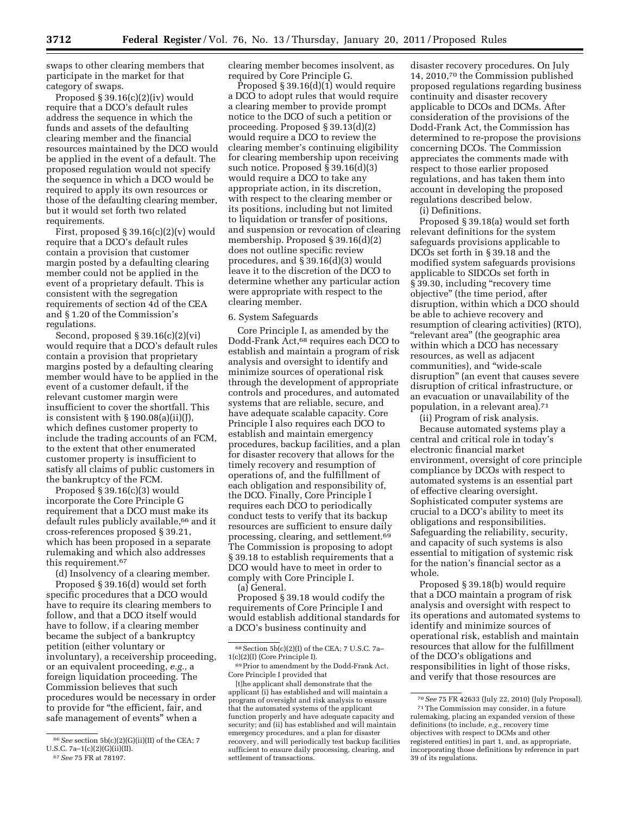swaps to other clearing members that participate in the market for that category of swaps.

Proposed § 39.16(c)(2)(iv) would require that a DCO's default rules address the sequence in which the funds and assets of the defaulting clearing member and the financial resources maintained by the DCO would be applied in the event of a default. The proposed regulation would not specify the sequence in which a DCO would be required to apply its own resources or those of the defaulting clearing member, but it would set forth two related requirements.

First, proposed  $\S 39.16(c)(2)(v)$  would require that a DCO's default rules contain a provision that customer margin posted by a defaulting clearing member could not be applied in the event of a proprietary default. This is consistent with the segregation requirements of section 4d of the CEA and § 1.20 of the Commission's regulations.

Second, proposed § 39.16(c)(2)(vi) would require that a DCO's default rules contain a provision that proprietary margins posted by a defaulting clearing member would have to be applied in the event of a customer default, if the relevant customer margin were insufficient to cover the shortfall. This is consistent with  $\S 190.08(a)(ii)(J)$ , which defines customer property to include the trading accounts of an FCM, to the extent that other enumerated customer property is insufficient to satisfy all claims of public customers in the bankruptcy of the FCM.

Proposed § 39.16(c)(3) would incorporate the Core Principle G requirement that a DCO must make its default rules publicly available,66 and it cross-references proposed § 39.21, which has been proposed in a separate rulemaking and which also addresses this requirement.67

(d) Insolvency of a clearing member. Proposed § 39.16(d) would set forth specific procedures that a DCO would have to require its clearing members to follow, and that a DCO itself would have to follow, if a clearing member became the subject of a bankruptcy petition (either voluntary or involuntary), a receivership proceeding, or an equivalent proceeding, *e.g.,* a foreign liquidation proceeding. The Commission believes that such procedures would be necessary in order to provide for ''the efficient, fair, and safe management of events'' when a

Proposed § 39.16(d)(1) would require a DCO to adopt rules that would require a clearing member to provide prompt notice to the DCO of such a petition or proceeding. Proposed § 39.13(d)(2) would require a DCO to review the clearing member's continuing eligibility for clearing membership upon receiving such notice. Proposed  $\S$  39.16(d)(3) would require a DCO to take any appropriate action, in its discretion, with respect to the clearing member or its positions, including but not limited to liquidation or transfer of positions, and suspension or revocation of clearing membership. Proposed § 39.16(d)(2) does not outline specific review procedures, and § 39.16(d)(3) would leave it to the discretion of the DCO to determine whether any particular action were appropriate with respect to the clearing member.

### 6. System Safeguards

Core Principle I, as amended by the Dodd-Frank Act,68 requires each DCO to establish and maintain a program of risk analysis and oversight to identify and minimize sources of operational risk through the development of appropriate controls and procedures, and automated systems that are reliable, secure, and have adequate scalable capacity. Core Principle I also requires each DCO to establish and maintain emergency procedures, backup facilities, and a plan for disaster recovery that allows for the timely recovery and resumption of operations of, and the fulfillment of each obligation and responsibility of, the DCO. Finally, Core Principle I requires each DCO to periodically conduct tests to verify that its backup resources are sufficient to ensure daily processing, clearing, and settlement.69 The Commission is proposing to adopt § 39.18 to establish requirements that a DCO would have to meet in order to comply with Core Principle I. (a) General.

Proposed § 39.18 would codify the requirements of Core Principle I and would establish additional standards for a DCO's business continuity and

disaster recovery procedures. On July 14, 2010,70 the Commission published proposed regulations regarding business continuity and disaster recovery applicable to DCOs and DCMs. After consideration of the provisions of the Dodd-Frank Act, the Commission has determined to re-propose the provisions concerning DCOs. The Commission appreciates the comments made with respect to those earlier proposed regulations, and has taken them into account in developing the proposed regulations described below.

(i) Definitions.

Proposed § 39.18(a) would set forth relevant definitions for the system safeguards provisions applicable to DCOs set forth in § 39.18 and the modified system safeguards provisions applicable to SIDCOs set forth in § 39.30, including "recovery time objective'' (the time period, after disruption, within which a DCO should be able to achieve recovery and resumption of clearing activities) (RTO), ''relevant area'' (the geographic area within which a DCO has necessary resources, as well as adjacent communities), and ''wide-scale disruption'' (an event that causes severe disruption of critical infrastructure, or an evacuation or unavailability of the population, in a relevant area).<sup>71</sup>

(ii) Program of risk analysis.

Because automated systems play a central and critical role in today's electronic financial market environment, oversight of core principle compliance by DCOs with respect to automated systems is an essential part of effective clearing oversight. Sophisticated computer systems are crucial to a DCO's ability to meet its obligations and responsibilities. Safeguarding the reliability, security, and capacity of such systems is also essential to mitigation of systemic risk for the nation's financial sector as a whole.

Proposed § 39.18(b) would require that a DCO maintain a program of risk analysis and oversight with respect to its operations and automated systems to identify and minimize sources of operational risk, establish and maintain resources that allow for the fulfillment of the DCO's obligations and responsibilities in light of those risks, and verify that those resources are

<sup>66</sup>*See* section 5b(c)(2)(G)(ii)(II) of the CEA; 7 U.S.C. 7a-1(c)(2)(G)(ii)(II). 67*See* 75 FR at 78197.

clearing member becomes insolvent, as required by Core Principle G.

 $68$  Section  $5b(c)(2)(I)$  of the CEA; 7 U.S.C. 7a-1(c)(2)(I) (Core Principle I).

<sup>69</sup>Prior to amendment by the Dodd-Frank Act, Core Principle I provided that

<sup>[</sup>t]he applicant shall demonstrate that the applicant (i) has established and will maintain a program of oversight and risk analysis to ensure that the automated systems of the applicant function properly and have adequate capacity and security; and (ii) has established and will maintain emergency procedures, and a plan for disaster recovery, and will periodically test backup facilities sufficient to ensure daily processing, clearing, and settlement of transactions.

<sup>70</sup>*See* 75 FR 42633 (July 22, 2010) (July Proposal). 71The Commission may consider, in a future

rulemaking, placing an expanded version of these definitions (to include, *e.g.,* recovery time objectives with respect to DCMs and other registered entities) in part 1, and, as appropriate, incorporating those definitions by reference in part 39 of its regulations.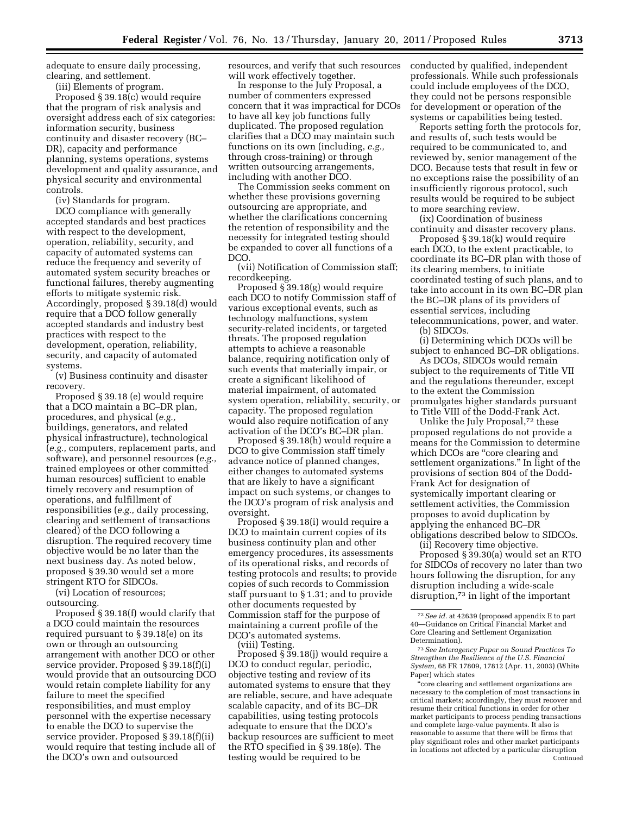adequate to ensure daily processing, clearing, and settlement.

(iii) Elements of program.

Proposed § 39.18(c) would require that the program of risk analysis and oversight address each of six categories: information security, business continuity and disaster recovery (BC– DR), capacity and performance planning, systems operations, systems development and quality assurance, and physical security and environmental controls.

(iv) Standards for program.

DCO compliance with generally accepted standards and best practices with respect to the development, operation, reliability, security, and capacity of automated systems can reduce the frequency and severity of automated system security breaches or functional failures, thereby augmenting efforts to mitigate systemic risk. Accordingly, proposed § 39.18(d) would require that a DCO follow generally accepted standards and industry best practices with respect to the development, operation, reliability, security, and capacity of automated systems.

(v) Business continuity and disaster recovery.

Proposed § 39.18 (e) would require that a DCO maintain a BC–DR plan, procedures, and physical (*e.g.,*  buildings, generators, and related physical infrastructure), technological (*e.g.,* computers, replacement parts, and software), and personnel resources (*e.g.,*  trained employees or other committed human resources) sufficient to enable timely recovery and resumption of operations, and fulfillment of responsibilities (*e.g.,* daily processing, clearing and settlement of transactions cleared) of the DCO following a disruption. The required recovery time objective would be no later than the next business day. As noted below, proposed § 39.30 would set a more stringent RTO for SIDCOs.

(vi) Location of resources; outsourcing.

Proposed § 39.18(f) would clarify that a DCO could maintain the resources required pursuant to § 39.18(e) on its own or through an outsourcing arrangement with another DCO or other service provider. Proposed § 39.18(f)(i) would provide that an outsourcing DCO would retain complete liability for any failure to meet the specified responsibilities, and must employ personnel with the expertise necessary to enable the DCO to supervise the service provider. Proposed § 39.18(f)(ii) would require that testing include all of the DCO's own and outsourced

resources, and verify that such resources will work effectively together.

In response to the July Proposal, a number of commenters expressed concern that it was impractical for DCOs to have all key job functions fully duplicated. The proposed regulation clarifies that a DCO may maintain such functions on its own (including, *e.g.,*  through cross-training) or through written outsourcing arrangements, including with another DCO.

The Commission seeks comment on whether these provisions governing outsourcing are appropriate, and whether the clarifications concerning the retention of responsibility and the necessity for integrated testing should be expanded to cover all functions of a DCO.

(vii) Notification of Commission staff; recordkeeping.

Proposed § 39.18(g) would require each DCO to notify Commission staff of various exceptional events, such as technology malfunctions, system security-related incidents, or targeted threats. The proposed regulation attempts to achieve a reasonable balance, requiring notification only of such events that materially impair, or create a significant likelihood of material impairment, of automated system operation, reliability, security, or capacity. The proposed regulation would also require notification of any activation of the DCO's BC–DR plan.

Proposed § 39.18(h) would require a DCO to give Commission staff timely advance notice of planned changes, either changes to automated systems that are likely to have a significant impact on such systems, or changes to the DCO's program of risk analysis and oversight.

Proposed § 39.18(i) would require a DCO to maintain current copies of its business continuity plan and other emergency procedures, its assessments of its operational risks, and records of testing protocols and results; to provide copies of such records to Commission staff pursuant to § 1.31; and to provide other documents requested by Commission staff for the purpose of maintaining a current profile of the DCO's automated systems.

(viii) Testing.

Proposed § 39.18(j) would require a DCO to conduct regular, periodic, objective testing and review of its automated systems to ensure that they are reliable, secure, and have adequate scalable capacity, and of its BC–DR capabilities, using testing protocols adequate to ensure that the DCO's backup resources are sufficient to meet the RTO specified in § 39.18(e). The testing would be required to be

conducted by qualified, independent professionals. While such professionals could include employees of the DCO, they could not be persons responsible for development or operation of the systems or capabilities being tested.

Reports setting forth the protocols for, and results of, such tests would be required to be communicated to, and reviewed by, senior management of the DCO. Because tests that result in few or no exceptions raise the possibility of an insufficiently rigorous protocol, such results would be required to be subject to more searching review.

(ix) Coordination of business continuity and disaster recovery plans.

Proposed § 39.18(k) would require each DCO, to the extent practicable, to coordinate its BC–DR plan with those of its clearing members, to initiate coordinated testing of such plans, and to take into account in its own BC–DR plan the BC–DR plans of its providers of essential services, including telecommunications, power, and water. (b) SIDCOs.

(i) Determining which DCOs will be subject to enhanced BC–DR obligations.

As DCOs, SIDCOs would remain subject to the requirements of Title VII and the regulations thereunder, except to the extent the Commission promulgates higher standards pursuant to Title VIII of the Dodd-Frank Act.

Unlike the July Proposal,72 these proposed regulations do not provide a means for the Commission to determine which DCOs are "core clearing and settlement organizations.'' In light of the provisions of section 804 of the Dodd-Frank Act for designation of systemically important clearing or settlement activities, the Commission proposes to avoid duplication by applying the enhanced BC–DR obligations described below to SIDCOs.

(ii) Recovery time objective. Proposed § 39.30(a) would set an RTO for SIDCOs of recovery no later than two hours following the disruption, for any disruption including a wide-scale disruption,73 in light of the important

''core clearing and settlement organizations are necessary to the completion of most transactions in critical markets; accordingly, they must recover and resume their critical functions in order for other market participants to process pending transactions and complete large-value payments. It also is reasonable to assume that there will be firms that play significant roles and other market participants in locations not affected by a particular disruption Continued

<sup>72</sup>*See id.* at 42639 (proposed appendix E to part 40—Guidance on Critical Financial Market and Core Clearing and Settlement Organization Determination).

<sup>73</sup>*See Interagency Paper on Sound Practices To Strengthen the Resilience of the U.S. Financial System,* 68 FR 17809, 17812 (Apr. 11, 2003) (White Paper) which states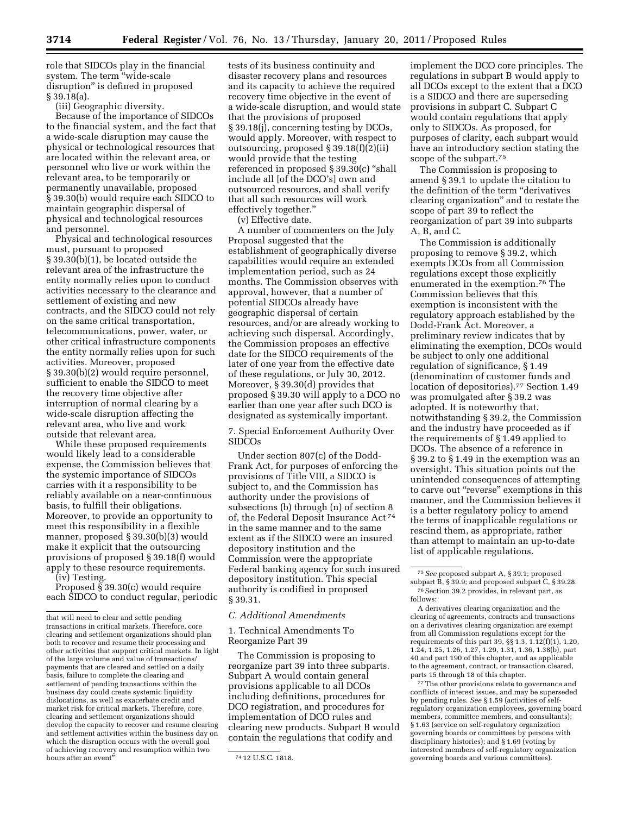role that SIDCOs play in the financial system. The term "wide-scale disruption'' is defined in proposed § 39.18(a).

(iii) Geographic diversity.

Because of the importance of SIDCOs to the financial system, and the fact that a wide-scale disruption may cause the physical or technological resources that are located within the relevant area, or personnel who live or work within the relevant area, to be temporarily or permanently unavailable, proposed § 39.30(b) would require each SIDCO to maintain geographic dispersal of physical and technological resources and personnel.

Physical and technological resources must, pursuant to proposed § 39.30(b)(1), be located outside the relevant area of the infrastructure the entity normally relies upon to conduct activities necessary to the clearance and settlement of existing and new contracts, and the SIDCO could not rely on the same critical transportation, telecommunications, power, water, or other critical infrastructure components the entity normally relies upon for such activities. Moreover, proposed § 39.30(b)(2) would require personnel, sufficient to enable the SIDCO to meet the recovery time objective after interruption of normal clearing by a wide-scale disruption affecting the relevant area, who live and work outside that relevant area.

While these proposed requirements would likely lead to a considerable expense, the Commission believes that the systemic importance of SIDCOs carries with it a responsibility to be reliably available on a near-continuous basis, to fulfill their obligations. Moreover, to provide an opportunity to meet this responsibility in a flexible manner, proposed § 39.30(b)(3) would make it explicit that the outsourcing provisions of proposed § 39.18(f) would apply to these resource requirements.

(iv) Testing.

Proposed  $\S$  39.30(c) would require each SIDCO to conduct regular, periodic tests of its business continuity and disaster recovery plans and resources and its capacity to achieve the required recovery time objective in the event of a wide-scale disruption, and would state that the provisions of proposed § 39.18(j), concerning testing by DCOs, would apply. Moreover, with respect to outsourcing, proposed § 39.18(f)(2)(ii) would provide that the testing referenced in proposed § 39.30(c) ''shall include all [of the DCO's] own and outsourced resources, and shall verify that all such resources will work effectively together.''

(v) Effective date.

A number of commenters on the July Proposal suggested that the establishment of geographically diverse capabilities would require an extended implementation period, such as 24 months. The Commission observes with approval, however, that a number of potential SIDCOs already have geographic dispersal of certain resources, and/or are already working to achieving such dispersal. Accordingly, the Commission proposes an effective date for the SIDCO requirements of the later of one year from the effective date of these regulations, or July 30, 2012. Moreover, § 39.30(d) provides that proposed § 39.30 will apply to a DCO no earlier than one year after such DCO is designated as systemically important.

7. Special Enforcement Authority Over SIDCOs

Under section 807(c) of the Dodd-Frank Act, for purposes of enforcing the provisions of Title VIII, a SIDCO is subject to, and the Commission has authority under the provisions of subsections (b) through (n) of section 8 of, the Federal Deposit Insurance Act 74 in the same manner and to the same extent as if the SIDCO were an insured depository institution and the Commission were the appropriate Federal banking agency for such insured depository institution. This special authority is codified in proposed § 39.31.

### *C. Additional Amendments*

1. Technical Amendments To Reorganize Part 39

The Commission is proposing to reorganize part 39 into three subparts. Subpart A would contain general provisions applicable to all DCOs including definitions, procedures for DCO registration, and procedures for implementation of DCO rules and clearing new products. Subpart B would contain the regulations that codify and

implement the DCO core principles. The regulations in subpart B would apply to all DCOs except to the extent that a DCO is a SIDCO and there are superseding provisions in subpart C. Subpart C would contain regulations that apply only to SIDCOs. As proposed, for purposes of clarity, each subpart would have an introductory section stating the scope of the subpart.<sup>75</sup>

The Commission is proposing to amend § 39.1 to update the citation to the definition of the term ''derivatives clearing organization'' and to restate the scope of part 39 to reflect the reorganization of part 39 into subparts A, B, and C.

The Commission is additionally proposing to remove § 39.2, which exempts DCOs from all Commission regulations except those explicitly enumerated in the exemption.76 The Commission believes that this exemption is inconsistent with the regulatory approach established by the Dodd-Frank Act. Moreover, a preliminary review indicates that by eliminating the exemption, DCOs would be subject to only one additional regulation of significance, § 1.49 (denomination of customer funds and location of depositories).<sup>77</sup> Section 1.49 was promulgated after § 39.2 was adopted. It is noteworthy that, notwithstanding § 39.2, the Commission and the industry have proceeded as if the requirements of § 1.49 applied to DCOs. The absence of a reference in § 39.2 to § 1.49 in the exemption was an oversight. This situation points out the unintended consequences of attempting to carve out "reverse" exemptions in this manner, and the Commission believes it is a better regulatory policy to amend the terms of inapplicable regulations or rescind them, as appropriate, rather than attempt to maintain an up-to-date list of applicable regulations.

77The other provisions relate to governance and conflicts of interest issues, and may be superseded by pending rules. *See* § 1.59 (activities of selfregulatory organization employees, governing board members, committee members, and consultants); § 1.63 (service on self-regulatory organization governing boards or committees by persons with disciplinary histories); and § 1.69 (voting by interested members of self-regulatory organization governing boards and various committees).

that will need to clear and settle pending transactions in critical markets. Therefore, core clearing and settlement organizations should plan both to recover and resume their processing and other activities that support critical markets. In light of the large volume and value of transactions/ payments that are cleared and settled on a daily basis, failure to complete the clearing and settlement of pending transactions within the business day could create systemic liquidity dislocations, as well as exacerbate credit and market risk for critical markets. Therefore, core clearing and settlement organizations should develop the capacity to recover and resume clearing and settlement activities within the business day on which the disruption occurs with the overall goal of achieving recovery and resumption within two

<sup>&</sup>lt;sup>74</sup> 12 U.S.C. 1818.

<sup>75</sup>*See* proposed subpart A, § 39.1; proposed subpart  $\overline{B}$ ,  $\S$  39.9; and proposed subpart  $\overline{C}$ ,  $\S$  39.28. 76Section 39.2 provides, in relevant part, as follows:

A derivatives clearing organization and the clearing of agreements, contracts and transactions on a derivatives clearing organization are exempt from all Commission regulations except for the requirements of this part 39, §§ 1.3, 1.12(f)(1), 1.20, 1.24, 1.25, 1.26, 1.27, 1.29, 1.31, 1.36, 1.38(b), part 40 and part 190 of this chapter, and as applicable to the agreement, contract, or transaction cleared, parts 15 through 18 of this chapter.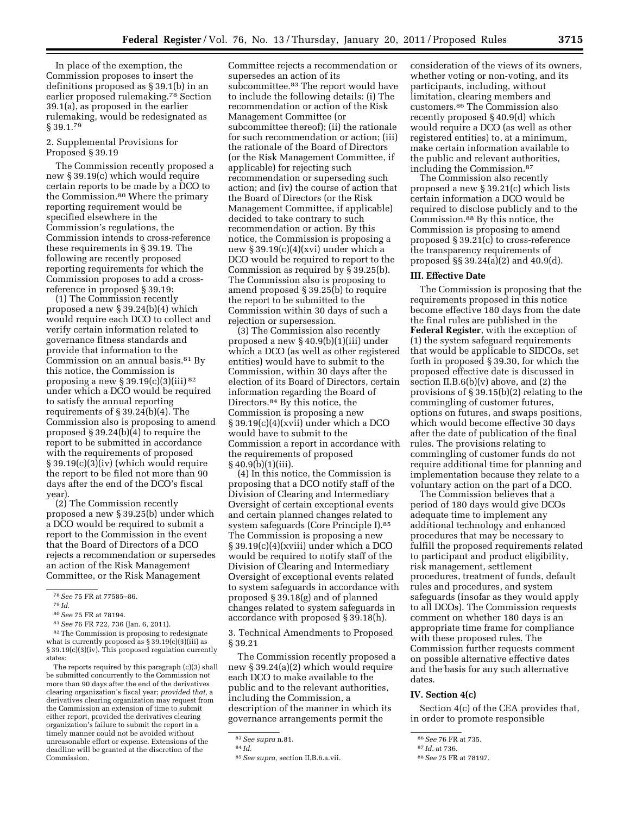In place of the exemption, the Commission proposes to insert the definitions proposed as § 39.1(b) in an earlier proposed rulemaking.78 Section 39.1(a), as proposed in the earlier rulemaking, would be redesignated as § 39.1.79

### 2. Supplemental Provisions for Proposed § 39.19

The Commission recently proposed a new § 39.19(c) which would require certain reports to be made by a DCO to the Commission.80 Where the primary reporting requirement would be specified elsewhere in the Commission's regulations, the Commission intends to cross-reference these requirements in § 39.19. The following are recently proposed reporting requirements for which the Commission proposes to add a crossreference in proposed § 39.19:

(1) The Commission recently proposed a new § 39.24(b)(4) which would require each DCO to collect and verify certain information related to governance fitness standards and provide that information to the Commission on an annual basis.81 By this notice, the Commission is proposing a new  $\S 39.19(c)(3)(iii)^{82}$ under which a DCO would be required to satisfy the annual reporting requirements of § 39.24(b)(4). The Commission also is proposing to amend proposed § 39.24(b)(4) to require the report to be submitted in accordance with the requirements of proposed § 39.19(c)(3)(iv) (which would require the report to be filed not more than 90 days after the end of the DCO's fiscal year).

(2) The Commission recently proposed a new § 39.25(b) under which a DCO would be required to submit a report to the Commission in the event that the Board of Directors of a DCO rejects a recommendation or supersedes an action of the Risk Management Committee, or the Risk Management

82The Commission is proposing to redesignate what is currently proposed as § 39.19(c)(3)(iii) as § 39.19(c)(3)(iv). This proposed regulation currently states:

The reports required by this paragraph (c)(3) shall be submitted concurrently to the Commission not more than 90 days after the end of the derivatives clearing organization's fiscal year; *provided that,* a derivatives clearing organization may request from the Commission an extension of time to submit either report, provided the derivatives clearing organization's failure to submit the report in a timely manner could not be avoided without unreasonable effort or expense. Extensions of the deadline will be granted at the discretion of the Commission.

Committee rejects a recommendation or supersedes an action of its subcommittee.83 The report would have to include the following details: (i) The recommendation or action of the Risk Management Committee (or subcommittee thereof); (ii) the rationale for such recommendation or action; (iii) the rationale of the Board of Directors (or the Risk Management Committee, if applicable) for rejecting such recommendation or superseding such action; and (iv) the course of action that the Board of Directors (or the Risk Management Committee, if applicable) decided to take contrary to such recommendation or action. By this notice, the Commission is proposing a new § 39.19(c)(4)(xvi) under which a DCO would be required to report to the Commission as required by § 39.25(b). The Commission also is proposing to amend proposed § 39.25(b) to require the report to be submitted to the Commission within 30 days of such a rejection or supersession.

(3) The Commission also recently proposed a new § 40.9(b)(1)(iii) under which a DCO (as well as other registered entities) would have to submit to the Commission, within 30 days after the election of its Board of Directors, certain information regarding the Board of Directors.84 By this notice, the Commission is proposing a new § 39.19(c)(4)(xvii) under which a DCO would have to submit to the Commission a report in accordance with the requirements of proposed § 40.9(b)(1)(iii).

(4) In this notice, the Commission is proposing that a DCO notify staff of the Division of Clearing and Intermediary Oversight of certain exceptional events and certain planned changes related to system safeguards (Core Principle I).85 The Commission is proposing a new § 39.19(c)(4)(xviii) under which a DCO would be required to notify staff of the Division of Clearing and Intermediary Oversight of exceptional events related to system safeguards in accordance with proposed § 39.18(g) and of planned changes related to system safeguards in accordance with proposed § 39.18(h).

3. Technical Amendments to Proposed § 39.21

The Commission recently proposed a new § 39.24(a)(2) which would require each DCO to make available to the public and to the relevant authorities, including the Commission, a description of the manner in which its governance arrangements permit the

consideration of the views of its owners, whether voting or non-voting, and its participants, including, without limitation, clearing members and customers.86 The Commission also recently proposed § 40.9(d) which would require a DCO (as well as other registered entities) to, at a minimum, make certain information available to the public and relevant authorities, including the Commission.87

The Commission also recently proposed a new § 39.21(c) which lists certain information a DCO would be required to disclose publicly and to the Commission.88 By this notice, the Commission is proposing to amend proposed § 39.21(c) to cross-reference the transparency requirements of proposed §§ 39.24(a)(2) and 40.9(d).

# **III. Effective Date**

The Commission is proposing that the requirements proposed in this notice become effective 180 days from the date the final rules are published in the **Federal Register**, with the exception of (1) the system safeguard requirements that would be applicable to SIDCOs, set forth in proposed § 39.30, for which the proposed effective date is discussed in section II.B.6(b)(v) above, and (2) the provisions of § 39.15(b)(2) relating to the commingling of customer futures, options on futures, and swaps positions, which would become effective 30 days after the date of publication of the final rules. The provisions relating to commingling of customer funds do not require additional time for planning and implementation because they relate to a voluntary action on the part of a DCO.

The Commission believes that a period of 180 days would give DCOs adequate time to implement any additional technology and enhanced procedures that may be necessary to fulfill the proposed requirements related to participant and product eligibility, risk management, settlement procedures, treatment of funds, default rules and procedures, and system safeguards (insofar as they would apply to all DCOs). The Commission requests comment on whether 180 days is an appropriate time frame for compliance with these proposed rules. The Commission further requests comment on possible alternative effective dates and the basis for any such alternative dates.

# **IV. Section 4(c)**

Section 4(c) of the CEA provides that, in order to promote responsible

<sup>78</sup>*See* 75 FR at 77585–86.

<sup>79</sup> *Id.* 

<sup>80</sup>*See* 75 FR at 78194.

<sup>81</sup>*See* 76 FR 722, 736 (Jan. 6, 2011).

<sup>83</sup>*See supra* n.81.

<sup>84</sup> *Id.* 

<sup>85</sup>*See supra,* section II.B.6.a.vii.

<sup>86</sup>*See* 76 FR at 735.

<sup>87</sup> *Id.* at 736.

<sup>88</sup>*See* 75 FR at 78197.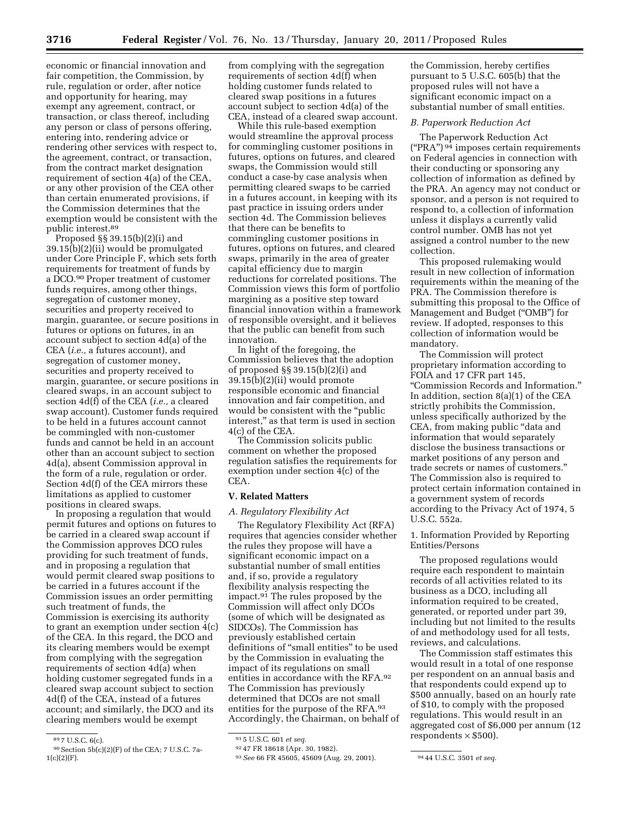economic or financial innovation and fair competition, the Commission, by rule, regulation or order, after notice and opportunity for hearing, may exempt any agreement, contract, or transaction, or class thereof, including any person or class of persons offering, entering into, rendering advice or rendering other services with respect to, the agreement, contract, or transaction, from the contract market designation requirement of section 4(a) of the CEA, or any other provision of the CEA other than certain enumerated provisions, if the Commission determines that the exemption would be consistent with the public interest.89

Proposed §§ 39.15(b)(2)(i) and 39.15(b)(2)(ii) would be promulgated under Core Principle F, which sets forth requirements for treatment of funds by a DCO.90 Proper treatment of customer funds requires, among other things, segregation of customer money, securities and property received to margin, guarantee, or secure positions in futures or options on futures, in an account subject to section 4d(a) of the CEA (*i.e.,* a futures account), and segregation of customer money, securities and property received to margin, guarantee, or secure positions in cleared swaps, in an account subject to section 4d(f) of the CEA (*i.e.,* a cleared swap account). Customer funds required to be held in a futures account cannot be commingled with non-customer funds and cannot be held in an account other than an account subject to section 4d(a), absent Commission approval in the form of a rule, regulation or order. Section 4d(f) of the CEA mirrors these limitations as applied to customer positions in cleared swaps.

In proposing a regulation that would permit futures and options on futures to be carried in a cleared swap account if the Commission approves DCO rules providing for such treatment of funds, and in proposing a regulation that would permit cleared swap positions to be carried in a futures account if the Commission issues an order permitting such treatment of funds, the Commission is exercising its authority to grant an exemption under section 4(c) of the CEA. In this regard, the DCO and its clearing members would be exempt from complying with the segregation requirements of section 4d(a) when holding customer segregated funds in a cleared swap account subject to section 4d(f) of the CEA, instead of a futures account; and similarly, the DCO and its clearing members would be exempt

from complying with the segregation requirements of section 4d(f) when holding customer funds related to cleared swap positions in a futures account subject to section 4d(a) of the CEA, instead of a cleared swap account.

While this rule-based exemption would streamline the approval process for commingling customer positions in futures, options on futures, and cleared swaps, the Commission would still conduct a case-by case analysis when permitting cleared swaps to be carried in a futures account, in keeping with its past practice in issuing orders under section 4d. The Commission believes that there can be benefits to commingling customer positions in futures, options on futures, and cleared swaps, primarily in the area of greater capital efficiency due to margin reductions for correlated positions. The Commission views this form of portfolio margining as a positive step toward financial innovation within a framework of responsible oversight, and it believes that the public can benefit from such innovation.

In light of the foregoing, the Commission believes that the adoption of proposed §§ 39.15(b)(2)(i) and 39.15(b)(2)(ii) would promote responsible economic and financial innovation and fair competition, and would be consistent with the ''public interest,'' as that term is used in section 4(c) of the CEA.

The Commission solicits public comment on whether the proposed regulation satisfies the requirements for exemption under section 4(c) of the CEA.

### **V. Related Matters**

#### *A. Regulatory Flexibility Act*

The Regulatory Flexibility Act (RFA) requires that agencies consider whether the rules they propose will have a significant economic impact on a substantial number of small entities and, if so, provide a regulatory flexibility analysis respecting the impact.<sup>91</sup> The rules proposed by the Commission will affect only DCOs (some of which will be designated as SIDCOs). The Commission has previously established certain definitions of ''small entities'' to be used by the Commission in evaluating the impact of its regulations on small entities in accordance with the RFA.92 The Commission has previously determined that DCOs are not small entities for the purpose of the RFA.93 Accordingly, the Chairman, on behalf of

the Commission, hereby certifies pursuant to 5 U.S.C. 605(b) that the proposed rules will not have a significant economic impact on a substantial number of small entities.

### *B. Paperwork Reduction Act*

The Paperwork Reduction Act  $("PRA")<sup>94</sup>$  imposes certain requirements on Federal agencies in connection with their conducting or sponsoring any collection of information as defined by the PRA. An agency may not conduct or sponsor, and a person is not required to respond to, a collection of information unless it displays a currently valid control number. OMB has not yet assigned a control number to the new collection.

This proposed rulemaking would result in new collection of information requirements within the meaning of the PRA. The Commission therefore is submitting this proposal to the Office of Management and Budget (''OMB'') for review. If adopted, responses to this collection of information would be mandatory.

The Commission will protect proprietary information according to FOIA and 17 CFR part 145, ''Commission Records and Information.'' In addition, section 8(a)(1) of the CEA strictly prohibits the Commission, unless specifically authorized by the CEA, from making public "data and information that would separately disclose the business transactions or market positions of any person and trade secrets or names of customers.'' The Commission also is required to protect certain information contained in a government system of records according to the Privacy Act of 1974, 5 U.S.C. 552a.

1. Information Provided by Reporting Entities/Persons

The proposed regulations would require each respondent to maintain records of all activities related to its business as a DCO, including all information required to be created, generated, or reported under part 39, including but not limited to the results of and methodology used for all tests, reviews, and calculations.

The Commission staff estimates this would result in a total of one response per respondent on an annual basis and that respondents could expend up to \$500 annually, based on an hourly rate of \$10, to comply with the proposed regulations. This would result in an aggregated cost of \$6,000 per annum (12 respondents  $\times$  \$500).

<sup>89</sup> 7 U.S.C. 6(c).

<sup>90</sup>Section 5b(c)(2)(F) of the CEA; 7 U.S.C. 7a- $1(c)(2)(F)$ .

<sup>91</sup> 5 U.S.C. 601 *et seq.* 

<sup>92</sup> 47 FR 18618 (Apr. 30, 1982).

<sup>93</sup>*See* 66 FR 45605, 45609 (Aug. 29, 2001). 94 44 U.S.C. 3501 *et seq.*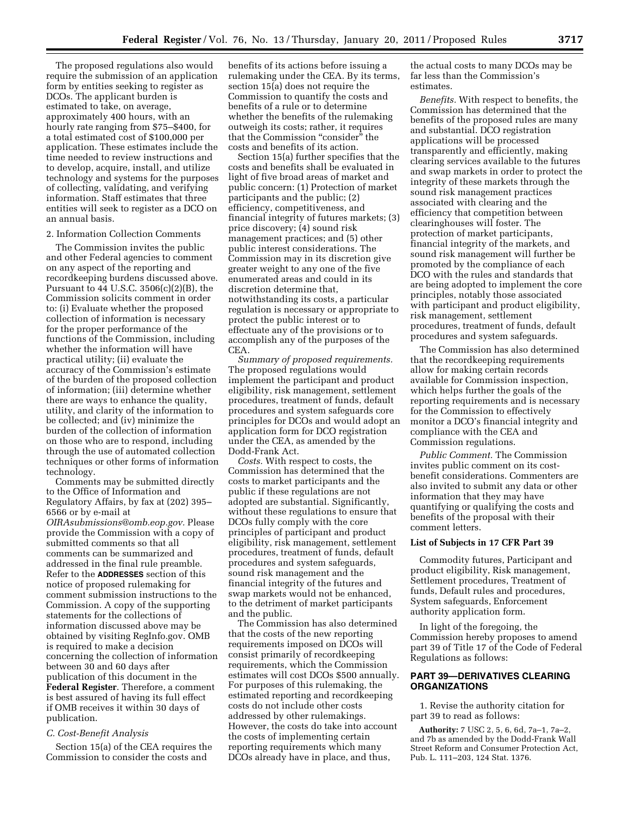The proposed regulations also would require the submission of an application form by entities seeking to register as DCOs. The applicant burden is estimated to take, on average, approximately 400 hours, with an hourly rate ranging from \$75–\$400, for a total estimated cost of \$100,000 per application. These estimates include the time needed to review instructions and to develop, acquire, install, and utilize technology and systems for the purposes of collecting, validating, and verifying information. Staff estimates that three entities will seek to register as a DCO on an annual basis.

#### 2. Information Collection Comments

The Commission invites the public and other Federal agencies to comment on any aspect of the reporting and recordkeeping burdens discussed above. Pursuant to  $44$  U.S.C. 3506(c)(2)(B), the Commission solicits comment in order to: (i) Evaluate whether the proposed collection of information is necessary for the proper performance of the functions of the Commission, including whether the information will have practical utility; (ii) evaluate the accuracy of the Commission's estimate of the burden of the proposed collection of information; (iii) determine whether there are ways to enhance the quality, utility, and clarity of the information to be collected; and (iv) minimize the burden of the collection of information on those who are to respond, including through the use of automated collection techniques or other forms of information technology.

Comments may be submitted directly to the Office of Information and Regulatory Affairs, by fax at (202) 395– 6566 or by e-mail at *[OIRAsubmissions@omb.eop.gov.](mailto:OIRAsubmissions@omb.eop.gov)* Please provide the Commission with a copy of submitted comments so that all comments can be summarized and addressed in the final rule preamble. Refer to the **ADDRESSES** section of this notice of proposed rulemaking for comment submission instructions to the Commission. A copy of the supporting statements for the collections of information discussed above may be obtained by visiting RegInfo.gov. OMB is required to make a decision concerning the collection of information between 30 and 60 days after publication of this document in the **Federal Register**. Therefore, a comment is best assured of having its full effect if OMB receives it within 30 days of publication.

#### *C. Cost-Benefit Analysis*

Section 15(a) of the CEA requires the Commission to consider the costs and

benefits of its actions before issuing a rulemaking under the CEA. By its terms, section 15(a) does not require the Commission to quantify the costs and benefits of a rule or to determine whether the benefits of the rulemaking outweigh its costs; rather, it requires that the Commission ''consider'' the costs and benefits of its action.

Section 15(a) further specifies that the costs and benefits shall be evaluated in light of five broad areas of market and public concern: (1) Protection of market participants and the public; (2) efficiency, competitiveness, and financial integrity of futures markets; (3) price discovery; (4) sound risk management practices; and (5) other public interest considerations. The Commission may in its discretion give greater weight to any one of the five enumerated areas and could in its discretion determine that, notwithstanding its costs, a particular regulation is necessary or appropriate to protect the public interest or to effectuate any of the provisions or to accomplish any of the purposes of the CEA.

*Summary of proposed requirements.*  The proposed regulations would implement the participant and product eligibility, risk management, settlement procedures, treatment of funds, default procedures and system safeguards core principles for DCOs and would adopt an application form for DCO registration under the CEA, as amended by the Dodd-Frank Act.

*Costs.* With respect to costs, the Commission has determined that the costs to market participants and the public if these regulations are not adopted are substantial. Significantly, without these regulations to ensure that DCOs fully comply with the core principles of participant and product eligibility, risk management, settlement procedures, treatment of funds, default procedures and system safeguards, sound risk management and the financial integrity of the futures and swap markets would not be enhanced, to the detriment of market participants and the public.

The Commission has also determined that the costs of the new reporting requirements imposed on DCOs will consist primarily of recordkeeping requirements, which the Commission estimates will cost DCOs \$500 annually. For purposes of this rulemaking, the estimated reporting and recordkeeping costs do not include other costs addressed by other rulemakings. However, the costs do take into account the costs of implementing certain reporting requirements which many DCOs already have in place, and thus,

the actual costs to many DCOs may be far less than the Commission's estimates.

*Benefits.* With respect to benefits, the Commission has determined that the benefits of the proposed rules are many and substantial. DCO registration applications will be processed transparently and efficiently, making clearing services available to the futures and swap markets in order to protect the integrity of these markets through the sound risk management practices associated with clearing and the efficiency that competition between clearinghouses will foster. The protection of market participants, financial integrity of the markets, and sound risk management will further be promoted by the compliance of each DCO with the rules and standards that are being adopted to implement the core principles, notably those associated with participant and product eligibility, risk management, settlement procedures, treatment of funds, default procedures and system safeguards.

The Commission has also determined that the recordkeeping requirements allow for making certain records available for Commission inspection, which helps further the goals of the reporting requirements and is necessary for the Commission to effectively monitor a DCO's financial integrity and compliance with the CEA and Commission regulations.

*Public Comment.* The Commission invites public comment on its costbenefit considerations. Commenters are also invited to submit any data or other information that they may have quantifying or qualifying the costs and benefits of the proposal with their comment letters.

#### **List of Subjects in 17 CFR Part 39**

Commodity futures, Participant and product eligibility, Risk management, Settlement procedures, Treatment of funds, Default rules and procedures, System safeguards, Enforcement authority application form.

In light of the foregoing, the Commission hereby proposes to amend part 39 of Title 17 of the Code of Federal Regulations as follows:

### **PART 39—DERIVATIVES CLEARING ORGANIZATIONS**

1. Revise the authority citation for part 39 to read as follows:

**Authority:** 7 USC 2, 5, 6, 6d, 7a–1, 7a–2, and 7b as amended by the Dodd-Frank Wall Street Reform and Consumer Protection Act, Pub. L. 111–203, 124 Stat. 1376.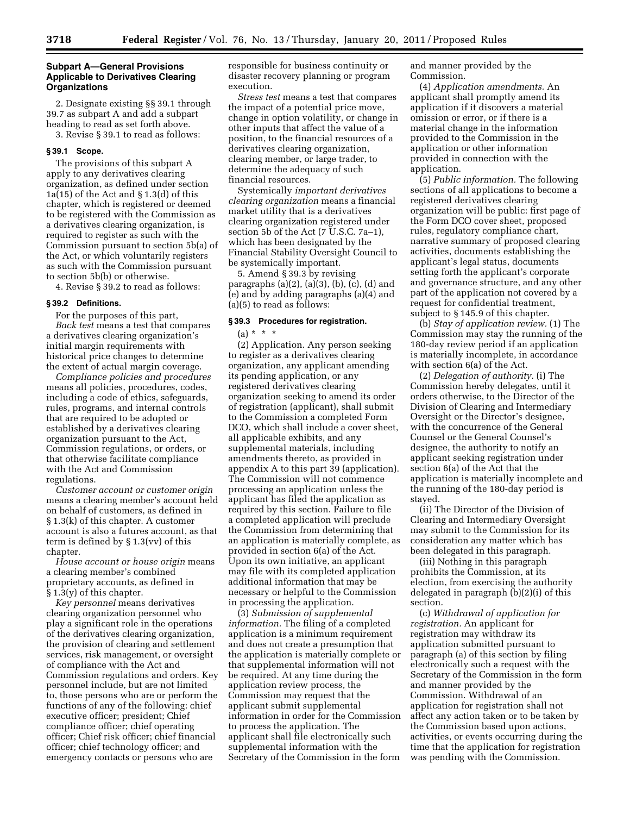### **Subpart A—General Provisions Applicable to Derivatives Clearing Organizations**

2. Designate existing §§ 39.1 through 39.7 as subpart A and add a subpart heading to read as set forth above. 3. Revise § 39.1 to read as follows:

### **§ 39.1 Scope.**

The provisions of this subpart A apply to any derivatives clearing organization, as defined under section 1a(15) of the Act and  $\S 1.3(d)$  of this chapter, which is registered or deemed to be registered with the Commission as a derivatives clearing organization, is required to register as such with the Commission pursuant to section 5b(a) of the Act, or which voluntarily registers as such with the Commission pursuant to section 5b(b) or otherwise.

4. Revise § 39.2 to read as follows:

### **§ 39.2 Definitions.**

For the purposes of this part, *Back test* means a test that compares a derivatives clearing organization's initial margin requirements with historical price changes to determine the extent of actual margin coverage.

*Compliance policies and procedures*  means all policies, procedures, codes, including a code of ethics, safeguards, rules, programs, and internal controls that are required to be adopted or established by a derivatives clearing organization pursuant to the Act, Commission regulations, or orders, or that otherwise facilitate compliance with the Act and Commission regulations.

*Customer account or customer origin*  means a clearing member's account held on behalf of customers, as defined in § 1.3(k) of this chapter. A customer account is also a futures account, as that term is defined by § 1.3(vv) of this chapter.

*House account or house origin* means a clearing member's combined proprietary accounts, as defined in  $§ 1.3(y)$  of this chapter.

*Key personnel* means derivatives clearing organization personnel who play a significant role in the operations of the derivatives clearing organization, the provision of clearing and settlement services, risk management, or oversight of compliance with the Act and Commission regulations and orders. Key personnel include, but are not limited to, those persons who are or perform the functions of any of the following: chief executive officer; president; Chief compliance officer; chief operating officer; Chief risk officer; chief financial officer; chief technology officer; and emergency contacts or persons who are

responsible for business continuity or disaster recovery planning or program execution.

*Stress test* means a test that compares the impact of a potential price move, change in option volatility, or change in other inputs that affect the value of a position, to the financial resources of a derivatives clearing organization, clearing member, or large trader, to determine the adequacy of such financial resources.

Systemically *important derivatives clearing organization* means a financial market utility that is a derivatives clearing organization registered under section  $\overline{5}$ b of the Act (7 U.S.C. 7a–1), which has been designated by the Financial Stability Oversight Council to be systemically important.

5. Amend § 39.3 by revising paragraphs (a)(2), (a)(3), (b), (c), (d) and (e) and by adding paragraphs (a)(4) and (a)(5) to read as follows:

## **§ 39.3 Procedures for registration.**

 $(a) * * * *$ 

(2) Application. Any person seeking to register as a derivatives clearing organization, any applicant amending its pending application, or any registered derivatives clearing organization seeking to amend its order of registration (applicant), shall submit to the Commission a completed Form DCO, which shall include a cover sheet, all applicable exhibits, and any supplemental materials, including amendments thereto, as provided in appendix A to this part 39 (application). The Commission will not commence processing an application unless the applicant has filed the application as required by this section. Failure to file a completed application will preclude the Commission from determining that an application is materially complete, as provided in section 6(a) of the Act. Upon its own initiative, an applicant may file with its completed application additional information that may be necessary or helpful to the Commission in processing the application.

(3) *Submission of supplemental information.* The filing of a completed application is a minimum requirement and does not create a presumption that the application is materially complete or that supplemental information will not be required. At any time during the application review process, the Commission may request that the applicant submit supplemental information in order for the Commission to process the application. The applicant shall file electronically such supplemental information with the Secretary of the Commission in the form

and manner provided by the Commission.

(4) *Application amendments.* An applicant shall promptly amend its application if it discovers a material omission or error, or if there is a material change in the information provided to the Commission in the application or other information provided in connection with the application.

(5) *Public information.* The following sections of all applications to become a registered derivatives clearing organization will be public: first page of the Form DCO cover sheet, proposed rules, regulatory compliance chart, narrative summary of proposed clearing activities, documents establishing the applicant's legal status, documents setting forth the applicant's corporate and governance structure, and any other part of the application not covered by a request for confidential treatment, subject to § 145.9 of this chapter.

(b) *Stay of application review.* (1) The Commission may stay the running of the 180-day review period if an application is materially incomplete, in accordance with section 6(a) of the Act.

(2) *Delegation of authority.* (i) The Commission hereby delegates, until it orders otherwise, to the Director of the Division of Clearing and Intermediary Oversight or the Director's designee, with the concurrence of the General Counsel or the General Counsel's designee, the authority to notify an applicant seeking registration under section 6(a) of the Act that the application is materially incomplete and the running of the 180-day period is stayed.

(ii) The Director of the Division of Clearing and Intermediary Oversight may submit to the Commission for its consideration any matter which has been delegated in this paragraph.

(iii) Nothing in this paragraph prohibits the Commission, at its election, from exercising the authority delegated in paragraph (b)(2)(i) of this section.

(c) *Withdrawal of application for registration.* An applicant for registration may withdraw its application submitted pursuant to paragraph (a) of this section by filing electronically such a request with the Secretary of the Commission in the form and manner provided by the Commission. Withdrawal of an application for registration shall not affect any action taken or to be taken by the Commission based upon actions, activities, or events occurring during the time that the application for registration was pending with the Commission.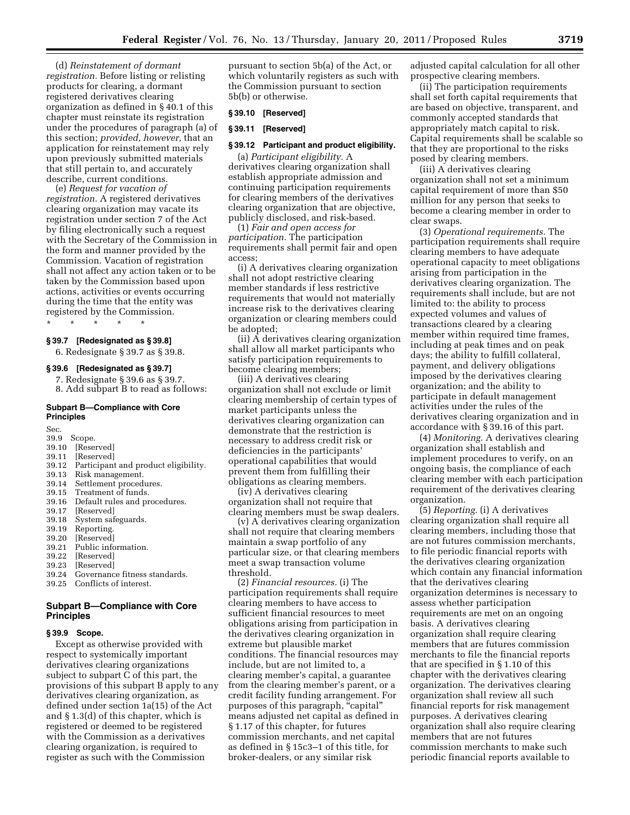(d) *Reinstatement of dormant registration.* Before listing or relisting products for clearing, a dormant registered derivatives clearing organization as defined in § 40.1 of this chapter must reinstate its registration under the procedures of paragraph (a) of this section; *provided, however,* that an application for reinstatement may rely upon previously submitted materials that still pertain to, and accurately describe, current conditions.

(e) *Request for vacation of registration.* A registered derivatives clearing organization may vacate its registration under section 7 of the Act by filing electronically such a request with the Secretary of the Commission in the form and manner provided by the Commission. Vacation of registration shall not affect any action taken or to be taken by the Commission based upon actions, activities or events occurring during the time that the entity was registered by the Commission.

\* \* \* \* \*

# **§ 39.7 [Redesignated as § 39.8]**

6. Redesignate § 39.7 as § 39.8.

#### **§ 39.6 [Redesignated as § 39.7]**

- 7. Redesignate § 39.6 as § 39.7.
- 8. Add subpart B to read as follows:

### **Subpart B—Compliance with Core Principles**

Sec.

- 39.9 Scope.
- 39.10 [Reserved]<br>39.11 [Reserved] [Reserved]
- 
- 39.12 Participant and product eligibility.
- 39.13 Risk management.
- Settlement procedures.
- 39.15 Treatment of funds.
- 39.16 Default rules and procedures.<br>39.17 [Reserved]
- 39.17 [Reserved]<br>39.18 System saf
- System safeguards.
- 39.19 Reporting.
- 39.20 [Reserved]
- 39.21 Public information.
- 39.22 [Reserved]<br>39.23 [Reserved] [Reserved]
- 
- 39.24 Governance fitness standards.
- 39.25 Conflicts of interest.

# **Subpart B—Compliance with Core Principles**

### **§ 39.9 Scope.**

Except as otherwise provided with respect to systemically important derivatives clearing organizations subject to subpart C of this part, the provisions of this subpart B apply to any derivatives clearing organization, as defined under section 1a(15) of the Act and § 1.3(d) of this chapter, which is registered or deemed to be registered with the Commission as a derivatives clearing organization, is required to register as such with the Commission

pursuant to section 5b(a) of the Act, or which voluntarily registers as such with the Commission pursuant to section 5b(b) or otherwise.

#### **§ 39.10 [Reserved]**

#### **§ 39.11 [Reserved]**

#### **§ 39.12 Participant and product eligibility.**

(a) *Participant eligibility.* A derivatives clearing organization shall establish appropriate admission and continuing participation requirements for clearing members of the derivatives clearing organization that are objective, publicly disclosed, and risk-based.

(1) *Fair and open access for participation.* The participation requirements shall permit fair and open access;

(i) A derivatives clearing organization shall not adopt restrictive clearing member standards if less restrictive requirements that would not materially increase risk to the derivatives clearing organization or clearing members could be adopted;

(ii) A derivatives clearing organization shall allow all market participants who satisfy participation requirements to become clearing members;

(iii) A derivatives clearing organization shall not exclude or limit clearing membership of certain types of market participants unless the derivatives clearing organization can demonstrate that the restriction is necessary to address credit risk or deficiencies in the participants' operational capabilities that would prevent them from fulfilling their obligations as clearing members.

(iv) A derivatives clearing organization shall not require that clearing members must be swap dealers.

(v) A derivatives clearing organization shall not require that clearing members maintain a swap portfolio of any particular size, or that clearing members meet a swap transaction volume threshold.

(2) *Financial resources.* (i) The participation requirements shall require clearing members to have access to sufficient financial resources to meet obligations arising from participation in the derivatives clearing organization in extreme but plausible market conditions. The financial resources may include, but are not limited to, a clearing member's capital, a guarantee from the clearing member's parent, or a credit facility funding arrangement. For purposes of this paragraph, "capital" means adjusted net capital as defined in § 1.17 of this chapter, for futures commission merchants, and net capital as defined in § 15c3–1 of this title, for broker-dealers, or any similar risk

adjusted capital calculation for all other prospective clearing members.

(ii) The participation requirements shall set forth capital requirements that are based on objective, transparent, and commonly accepted standards that appropriately match capital to risk. Capital requirements shall be scalable so that they are proportional to the risks posed by clearing members.

(iii) A derivatives clearing organization shall not set a minimum capital requirement of more than \$50 million for any person that seeks to become a clearing member in order to clear swaps.

(3) *Operational requirements.* The participation requirements shall require clearing members to have adequate operational capacity to meet obligations arising from participation in the derivatives clearing organization. The requirements shall include, but are not limited to: the ability to process expected volumes and values of transactions cleared by a clearing member within required time frames, including at peak times and on peak days; the ability to fulfill collateral, payment, and delivery obligations imposed by the derivatives clearing organization; and the ability to participate in default management activities under the rules of the derivatives clearing organization and in accordance with § 39.16 of this part.

(4) *Monitoring.* A derivatives clearing organization shall establish and implement procedures to verify, on an ongoing basis, the compliance of each clearing member with each participation requirement of the derivatives clearing organization.

(5) *Reporting.* (i) A derivatives clearing organization shall require all clearing members, including those that are not futures commission merchants, to file periodic financial reports with the derivatives clearing organization which contain any financial information that the derivatives clearing organization determines is necessary to assess whether participation requirements are met on an ongoing basis. A derivatives clearing organization shall require clearing members that are futures commission merchants to file the financial reports that are specified in § 1.10 of this chapter with the derivatives clearing organization. The derivatives clearing organization shall review all such financial reports for risk management purposes. A derivatives clearing organization shall also require clearing members that are not futures commission merchants to make such periodic financial reports available to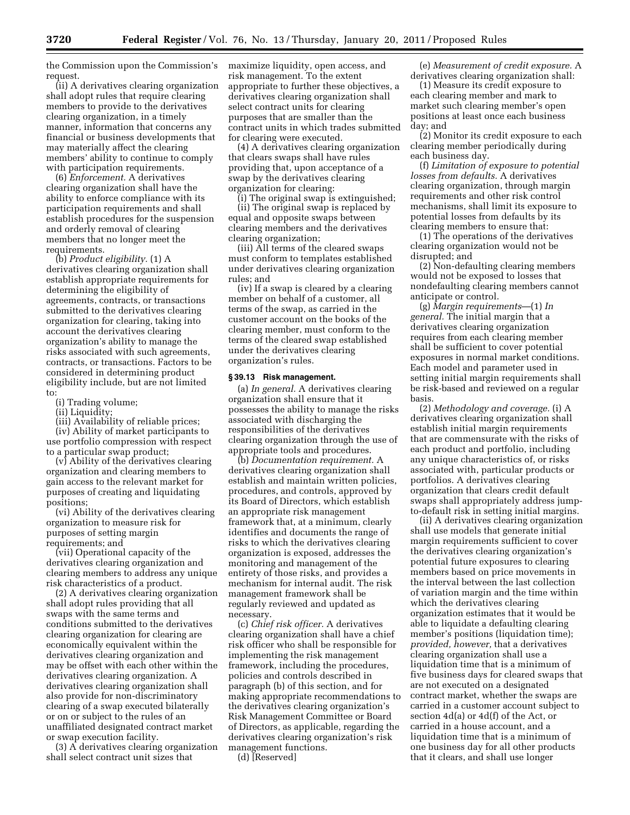the Commission upon the Commission's request.

(ii) A derivatives clearing organization shall adopt rules that require clearing members to provide to the derivatives clearing organization, in a timely manner, information that concerns any financial or business developments that may materially affect the clearing members' ability to continue to comply with participation requirements.

(6) *Enforcement.* A derivatives clearing organization shall have the ability to enforce compliance with its participation requirements and shall establish procedures for the suspension and orderly removal of clearing members that no longer meet the requirements.

(b) *Product eligibility.* (1) A derivatives clearing organization shall establish appropriate requirements for determining the eligibility of agreements, contracts, or transactions submitted to the derivatives clearing organization for clearing, taking into account the derivatives clearing organization's ability to manage the risks associated with such agreements, contracts, or transactions. Factors to be considered in determining product eligibility include, but are not limited to:

- (i) Trading volume;
- (ii) Liquidity;

(iii) Availability of reliable prices; (iv) Ability of market participants to use portfolio compression with respect to a particular swap product;

(v) Ability of the derivatives clearing organization and clearing members to gain access to the relevant market for purposes of creating and liquidating positions;

(vi) Ability of the derivatives clearing organization to measure risk for purposes of setting margin requirements; and

(vii) Operational capacity of the derivatives clearing organization and clearing members to address any unique risk characteristics of a product.

(2) A derivatives clearing organization shall adopt rules providing that all swaps with the same terms and conditions submitted to the derivatives clearing organization for clearing are economically equivalent within the derivatives clearing organization and may be offset with each other within the derivatives clearing organization. A derivatives clearing organization shall also provide for non-discriminatory clearing of a swap executed bilaterally or on or subject to the rules of an unaffiliated designated contract market or swap execution facility.

(3) A derivatives clearing organization shall select contract unit sizes that

maximize liquidity, open access, and risk management. To the extent appropriate to further these objectives, a derivatives clearing organization shall select contract units for clearing purposes that are smaller than the contract units in which trades submitted for clearing were executed.

(4) A derivatives clearing organization that clears swaps shall have rules providing that, upon acceptance of a swap by the derivatives clearing organization for clearing:

(i) The original swap is extinguished; (ii) The original swap is replaced by equal and opposite swaps between clearing members and the derivatives clearing organization;

(iii) All terms of the cleared swaps must conform to templates established under derivatives clearing organization rules; and

(iv) If a swap is cleared by a clearing member on behalf of a customer, all terms of the swap, as carried in the customer account on the books of the clearing member, must conform to the terms of the cleared swap established under the derivatives clearing organization's rules.

### **§ 39.13 Risk management.**

(a) *In general.* A derivatives clearing organization shall ensure that it possesses the ability to manage the risks associated with discharging the responsibilities of the derivatives clearing organization through the use of appropriate tools and procedures.

(b) *Documentation requirement.* A derivatives clearing organization shall establish and maintain written policies, procedures, and controls, approved by its Board of Directors, which establish an appropriate risk management framework that, at a minimum, clearly identifies and documents the range of risks to which the derivatives clearing organization is exposed, addresses the monitoring and management of the entirety of those risks, and provides a mechanism for internal audit. The risk management framework shall be regularly reviewed and updated as necessary.

(c) *Chief risk officer.* A derivatives clearing organization shall have a chief risk officer who shall be responsible for implementing the risk management framework, including the procedures, policies and controls described in paragraph (b) of this section, and for making appropriate recommendations to the derivatives clearing organization's Risk Management Committee or Board of Directors, as applicable, regarding the derivatives clearing organization's risk management functions.

(d) [Reserved]

(e) *Measurement of credit exposure.* A derivatives clearing organization shall:

(1) Measure its credit exposure to each clearing member and mark to market such clearing member's open positions at least once each business day; and

(2) Monitor its credit exposure to each clearing member periodically during each business day.

(f) *Limitation of exposure to potential losses from defaults.* A derivatives clearing organization, through margin requirements and other risk control mechanisms, shall limit its exposure to potential losses from defaults by its clearing members to ensure that:

(1) The operations of the derivatives clearing organization would not be disrupted; and

(2) Non-defaulting clearing members would not be exposed to losses that nondefaulting clearing members cannot anticipate or control.

(g) *Margin requirements*—(1) *In general.* The initial margin that a derivatives clearing organization requires from each clearing member shall be sufficient to cover potential exposures in normal market conditions. Each model and parameter used in setting initial margin requirements shall be risk-based and reviewed on a regular basis.

(2) *Methodology and coverage.* (i) A derivatives clearing organization shall establish initial margin requirements that are commensurate with the risks of each product and portfolio, including any unique characteristics of, or risks associated with, particular products or portfolios. A derivatives clearing organization that clears credit default swaps shall appropriately address jumpto-default risk in setting initial margins.

(ii) A derivatives clearing organization shall use models that generate initial margin requirements sufficient to cover the derivatives clearing organization's potential future exposures to clearing members based on price movements in the interval between the last collection of variation margin and the time within which the derivatives clearing organization estimates that it would be able to liquidate a defaulting clearing member's positions (liquidation time); *provided, however,* that a derivatives clearing organization shall use a liquidation time that is a minimum of five business days for cleared swaps that are not executed on a designated contract market, whether the swaps are carried in a customer account subject to section 4d(a) or 4d(f) of the Act, or carried in a house account, and a liquidation time that is a minimum of one business day for all other products that it clears, and shall use longer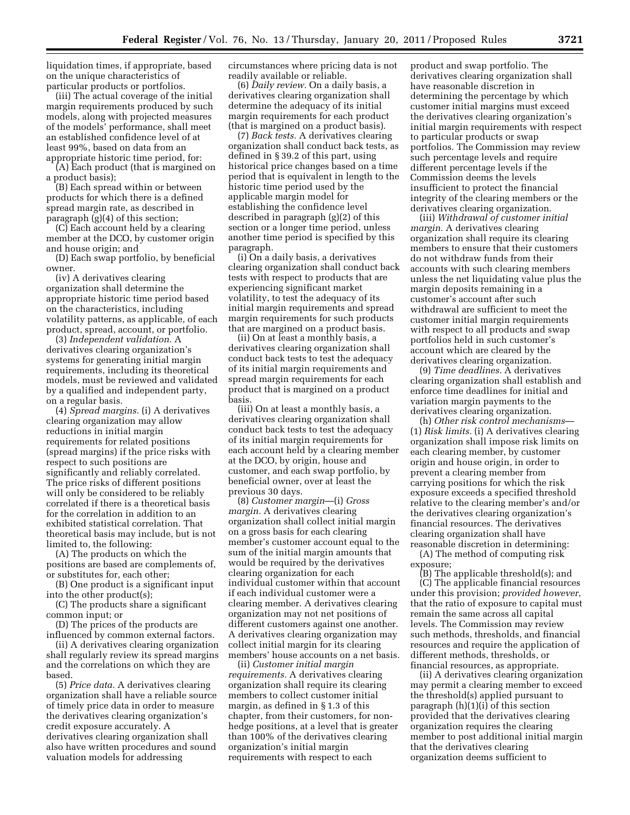liquidation times, if appropriate, based on the unique characteristics of particular products or portfolios.

(iii) The actual coverage of the initial margin requirements produced by such models, along with projected measures of the models' performance, shall meet an established confidence level of at least 99%, based on data from an appropriate historic time period, for:

(A) Each product (that is margined on a product basis);

(B) Each spread within or between products for which there is a defined spread margin rate, as described in paragraph (g)(4) of this section;

(C) Each account held by a clearing member at the DCO, by customer origin and house origin; and

(D) Each swap portfolio, by beneficial owner.

(iv) A derivatives clearing organization shall determine the appropriate historic time period based on the characteristics, including volatility patterns, as applicable, of each product, spread, account, or portfolio.

(3) *Independent validation.* A derivatives clearing organization's systems for generating initial margin requirements, including its theoretical models, must be reviewed and validated by a qualified and independent party, on a regular basis.

(4) *Spread margins.* (i) A derivatives clearing organization may allow reductions in initial margin requirements for related positions (spread margins) if the price risks with respect to such positions are significantly and reliably correlated. The price risks of different positions will only be considered to be reliably correlated if there is a theoretical basis for the correlation in addition to an exhibited statistical correlation. That theoretical basis may include, but is not limited to, the following:

(A) The products on which the positions are based are complements of, or substitutes for, each other;

(B) One product is a significant input into the other product(s);

(C) The products share a significant common input; or

(D) The prices of the products are influenced by common external factors.

(ii) A derivatives clearing organization shall regularly review its spread margins and the correlations on which they are based.

(5) *Price data.* A derivatives clearing organization shall have a reliable source of timely price data in order to measure the derivatives clearing organization's credit exposure accurately. A derivatives clearing organization shall also have written procedures and sound valuation models for addressing

circumstances where pricing data is not readily available or reliable.

(6) *Daily review.* On a daily basis, a derivatives clearing organization shall determine the adequacy of its initial margin requirements for each product (that is margined on a product basis).

(7) *Back tests.* A derivatives clearing organization shall conduct back tests, as defined in § 39.2 of this part, using historical price changes based on a time period that is equivalent in length to the historic time period used by the applicable margin model for establishing the confidence level described in paragraph (g)(2) of this section or a longer time period, unless another time period is specified by this paragraph.

(i) On a daily basis, a derivatives clearing organization shall conduct back tests with respect to products that are experiencing significant market volatility, to test the adequacy of its initial margin requirements and spread margin requirements for such products that are margined on a product basis.

(ii) On at least a monthly basis, a derivatives clearing organization shall conduct back tests to test the adequacy of its initial margin requirements and spread margin requirements for each product that is margined on a product basis.

(iii) On at least a monthly basis, a derivatives clearing organization shall conduct back tests to test the adequacy of its initial margin requirements for each account held by a clearing member at the DCO, by origin, house and customer, and each swap portfolio, by beneficial owner, over at least the previous 30 days.

(8) *Customer margin*—(i) *Gross margin.* A derivatives clearing organization shall collect initial margin on a gross basis for each clearing member's customer account equal to the sum of the initial margin amounts that would be required by the derivatives clearing organization for each individual customer within that account if each individual customer were a clearing member. A derivatives clearing organization may not net positions of different customers against one another. A derivatives clearing organization may collect initial margin for its clearing members' house accounts on a net basis.

(ii) *Customer initial margin requirements.* A derivatives clearing organization shall require its clearing members to collect customer initial margin, as defined in § 1.3 of this chapter, from their customers, for nonhedge positions, at a level that is greater than 100% of the derivatives clearing organization's initial margin requirements with respect to each

product and swap portfolio. The derivatives clearing organization shall have reasonable discretion in determining the percentage by which customer initial margins must exceed the derivatives clearing organization's initial margin requirements with respect to particular products or swap portfolios. The Commission may review such percentage levels and require different percentage levels if the Commission deems the levels insufficient to protect the financial integrity of the clearing members or the derivatives clearing organization.

(iii) *Withdrawal of customer initial margin.* A derivatives clearing organization shall require its clearing members to ensure that their customers do not withdraw funds from their accounts with such clearing members unless the net liquidating value plus the margin deposits remaining in a customer's account after such withdrawal are sufficient to meet the customer initial margin requirements with respect to all products and swap portfolios held in such customer's account which are cleared by the derivatives clearing organization.

(9) *Time deadlines.* A derivatives clearing organization shall establish and enforce time deadlines for initial and variation margin payments to the derivatives clearing organization.

(h) *Other risk control mechanisms*— (1) *Risk limits.* (i) A derivatives clearing organization shall impose risk limits on each clearing member, by customer origin and house origin, in order to prevent a clearing member from carrying positions for which the risk exposure exceeds a specified threshold relative to the clearing member's and/or the derivatives clearing organization's financial resources. The derivatives clearing organization shall have reasonable discretion in determining:

(A) The method of computing risk exposure;

(B) The applicable threshold(s); and (C) The applicable financial resources under this provision; *provided however,*  that the ratio of exposure to capital must remain the same across all capital levels. The Commission may review such methods, thresholds, and financial resources and require the application of different methods, thresholds, or financial resources, as appropriate.

(ii) A derivatives clearing organization may permit a clearing member to exceed the threshold(s) applied pursuant to paragraph (h)(1)(i) of this section provided that the derivatives clearing organization requires the clearing member to post additional initial margin that the derivatives clearing organization deems sufficient to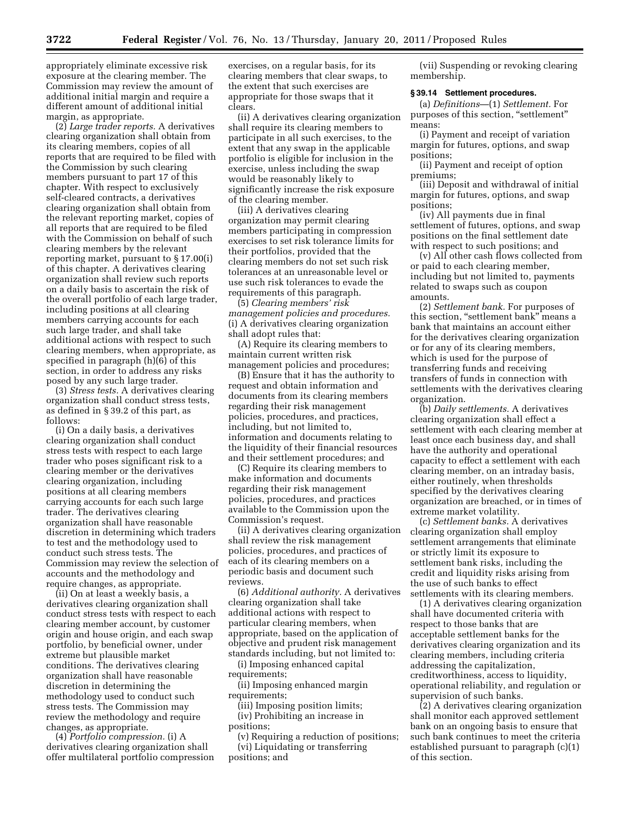appropriately eliminate excessive risk exposure at the clearing member. The Commission may review the amount of additional initial margin and require a different amount of additional initial margin, as appropriate.

(2) *Large trader reports.* A derivatives clearing organization shall obtain from its clearing members, copies of all reports that are required to be filed with the Commission by such clearing members pursuant to part 17 of this chapter. With respect to exclusively self-cleared contracts, a derivatives clearing organization shall obtain from the relevant reporting market, copies of all reports that are required to be filed with the Commission on behalf of such clearing members by the relevant reporting market, pursuant to § 17.00(i) of this chapter. A derivatives clearing organization shall review such reports on a daily basis to ascertain the risk of the overall portfolio of each large trader, including positions at all clearing members carrying accounts for each such large trader, and shall take additional actions with respect to such clearing members, when appropriate, as specified in paragraph (h)(6) of this section, in order to address any risks posed by any such large trader.

(3) *Stress tests.* A derivatives clearing organization shall conduct stress tests, as defined in § 39.2 of this part, as follows:

(i) On a daily basis, a derivatives clearing organization shall conduct stress tests with respect to each large trader who poses significant risk to a clearing member or the derivatives clearing organization, including positions at all clearing members carrying accounts for each such large trader. The derivatives clearing organization shall have reasonable discretion in determining which traders to test and the methodology used to conduct such stress tests. The Commission may review the selection of accounts and the methodology and require changes, as appropriate.

(ii) On at least a weekly basis, a derivatives clearing organization shall conduct stress tests with respect to each clearing member account, by customer origin and house origin, and each swap portfolio, by beneficial owner, under extreme but plausible market conditions. The derivatives clearing organization shall have reasonable discretion in determining the methodology used to conduct such stress tests. The Commission may review the methodology and require changes, as appropriate.

(4) *Portfolio compression.* (i) A derivatives clearing organization shall offer multilateral portfolio compression

exercises, on a regular basis, for its clearing members that clear swaps, to the extent that such exercises are appropriate for those swaps that it clears.

(ii) A derivatives clearing organization shall require its clearing members to participate in all such exercises, to the extent that any swap in the applicable portfolio is eligible for inclusion in the exercise, unless including the swap would be reasonably likely to significantly increase the risk exposure of the clearing member.

(iii) A derivatives clearing organization may permit clearing members participating in compression exercises to set risk tolerance limits for their portfolios, provided that the clearing members do not set such risk tolerances at an unreasonable level or use such risk tolerances to evade the requirements of this paragraph.

(5) *Clearing members' risk management policies and procedures.*  (i) A derivatives clearing organization shall adopt rules that:

(A) Require its clearing members to maintain current written risk management policies and procedures;

(B) Ensure that it has the authority to request and obtain information and documents from its clearing members regarding their risk management policies, procedures, and practices, including, but not limited to, information and documents relating to the liquidity of their financial resources and their settlement procedures; and

(C) Require its clearing members to make information and documents regarding their risk management policies, procedures, and practices available to the Commission upon the Commission's request.

(ii) A derivatives clearing organization shall review the risk management policies, procedures, and practices of each of its clearing members on a periodic basis and document such reviews.

(6) *Additional authority.* A derivatives clearing organization shall take additional actions with respect to particular clearing members, when appropriate, based on the application of objective and prudent risk management standards including, but not limited to:

(i) Imposing enhanced capital requirements;

(ii) Imposing enhanced margin requirements;

(iii) Imposing position limits; (iv) Prohibiting an increase in positions;

(v) Requiring a reduction of positions; (vi) Liquidating or transferring positions; and

(vii) Suspending or revoking clearing membership.

### **§ 39.14 Settlement procedures.**

(a) *Definitions*—(1) *Settlement.* For purposes of this section, "settlement" means:

(i) Payment and receipt of variation margin for futures, options, and swap positions;

(ii) Payment and receipt of option premiums;

(iii) Deposit and withdrawal of initial margin for futures, options, and swap positions;

(iv) All payments due in final settlement of futures, options, and swap positions on the final settlement date with respect to such positions; and

(v) All other cash flows collected from or paid to each clearing member, including but not limited to, payments related to swaps such as coupon amounts.

(2) *Settlement bank.* For purposes of this section, "settlement bank" means a bank that maintains an account either for the derivatives clearing organization or for any of its clearing members, which is used for the purpose of transferring funds and receiving transfers of funds in connection with settlements with the derivatives clearing organization.

(b) *Daily settlements.* A derivatives clearing organization shall effect a settlement with each clearing member at least once each business day, and shall have the authority and operational capacity to effect a settlement with each clearing member, on an intraday basis, either routinely, when thresholds specified by the derivatives clearing organization are breached, or in times of extreme market volatility.

(c) *Settlement banks.* A derivatives clearing organization shall employ settlement arrangements that eliminate or strictly limit its exposure to settlement bank risks, including the credit and liquidity risks arising from the use of such banks to effect settlements with its clearing members.

(1) A derivatives clearing organization shall have documented criteria with respect to those banks that are acceptable settlement banks for the derivatives clearing organization and its clearing members, including criteria addressing the capitalization, creditworthiness, access to liquidity, operational reliability, and regulation or supervision of such banks.

(2) A derivatives clearing organization shall monitor each approved settlement bank on an ongoing basis to ensure that such bank continues to meet the criteria established pursuant to paragraph (c)(1) of this section.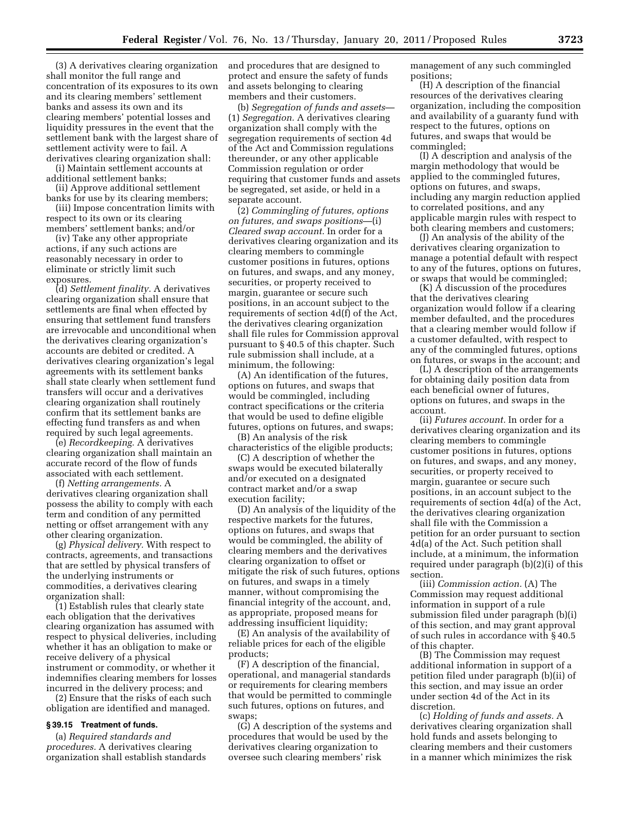(3) A derivatives clearing organization shall monitor the full range and concentration of its exposures to its own and its clearing members' settlement banks and assess its own and its clearing members' potential losses and liquidity pressures in the event that the settlement bank with the largest share of settlement activity were to fail. A derivatives clearing organization shall:

(i) Maintain settlement accounts at additional settlement banks;

(ii) Approve additional settlement banks for use by its clearing members;

(iii) Impose concentration limits with respect to its own or its clearing members' settlement banks; and/or

(iv) Take any other appropriate actions, if any such actions are reasonably necessary in order to eliminate or strictly limit such exposures.

(d) *Settlement finality.* A derivatives clearing organization shall ensure that settlements are final when effected by ensuring that settlement fund transfers are irrevocable and unconditional when the derivatives clearing organization's accounts are debited or credited. A derivatives clearing organization's legal agreements with its settlement banks shall state clearly when settlement fund transfers will occur and a derivatives clearing organization shall routinely confirm that its settlement banks are effecting fund transfers as and when required by such legal agreements.

(e) *Recordkeeping.* A derivatives clearing organization shall maintain an accurate record of the flow of funds associated with each settlement.

(f) *Netting arrangements.* A derivatives clearing organization shall possess the ability to comply with each term and condition of any permitted netting or offset arrangement with any other clearing organization.

(g) *Physical delivery.* With respect to contracts, agreements, and transactions that are settled by physical transfers of the underlying instruments or commodities, a derivatives clearing organization shall:

(1) Establish rules that clearly state each obligation that the derivatives clearing organization has assumed with respect to physical deliveries, including whether it has an obligation to make or receive delivery of a physical instrument or commodity, or whether it indemnifies clearing members for losses incurred in the delivery process; and

(2) Ensure that the risks of each such obligation are identified and managed.

# **§ 39.15 Treatment of funds.**

(a) *Required standards and procedures.* A derivatives clearing organization shall establish standards and procedures that are designed to protect and ensure the safety of funds and assets belonging to clearing members and their customers.

(b) *Segregation of funds and assets*— (1) *Segregation.* A derivatives clearing organization shall comply with the segregation requirements of section 4d of the Act and Commission regulations thereunder, or any other applicable Commission regulation or order requiring that customer funds and assets be segregated, set aside, or held in a separate account.

(2) *Commingling of futures, options on futures, and swaps positions*—(i) *Cleared swap account.* In order for a derivatives clearing organization and its clearing members to commingle customer positions in futures, options on futures, and swaps, and any money, securities, or property received to margin, guarantee or secure such positions, in an account subject to the requirements of section 4d(f) of the Act, the derivatives clearing organization shall file rules for Commission approval pursuant to § 40.5 of this chapter. Such rule submission shall include, at a minimum, the following:

(A) An identification of the futures, options on futures, and swaps that would be commingled, including contract specifications or the criteria that would be used to define eligible futures, options on futures, and swaps;

(B) An analysis of the risk characteristics of the eligible products;

(C) A description of whether the swaps would be executed bilaterally and/or executed on a designated contract market and/or a swap execution facility;

(D) An analysis of the liquidity of the respective markets for the futures, options on futures, and swaps that would be commingled, the ability of clearing members and the derivatives clearing organization to offset or mitigate the risk of such futures, options on futures, and swaps in a timely manner, without compromising the financial integrity of the account, and, as appropriate, proposed means for addressing insufficient liquidity;

(E) An analysis of the availability of reliable prices for each of the eligible products;

(F) A description of the financial, operational, and managerial standards or requirements for clearing members that would be permitted to commingle such futures, options on futures, and swaps;

(G) A description of the systems and procedures that would be used by the derivatives clearing organization to oversee such clearing members' risk

management of any such commingled positions;

(H) A description of the financial resources of the derivatives clearing organization, including the composition and availability of a guaranty fund with respect to the futures, options on futures, and swaps that would be commingled;

(I) A description and analysis of the margin methodology that would be applied to the commingled futures, options on futures, and swaps, including any margin reduction applied to correlated positions, and any applicable margin rules with respect to both clearing members and customers;

(J) An analysis of the ability of the derivatives clearing organization to manage a potential default with respect to any of the futures, options on futures, or swaps that would be commingled;

(K) A discussion of the procedures that the derivatives clearing organization would follow if a clearing member defaulted, and the procedures that a clearing member would follow if a customer defaulted, with respect to any of the commingled futures, options on futures, or swaps in the account; and

(L) A description of the arrangements for obtaining daily position data from each beneficial owner of futures, options on futures, and swaps in the account.

(ii) *Futures account.* In order for a derivatives clearing organization and its clearing members to commingle customer positions in futures, options on futures, and swaps, and any money, securities, or property received to margin, guarantee or secure such positions, in an account subject to the requirements of section 4d(a) of the Act, the derivatives clearing organization shall file with the Commission a petition for an order pursuant to section 4d(a) of the Act. Such petition shall include, at a minimum, the information required under paragraph (b)(2)(i) of this section.

(iii) *Commission action.* (A) The Commission may request additional information in support of a rule submission filed under paragraph (b)(i) of this section, and may grant approval of such rules in accordance with § 40.5 of this chapter.

(B) The Commission may request additional information in support of a petition filed under paragraph (b)(ii) of this section, and may issue an order under section 4d of the Act in its discretion.

(c) *Holding of funds and assets.* A derivatives clearing organization shall hold funds and assets belonging to clearing members and their customers in a manner which minimizes the risk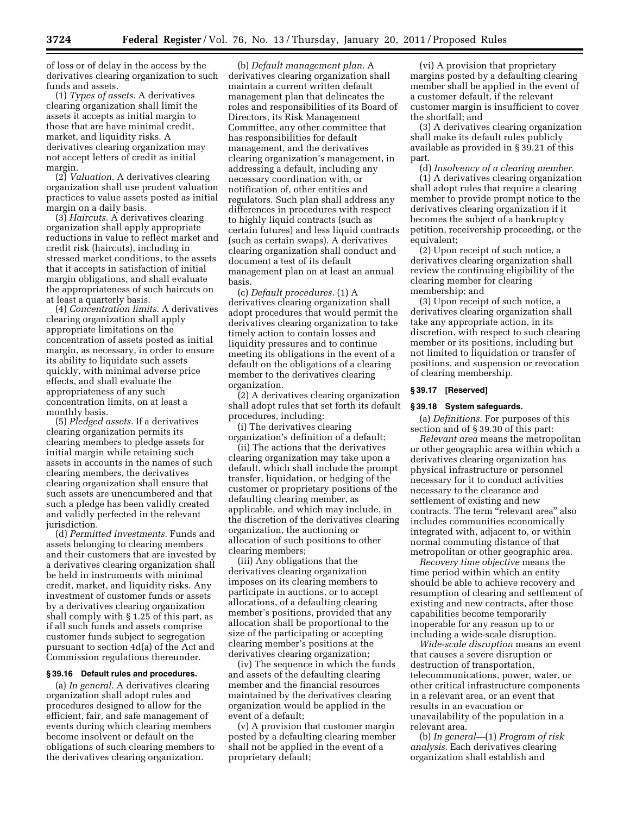of loss or of delay in the access by the derivatives clearing organization to such funds and assets.

(1) *Types of assets.* A derivatives clearing organization shall limit the assets it accepts as initial margin to those that are have minimal credit, market, and liquidity risks. A derivatives clearing organization may not accept letters of credit as initial margin.

(2) *Valuation.* A derivatives clearing organization shall use prudent valuation practices to value assets posted as initial margin on a daily basis.

(3) *Haircuts.* A derivatives clearing organization shall apply appropriate reductions in value to reflect market and credit risk (haircuts), including in stressed market conditions, to the assets that it accepts in satisfaction of initial margin obligations, and shall evaluate the appropriateness of such haircuts on at least a quarterly basis.

(4) *Concentration limits.* A derivatives clearing organization shall apply appropriate limitations on the concentration of assets posted as initial margin, as necessary, in order to ensure its ability to liquidate such assets quickly, with minimal adverse price effects, and shall evaluate the appropriateness of any such concentration limits, on at least a monthly basis.

(5) *Pledged assets.* If a derivatives clearing organization permits its clearing members to pledge assets for initial margin while retaining such assets in accounts in the names of such clearing members, the derivatives clearing organization shall ensure that such assets are unencumbered and that such a pledge has been validly created and validly perfected in the relevant jurisdiction.

(d) *Permitted investments.* Funds and assets belonging to clearing members and their customers that are invested by a derivatives clearing organization shall be held in instruments with minimal credit, market, and liquidity risks. Any investment of customer funds or assets by a derivatives clearing organization shall comply with § 1.25 of this part, as if all such funds and assets comprise customer funds subject to segregation pursuant to section 4d(a) of the Act and Commission regulations thereunder.

# **§ 39.16 Default rules and procedures.**

(a) *In general.* A derivatives clearing organization shall adopt rules and procedures designed to allow for the efficient, fair, and safe management of events during which clearing members become insolvent or default on the obligations of such clearing members to the derivatives clearing organization.

(b) *Default management plan.* A derivatives clearing organization shall maintain a current written default management plan that delineates the roles and responsibilities of its Board of Directors, its Risk Management Committee, any other committee that has responsibilities for default management, and the derivatives clearing organization's management, in addressing a default, including any necessary coordination with, or notification of, other entities and regulators. Such plan shall address any differences in procedures with respect to highly liquid contracts (such as certain futures) and less liquid contracts (such as certain swaps). A derivatives clearing organization shall conduct and document a test of its default management plan on at least an annual basis.

(c) *Default procedures.* (1) A derivatives clearing organization shall adopt procedures that would permit the derivatives clearing organization to take timely action to contain losses and liquidity pressures and to continue meeting its obligations in the event of a default on the obligations of a clearing member to the derivatives clearing organization.

(2) A derivatives clearing organization shall adopt rules that set forth its default procedures, including:

(i) The derivatives clearing organization's definition of a default;

(ii) The actions that the derivatives clearing organization may take upon a default, which shall include the prompt transfer, liquidation, or hedging of the customer or proprietary positions of the defaulting clearing member, as applicable, and which may include, in the discretion of the derivatives clearing organization, the auctioning or allocation of such positions to other clearing members;

(iii) Any obligations that the derivatives clearing organization imposes on its clearing members to participate in auctions, or to accept allocations, of a defaulting clearing member's positions, provided that any allocation shall be proportional to the size of the participating or accepting clearing member's positions at the derivatives clearing organization;

(iv) The sequence in which the funds and assets of the defaulting clearing member and the financial resources maintained by the derivatives clearing organization would be applied in the event of a default;

(v) A provision that customer margin posted by a defaulting clearing member shall not be applied in the event of a proprietary default;

(vi) A provision that proprietary margins posted by a defaulting clearing member shall be applied in the event of a customer default, if the relevant customer margin is insufficient to cover the shortfall; and

(3) A derivatives clearing organization shall make its default rules publicly available as provided in § 39.21 of this part.

(d) *Insolvency of a clearing member.*  (1) A derivatives clearing organization shall adopt rules that require a clearing member to provide prompt notice to the derivatives clearing organization if it becomes the subject of a bankruptcy petition, receivership proceeding, or the equivalent;

(2) Upon receipt of such notice, a derivatives clearing organization shall review the continuing eligibility of the clearing member for clearing membership; and

(3) Upon receipt of such notice, a derivatives clearing organization shall take any appropriate action, in its discretion, with respect to such clearing member or its positions, including but not limited to liquidation or transfer of positions, and suspension or revocation of clearing membership.

#### **§ 39.17 [Reserved]**

### **§ 39.18 System safeguards.**

(a) *Definitions.* For purposes of this section and of § 39.30 of this part:

*Relevant area* means the metropolitan or other geographic area within which a derivatives clearing organization has physical infrastructure or personnel necessary for it to conduct activities necessary to the clearance and settlement of existing and new contracts. The term "relevant area" also includes communities economically integrated with, adjacent to, or within normal commuting distance of that metropolitan or other geographic area.

*Recovery time objective* means the time period within which an entity should be able to achieve recovery and resumption of clearing and settlement of existing and new contracts, after those capabilities become temporarily inoperable for any reason up to or including a wide-scale disruption.

*Wide-scale disruption* means an event that causes a severe disruption or destruction of transportation, telecommunications, power, water, or other critical infrastructure components in a relevant area, or an event that results in an evacuation or unavailability of the population in a relevant area.

(b) *In general—*(1) *Program of risk analysis.* Each derivatives clearing organization shall establish and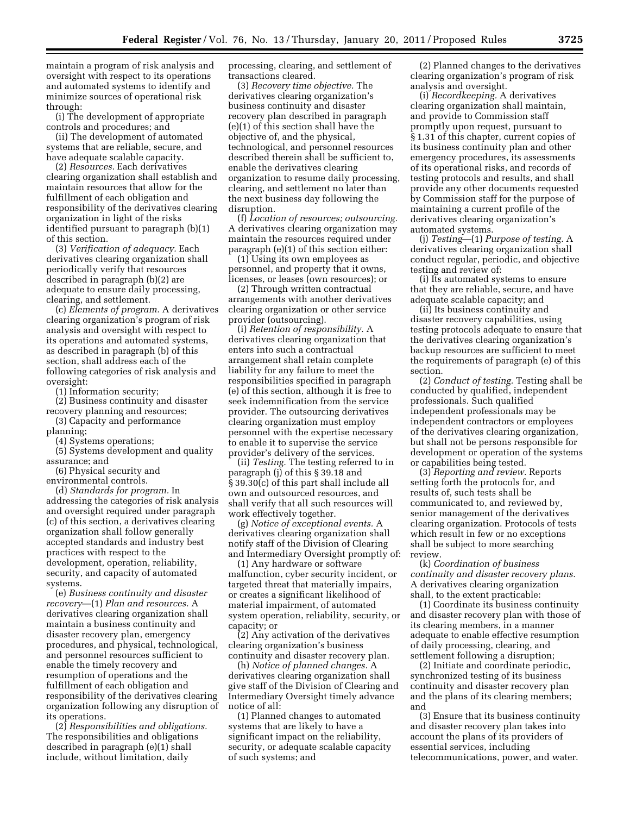maintain a program of risk analysis and oversight with respect to its operations and automated systems to identify and minimize sources of operational risk through:

(i) The development of appropriate controls and procedures; and

(ii) The development of automated systems that are reliable, secure, and have adequate scalable capacity.

(2) *Resources.* Each derivatives clearing organization shall establish and maintain resources that allow for the fulfillment of each obligation and responsibility of the derivatives clearing organization in light of the risks identified pursuant to paragraph (b)(1) of this section.

(3) *Verification of adequacy.* Each derivatives clearing organization shall periodically verify that resources described in paragraph (b)(2) are adequate to ensure daily processing, clearing, and settlement.

(c) *Elements of program.* A derivatives clearing organization's program of risk analysis and oversight with respect to its operations and automated systems, as described in paragraph (b) of this section, shall address each of the following categories of risk analysis and oversight:

(1) Information security;

(2) Business continuity and disaster recovery planning and resources;

(3) Capacity and performance planning;

(4) Systems operations;

(5) Systems development and quality assurance; and

(6) Physical security and

environmental controls.

(d) *Standards for program.* In addressing the categories of risk analysis and oversight required under paragraph (c) of this section, a derivatives clearing organization shall follow generally accepted standards and industry best practices with respect to the development, operation, reliability, security, and capacity of automated systems.

(e) *Business continuity and disaster recovery*—(1) *Plan and resources.* A derivatives clearing organization shall maintain a business continuity and disaster recovery plan, emergency procedures, and physical, technological, and personnel resources sufficient to enable the timely recovery and resumption of operations and the fulfillment of each obligation and responsibility of the derivatives clearing organization following any disruption of its operations.

(2) *Responsibilities and obligations.*  The responsibilities and obligations described in paragraph (e)(1) shall include, without limitation, daily

processing, clearing, and settlement of transactions cleared.

(3) *Recovery time objective.* The derivatives clearing organization's business continuity and disaster recovery plan described in paragraph (e)(1) of this section shall have the objective of, and the physical, technological, and personnel resources described therein shall be sufficient to, enable the derivatives clearing organization to resume daily processing, clearing, and settlement no later than the next business day following the disruption.

(f) *Location of resources; outsourcing.*  A derivatives clearing organization may maintain the resources required under paragraph (e)(1) of this section either:

(1) Using its own employees as personnel, and property that it owns, licenses, or leases (own resources); or

(2) Through written contractual arrangements with another derivatives clearing organization or other service provider (outsourcing).

(i) *Retention of responsibility.* A derivatives clearing organization that enters into such a contractual arrangement shall retain complete liability for any failure to meet the responsibilities specified in paragraph (e) of this section, although it is free to seek indemnification from the service provider. The outsourcing derivatives clearing organization must employ personnel with the expertise necessary to enable it to supervise the service provider's delivery of the services.

(ii) *Testing.* The testing referred to in paragraph (j) of this § 39.18 and § 39.30(c) of this part shall include all own and outsourced resources, and shall verify that all such resources will work effectively together.

(g) *Notice of exceptional events.* A derivatives clearing organization shall notify staff of the Division of Clearing and Intermediary Oversight promptly of:

(1) Any hardware or software malfunction, cyber security incident, or targeted threat that materially impairs, or creates a significant likelihood of material impairment, of automated system operation, reliability, security, or capacity; or

(2) Any activation of the derivatives clearing organization's business continuity and disaster recovery plan.

(h) *Notice of planned changes.* A derivatives clearing organization shall give staff of the Division of Clearing and Intermediary Oversight timely advance notice of all:

(1) Planned changes to automated systems that are likely to have a significant impact on the reliability, security, or adequate scalable capacity of such systems; and

(2) Planned changes to the derivatives clearing organization's program of risk analysis and oversight.

(i) *Recordkeeping.* A derivatives clearing organization shall maintain, and provide to Commission staff promptly upon request, pursuant to § 1.31 of this chapter, current copies of its business continuity plan and other emergency procedures, its assessments of its operational risks, and records of testing protocols and results, and shall provide any other documents requested by Commission staff for the purpose of maintaining a current profile of the derivatives clearing organization's automated systems.

(j) *Testing—*(1) *Purpose of testing.* A derivatives clearing organization shall conduct regular, periodic, and objective testing and review of:

(i) Its automated systems to ensure that they are reliable, secure, and have adequate scalable capacity; and

(ii) Its business continuity and disaster recovery capabilities, using testing protocols adequate to ensure that the derivatives clearing organization's backup resources are sufficient to meet the requirements of paragraph (e) of this section.

(2) *Conduct of testing.* Testing shall be conducted by qualified, independent professionals. Such qualified independent professionals may be independent contractors or employees of the derivatives clearing organization, but shall not be persons responsible for development or operation of the systems or capabilities being tested.

(3) *Reporting and review.* Reports setting forth the protocols for, and results of, such tests shall be communicated to, and reviewed by, senior management of the derivatives clearing organization. Protocols of tests which result in few or no exceptions shall be subject to more searching review.

(k) *Coordination of business continuity and disaster recovery plans.*  A derivatives clearing organization shall, to the extent practicable:

(1) Coordinate its business continuity and disaster recovery plan with those of its clearing members, in a manner adequate to enable effective resumption of daily processing, clearing, and settlement following a disruption;

(2) Initiate and coordinate periodic, synchronized testing of its business continuity and disaster recovery plan and the plans of its clearing members; and

(3) Ensure that its business continuity and disaster recovery plan takes into account the plans of its providers of essential services, including telecommunications, power, and water.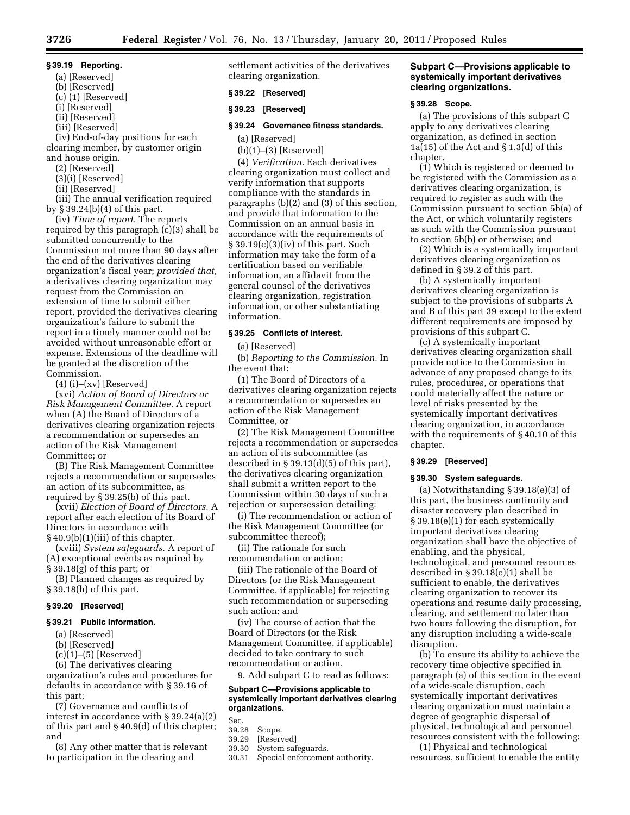# **§ 39.19 Reporting.**

- (a) [Reserved]
- (b) [Reserved]
- (c) (1) [Reserved]
- (i) [Reserved]
- (ii) [Reserved]
- (iii) [Reserved]

(iv) End-of-day positions for each clearing member, by customer origin and house origin.

- (2) [Reserved]
- (3)(i) [Reserved]
- (ii) [Reserved]

(iii) The annual verification required by § 39.24(b)(4) of this part.

(iv) *Time of report.* The reports required by this paragraph (c)(3) shall be submitted concurrently to the Commission not more than 90 days after the end of the derivatives clearing organization's fiscal year; *provided that,*  a derivatives clearing organization may request from the Commission an extension of time to submit either report, provided the derivatives clearing organization's failure to submit the report in a timely manner could not be avoided without unreasonable effort or expense. Extensions of the deadline will be granted at the discretion of the Commission.

 $(4)$  (i)–(xv) [Reserved]

(xvi) *Action of Board of Directors or Risk Management Committee.* A report when (A) the Board of Directors of a derivatives clearing organization rejects a recommendation or supersedes an action of the Risk Management Committee; or

(B) The Risk Management Committee rejects a recommendation or supersedes an action of its subcommittee, as required by § 39.25(b) of this part.

(xvii) *Election of Board of Directors.* A report after each election of its Board of Directors in accordance with § 40.9(b)(1)(iii) of this chapter.

(xviii) *System safeguards.* A report of (A) exceptional events as required by § 39.18(g) of this part; or

(B) Planned changes as required by § 39.18(h) of this part.

### **§ 39.20 [Reserved]**

### **§ 39.21 Public information.**

- (a) [Reserved]
- (b) [Reserved]
- $(c)(1)$ – $(5)$  [Reserved]

(6) The derivatives clearing organization's rules and procedures for defaults in accordance with § 39.16 of this part;

(7) Governance and conflicts of interest in accordance with § 39.24(a)(2) of this part and § 40.9(d) of this chapter; and

(8) Any other matter that is relevant to participation in the clearing and

settlement activities of the derivatives clearing organization.

# **§ 39.22 [Reserved]**

### **§ 39.23 [Reserved]**

### **§ 39.24 Governance fitness standards.**

(a) [Reserved]

(b)(1)–(3) [Reserved]

(4) *Verification.* Each derivatives clearing organization must collect and verify information that supports compliance with the standards in paragraphs (b)(2) and (3) of this section, and provide that information to the Commission on an annual basis in accordance with the requirements of  $\S 39.19(c)(3)(iv)$  of this part. Such information may take the form of a certification based on verifiable information, an affidavit from the general counsel of the derivatives clearing organization, registration information, or other substantiating information.

### **§ 39.25 Conflicts of interest.**

(a) [Reserved]

(b) *Reporting to the Commission.* In the event that:

(1) The Board of Directors of a derivatives clearing organization rejects a recommendation or supersedes an action of the Risk Management Committee, or

(2) The Risk Management Committee rejects a recommendation or supersedes an action of its subcommittee (as described in § 39.13(d)(5) of this part), the derivatives clearing organization shall submit a written report to the Commission within 30 days of such a rejection or supersession detailing:

(i) The recommendation or action of the Risk Management Committee (or subcommittee thereof);

(ii) The rationale for such recommendation or action;

(iii) The rationale of the Board of Directors (or the Risk Management Committee, if applicable) for rejecting such recommendation or superseding such action; and

(iv) The course of action that the Board of Directors (or the Risk Management Committee, if applicable) decided to take contrary to such recommendation or action.

9. Add subpart C to read as follows:

### **Subpart C—Provisions applicable to systemically important derivatives clearing organizations.**

Sec.<br>39.28

- 39.28 Scope.<br>39.29 [Reserv
- [Reserved]
- 39.30 System safeguards.<br>30.31 Special enforcemer
	- Special enforcement authority.

### **Subpart C—Provisions applicable to systemically important derivatives clearing organizations.**

#### **§ 39.28 Scope.**

(a) The provisions of this subpart C apply to any derivatives clearing organization, as defined in section 1a(15) of the Act and  $\S 1.3(d)$  of this chapter,

(1) Which is registered or deemed to be registered with the Commission as a derivatives clearing organization, is required to register as such with the Commission pursuant to section 5b(a) of the Act, or which voluntarily registers as such with the Commission pursuant to section 5b(b) or otherwise; and

(2) Which is a systemically important derivatives clearing organization as defined in § 39.2 of this part.

(b) A systemically important derivatives clearing organization is subject to the provisions of subparts A and B of this part 39 except to the extent different requirements are imposed by provisions of this subpart C.

(c) A systemically important derivatives clearing organization shall provide notice to the Commission in advance of any proposed change to its rules, procedures, or operations that could materially affect the nature or level of risks presented by the systemically important derivatives clearing organization, in accordance with the requirements of § 40.10 of this chapter.

### **§ 39.29 [Reserved]**

### **§ 39.30 System safeguards.**

(a) Notwithstanding  $\S 39.18(e)(3)$  of this part, the business continuity and disaster recovery plan described in § 39.18(e)(1) for each systemically important derivatives clearing organization shall have the objective of enabling, and the physical, technological, and personnel resources described in § 39.18(e)(1) shall be sufficient to enable, the derivatives clearing organization to recover its operations and resume daily processing, clearing, and settlement no later than two hours following the disruption, for any disruption including a wide-scale disruption.

(b) To ensure its ability to achieve the recovery time objective specified in paragraph (a) of this section in the event of a wide-scale disruption, each systemically important derivatives clearing organization must maintain a degree of geographic dispersal of physical, technological and personnel resources consistent with the following:

(1) Physical and technological resources, sufficient to enable the entity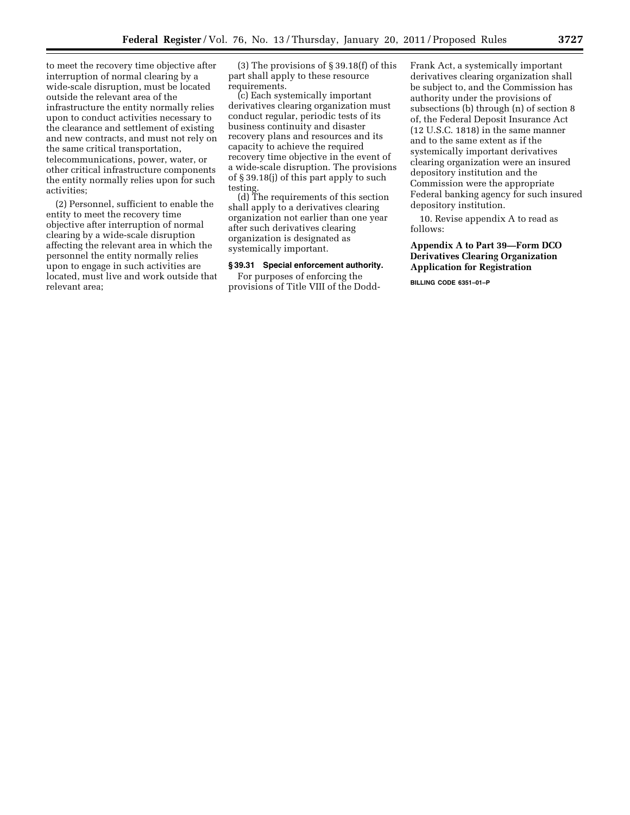to meet the recovery time objective after interruption of normal clearing by a wide-scale disruption, must be located outside the relevant area of the infrastructure the entity normally relies upon to conduct activities necessary to the clearance and settlement of existing and new contracts, and must not rely on the same critical transportation, telecommunications, power, water, or other critical infrastructure components the entity normally relies upon for such activities;

(2) Personnel, sufficient to enable the entity to meet the recovery time objective after interruption of normal clearing by a wide-scale disruption affecting the relevant area in which the personnel the entity normally relies upon to engage in such activities are located, must live and work outside that relevant area;

(3) The provisions of § 39.18(f) of this part shall apply to these resource requirements.

(c) Each systemically important derivatives clearing organization must conduct regular, periodic tests of its business continuity and disaster recovery plans and resources and its capacity to achieve the required recovery time objective in the event of a wide-scale disruption. The provisions of § 39.18(j) of this part apply to such testing.

(d) The requirements of this section shall apply to a derivatives clearing organization not earlier than one year after such derivatives clearing organization is designated as systemically important.

### **§ 39.31 Special enforcement authority.**

For purposes of enforcing the provisions of Title VIII of the DoddFrank Act, a systemically important derivatives clearing organization shall be subject to, and the Commission has authority under the provisions of subsections (b) through (n) of section 8 of, the Federal Deposit Insurance Act (12 U.S.C. 1818) in the same manner and to the same extent as if the systemically important derivatives clearing organization were an insured depository institution and the Commission were the appropriate Federal banking agency for such insured depository institution.

10. Revise appendix A to read as follows:

# **Appendix A to Part 39—Form DCO Derivatives Clearing Organization Application for Registration**

**BILLING CODE 6351–01–P**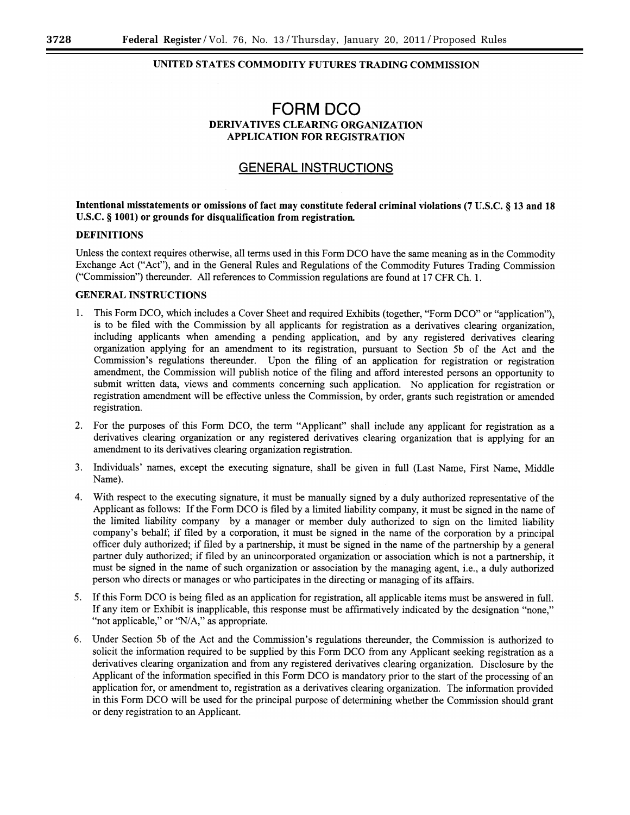# UNITED STATES COMMODITY FUTURES TRADING COMMISSION

# **FORM DCO** DERIVATIVES CLEARING ORGANIZATION **APPLICATION FOR REGISTRATION**

# **GENERAL INSTRUCTIONS**

# Intentional misstatements or omissions of fact may constitute federal criminal violations (7 U.S.C. § 13 and 18 U.S.C. § 1001) or grounds for disqualification from registration.

# **DEFINITIONS**

Unless the context requires otherwise, all terms used in this Form DCO have the same meaning as in the Commodity Exchange Act ("Act"), and in the General Rules and Regulations of the Commodity Futures Trading Commission ("Commission") thereunder. All references to Commission regulations are found at 17 CFR Ch. 1.

# **GENERAL INSTRUCTIONS**

- This Form DCO, which includes a Cover Sheet and required Exhibits (together, "Form DCO" or "application"). 1. is to be filed with the Commission by all applicants for registration as a derivatives clearing organization, including applicants when amending a pending application, and by any registered derivatives clearing organization applying for an amendment to its registration, pursuant to Section 5b of the Act and the Commission's regulations thereunder. Upon the filing of an application for registration or registration amendment, the Commission will publish notice of the filing and afford interested persons an opportunity to submit written data, views and comments concerning such application. No application for registration or registration amendment will be effective unless the Commission, by order, grants such registration or amended registration.
- 2. For the purposes of this Form DCO, the term "Applicant" shall include any applicant for registration as a derivatives clearing organization or any registered derivatives clearing organization that is applying for an amendment to its derivatives clearing organization registration.
- $3<sub>1</sub>$ Individuals' names, except the executing signature, shall be given in full (Last Name, First Name, Middle Name).
- $4.$ With respect to the executing signature, it must be manually signed by a duly authorized representative of the Applicant as follows: If the Form DCO is filed by a limited liability company, it must be signed in the name of the limited liability company by a manager or member duly authorized to sign on the limited liability company's behalf; if filed by a corporation, it must be signed in the name of the corporation by a principal officer duly authorized; if filed by a partnership, it must be signed in the name of the partnership by a general partner duly authorized; if filed by an unincorporated organization or association which is not a partnership, it must be signed in the name of such organization or association by the managing agent, i.e., a duly authorized person who directs or manages or who participates in the directing or managing of its affairs.
- 5. If this Form DCO is being filed as an application for registration, all applicable items must be answered in full. If any item or Exhibit is inapplicable, this response must be affirmatively indicated by the designation "none." "not applicable," or "N/A," as appropriate.
- Under Section 5b of the Act and the Commission's regulations thereunder, the Commission is authorized to 6. solicit the information required to be supplied by this Form DCO from any Applicant seeking registration as a derivatives clearing organization and from any registered derivatives clearing organization. Disclosure by the Applicant of the information specified in this Form DCO is mandatory prior to the start of the processing of an application for, or amendment to, registration as a derivatives clearing organization. The information provided in this Form DCO will be used for the principal purpose of determining whether the Commission should grant or deny registration to an Applicant.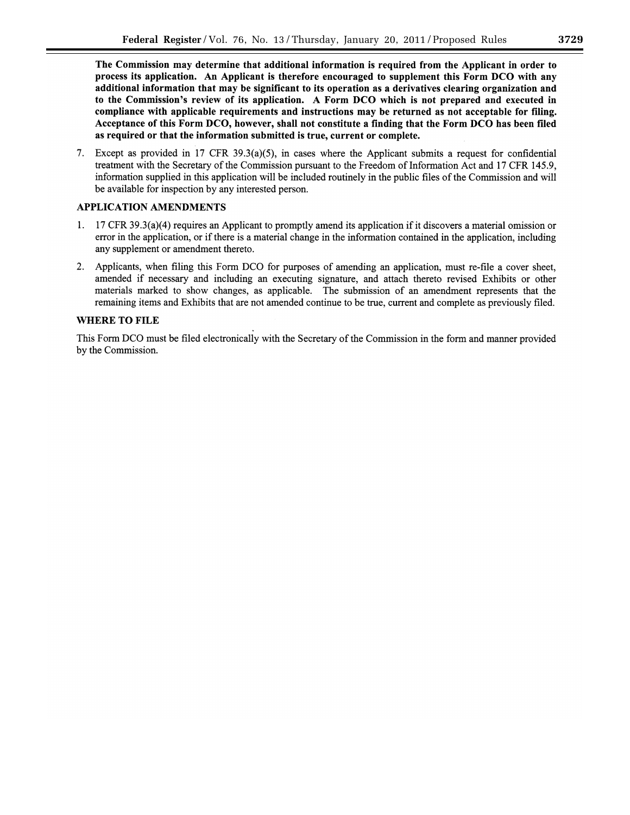The Commission may determine that additional information is required from the Applicant in order to process its application. An Applicant is therefore encouraged to supplement this Form DCO with any additional information that may be significant to its operation as a derivatives clearing organization and to the Commission's review of its application. A Form DCO which is not prepared and executed in compliance with applicable requirements and instructions may be returned as not acceptable for filing. Acceptance of this Form DCO, however, shall not constitute a finding that the Form DCO has been filed as required or that the information submitted is true, current or complete.

7. Except as provided in 17 CFR 39.3(a)(5), in cases where the Applicant submits a request for confidential treatment with the Secretary of the Commission pursuant to the Freedom of Information Act and 17 CFR 145.9, information supplied in this application will be included routinely in the public files of the Commission and will be available for inspection by any interested person.

# **APPLICATION AMENDMENTS**

- 1. 17 CFR 39.3(a)(4) requires an Applicant to promptly amend its application if it discovers a material omission or error in the application, or if there is a material change in the information contained in the application, including any supplement or amendment thereto.
- 2. Applicants, when filing this Form DCO for purposes of amending an application, must re-file a cover sheet, amended if necessary and including an executing signature, and attach thereto revised Exhibits or other materials marked to show changes, as applicable. The submission of an amendment represents that the remaining items and Exhibits that are not amended continue to be true, current and complete as previously filed.

# **WHERE TO FILE**

This Form DCO must be filed electronically with the Secretary of the Commission in the form and manner provided by the Commission.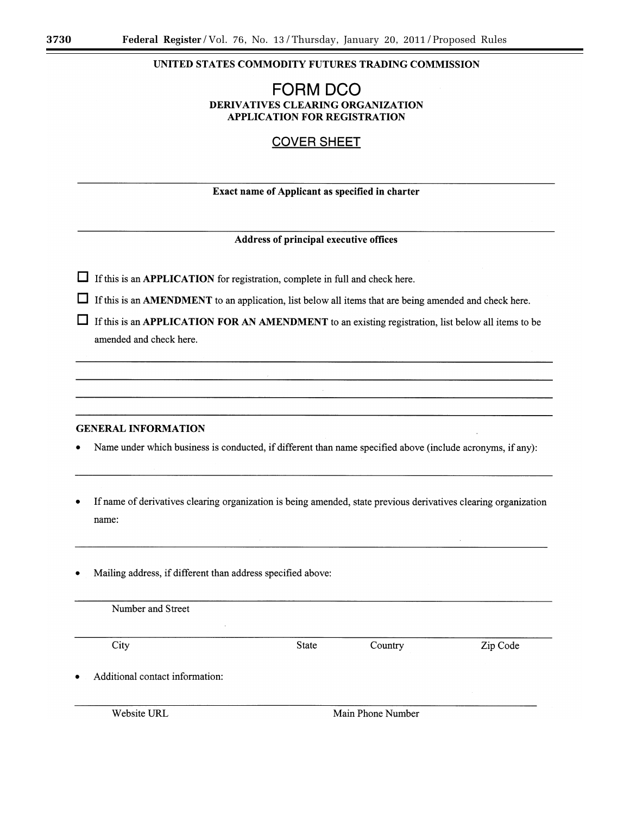# UNITED STATES COMMODITY FUTURES TRADING COMMISSION

# **FORM DCO** DERIVATIVES CLEARING ORGANIZATION **APPLICATION FOR REGISTRATION**

# **COVER SHEET**

# Exact name of Applicant as specified in charter

# Address of principal executive offices

- $\Box$  If this is an APPLICATION for registration, complete in full and check here.
- $\Box$  If this is an AMENDMENT to an application, list below all items that are being amended and check here.
- $\Box$  If this is an APPLICATION FOR AN AMENDMENT to an existing registration, list below all items to be amended and check here.

# **GENERAL INFORMATION**

- Name under which business is conducted, if different than name specified above (include acronyms, if any):
- If name of derivatives clearing organization is being amended, state previous derivatives clearing organization name:
- Mailing address, if different than address specified above:

| Number and Street                                  |              |         |          |
|----------------------------------------------------|--------------|---------|----------|
| $\cdot$<br>the control of the<br><b>Contractor</b> |              |         |          |
| City                                               | <b>State</b> | Country | Zip Code |
| Additional contact information:<br>$\bullet$       |              |         |          |

Website URL

Main Phone Number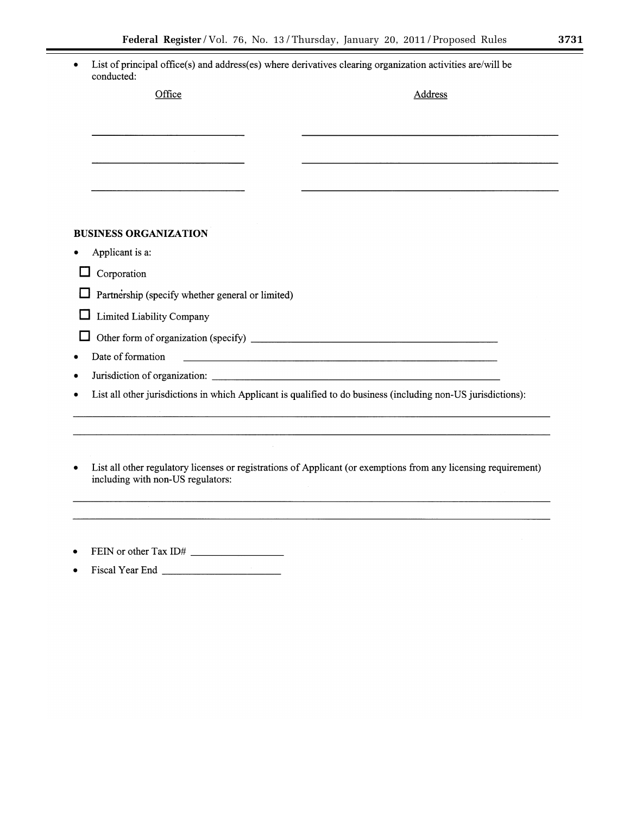$\equiv$ 

| conducted:                                                                                                                               | List of principal office(s) and address(es) where derivatives clearing organization activities are/will be      |
|------------------------------------------------------------------------------------------------------------------------------------------|-----------------------------------------------------------------------------------------------------------------|
| Office                                                                                                                                   | Address                                                                                                         |
|                                                                                                                                          |                                                                                                                 |
|                                                                                                                                          |                                                                                                                 |
|                                                                                                                                          |                                                                                                                 |
|                                                                                                                                          |                                                                                                                 |
|                                                                                                                                          |                                                                                                                 |
| <b>BUSINESS ORGANIZATION</b>                                                                                                             |                                                                                                                 |
| Applicant is a:                                                                                                                          |                                                                                                                 |
| Corporation                                                                                                                              |                                                                                                                 |
| Partnership (specify whether general or limited)                                                                                         |                                                                                                                 |
| Limited Liability Company<br>ட                                                                                                           |                                                                                                                 |
| $\mathbf{I}$                                                                                                                             |                                                                                                                 |
| Date of formation                                                                                                                        |                                                                                                                 |
|                                                                                                                                          |                                                                                                                 |
|                                                                                                                                          | List all other jurisdictions in which Applicant is qualified to do business (including non-US jurisdictions):   |
|                                                                                                                                          |                                                                                                                 |
| $\bullet$<br>including with non-US regulators:                                                                                           | List all other regulatory licenses or registrations of Applicant (or exemptions from any licensing requirement) |
|                                                                                                                                          |                                                                                                                 |
| FEIN or other Tax ID#                                                                                                                    |                                                                                                                 |
| <u> a shekara ta 1999 a shekara ta 1999 a shekara ta 1999 a shekara ta 1999 a shekara ta 1999 a shekara ta 1999 a</u><br>Fiscal Year End |                                                                                                                 |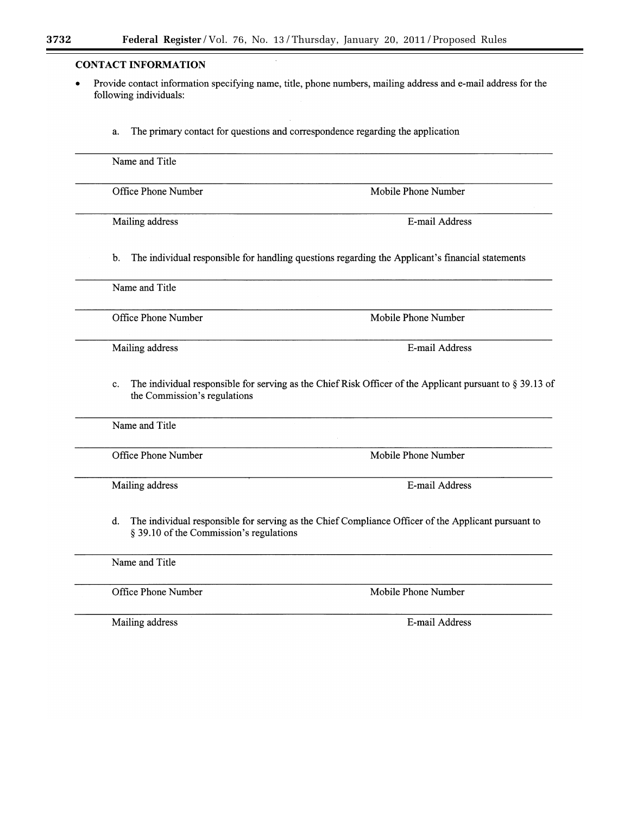# **CONTACT INFORMATION**

- Provide contact information specifying name, title, phone numbers, mailing address and e-mail address for the  $\bullet$ following individuals:
	- The primary contact for questions and correspondence regarding the application a.

| Office Phone Number                                  | Mobile Phone Number                                                                                         |
|------------------------------------------------------|-------------------------------------------------------------------------------------------------------------|
| Mailing address                                      | E-mail Address                                                                                              |
| b.                                                   | The individual responsible for handling questions regarding the Applicant's financial statements            |
| Name and Title                                       |                                                                                                             |
| Office Phone Number                                  | Mobile Phone Number                                                                                         |
| Mailing address                                      | E-mail Address                                                                                              |
|                                                      |                                                                                                             |
| c.<br>the Commission's regulations<br>Name and Title | The individual responsible for serving as the Chief Risk Officer of the Applicant pursuant to $\S$ 39.13 of |
| Office Phone Number                                  | Mobile Phone Number                                                                                         |
| Mailing address                                      | E-mail Address                                                                                              |
| d.<br>§ 39.10 of the Commission's regulations        | The individual responsible for serving as the Chief Compliance Officer of the Applicant pursuant to         |
| Name and Title                                       |                                                                                                             |

Mailing address

E-mail Address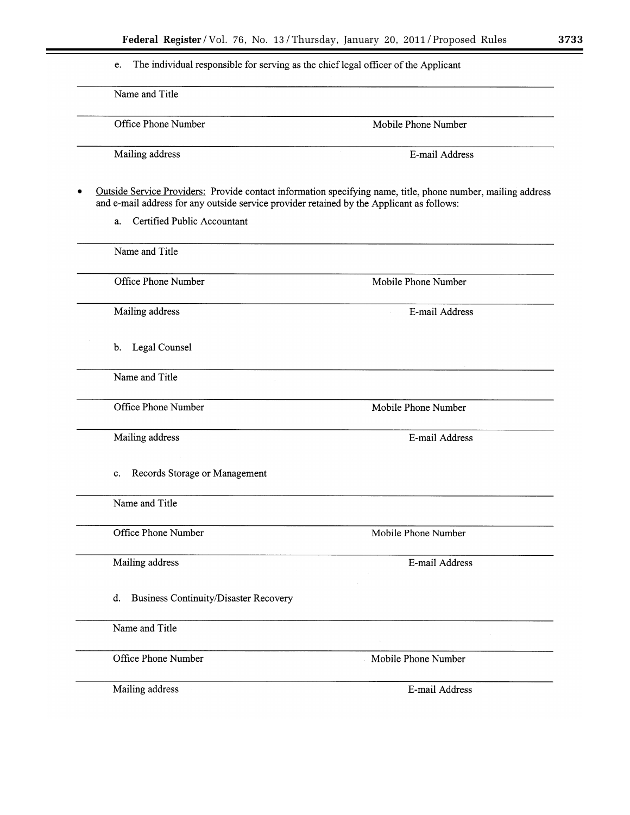The individual responsible for serving as the chief legal officer of the Applicant e.

Name and Title Office Phone Number Mobile Phone Number Mailing address E-mail Address Outside Service Providers: Provide contact information specifying name, title, phone number, mailing address  $\bullet$ and e-mail address for any outside service provider retained by the Applicant as follows: a. Certified Public Accountant Name and Title Office Phone Number Mobile Phone Number Mailing address E-mail Address b. Legal Counsel Name and Title Office Phone Number Mobile Phone Number Mailing address E-mail Address c. Records Storage or Management Name and Title Office Phone Number Mobile Phone Number Mailing address E-mail Address d. Business Continuity/Disaster Recovery Name and Title Office Phone Number Mobile Phone Number Mailing address E-mail Address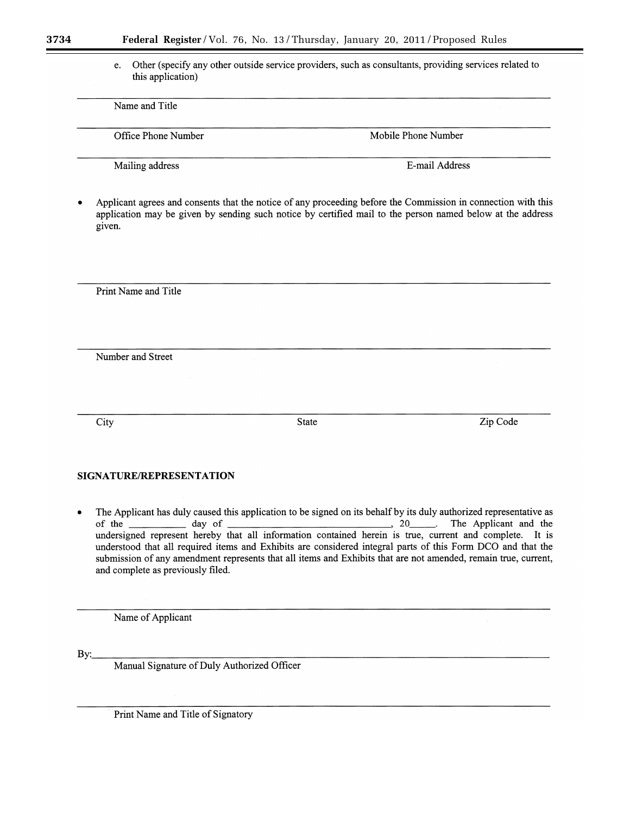Other (specify any other outside service providers, such as consultants, providing services related to e. this application)

Name and Title

Office Phone Number

Mobile Phone Number

Mailing address

E-mail Address

Applicant agrees and consents that the notice of any proceeding before the Commission in connection with this application may be given by sending such notice by certified mail to the person named below at the address given.

Print Name and Title

Number and Street

City

**State** 

Zip Code

# SIGNATURE/REPRESENTATION

The Applicant has duly caused this application to be signed on its behalf by its duly authorized representative as  $\bullet$ The Applicant and the of the day of  $, 20$  $\sim$ undersigned represent hereby that all information contained herein is true, current and complete. It is understood that all required items and Exhibits are considered integral parts of this Form DCO and that the submission of any amendment represents that all items and Exhibits that are not amended, remain true, current, and complete as previously filed.

Name of Applicant

 $\mathbf{By:}\_\ \$ 

Manual Signature of Duly Authorized Officer

Print Name and Title of Signatory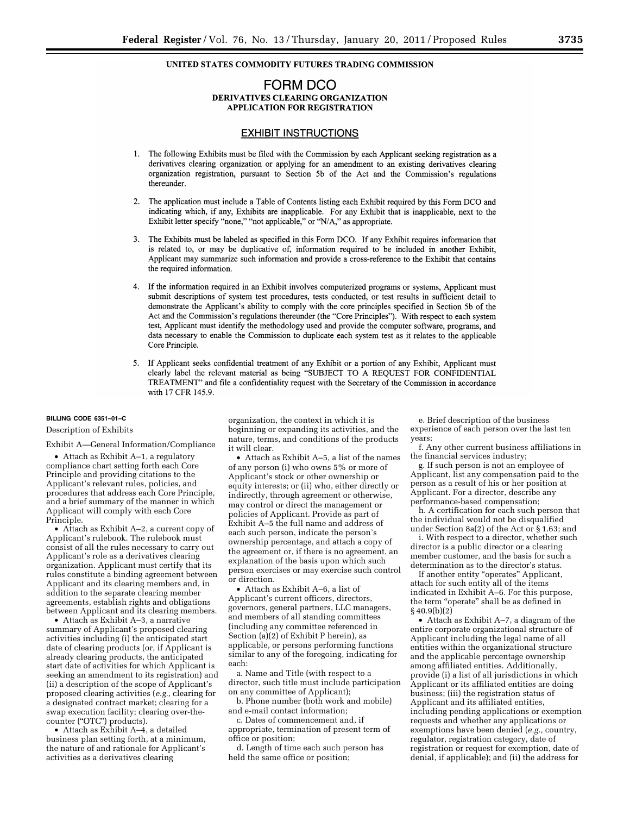# UNITED STATES COMMODITY FUTURES TRADING COMMISSION

# FORM DCO DERIVATIVES CLEARING ORGANIZATION **APPLICATION FOR REGISTRATION**

# **EXHIBIT INSTRUCTIONS**

- 1. The following Exhibits must be filed with the Commission by each Applicant seeking registration as a derivatives clearing organization or applying for an amendment to an existing derivatives clearing organization registration, pursuant to Section 5b of the Act and the Commission's regulations thereunder.
- 2. The application must include a Table of Contents listing each Exhibit required by this Form DCO and indicating which, if any, Exhibits are inapplicable. For any Exhibit that is inapplicable, next to the Exhibit letter specify "none," "not applicable," or "N/A," as appropriate.
- The Exhibits must be labeled as specified in this Form DCO. If any Exhibit requires information that  $3.$ is related to, or may be duplicative of, information required to be included in another Exhibit, Applicant may summarize such information and provide a cross-reference to the Exhibit that contains the required information.
- 4. If the information required in an Exhibit involves computerized programs or systems, Applicant must submit descriptions of system test procedures, tests conducted, or test results in sufficient detail to demonstrate the Applicant's ability to comply with the core principles specified in Section 5b of the Act and the Commission's regulations thereunder (the "Core Principles"). With respect to each system test, Applicant must identify the methodology used and provide the computer software, programs, and data necessary to enable the Commission to duplicate each system test as it relates to the applicable Core Principle.
- 5. If Applicant seeks confidential treatment of any Exhibit or a portion of any Exhibit, Applicant must clearly label the relevant material as being "SUBJECT TO A REQUEST FOR CONFIDENTIAL TREATMENT" and file a confidentiality request with the Secretary of the Commission in accordance with 17 CFR 145.9.

### **BILLING CODE 6351–01–C**

Description of Exhibits

Exhibit A—General Information/Compliance

• Attach as Exhibit A–1, a regulatory compliance chart setting forth each Core Principle and providing citations to the Applicant's relevant rules, policies, and procedures that address each Core Principle, and a brief summary of the manner in which Applicant will comply with each Core Principle.

• Attach as Exhibit A–2, a current copy of Applicant's rulebook. The rulebook must consist of all the rules necessary to carry out Applicant's role as a derivatives clearing organization. Applicant must certify that its rules constitute a binding agreement between Applicant and its clearing members and, in addition to the separate clearing member agreements, establish rights and obligations between Applicant and its clearing members.

• Attach as Exhibit A–3, a narrative summary of Applicant's proposed clearing activities including (i) the anticipated start date of clearing products (or, if Applicant is already clearing products, the anticipated start date of activities for which Applicant is seeking an amendment to its registration) and (ii) a description of the scope of Applicant's proposed clearing activities (*e.g.,* clearing for a designated contract market; clearing for a swap execution facility; clearing over-thecounter ("OTC") products).

• Attach as Exhibit A–4, a detailed business plan setting forth, at a minimum, the nature of and rationale for Applicant's activities as a derivatives clearing

organization, the context in which it is beginning or expanding its activities, and the nature, terms, and conditions of the products it will clear.

• Attach as Exhibit A–5, a list of the names of any person (i) who owns 5% or more of Applicant's stock or other ownership or equity interests; or (ii) who, either directly or indirectly, through agreement or otherwise, may control or direct the management or policies of Applicant. Provide as part of Exhibit A–5 the full name and address of each such person, indicate the person's ownership percentage, and attach a copy of the agreement or, if there is no agreement, an explanation of the basis upon which such person exercises or may exercise such control or direction.

• Attach as Exhibit A–6, a list of Applicant's current officers, directors, governors, general partners, LLC managers, and members of all standing committees (including any committee referenced in Section (a)(2) of Exhibit P herein), as applicable, or persons performing functions similar to any of the foregoing, indicating for each:

a. Name and Title (with respect to a director, such title must include participation on any committee of Applicant);

b. Phone number (both work and mobile) and e-mail contact information;

c. Dates of commencement and, if appropriate, termination of present term of office or position;

d. Length of time each such person has held the same office or position;

e. Brief description of the business experience of each person over the last ten years;

f. Any other current business affiliations in the financial services industry;

g. If such person is not an employee of Applicant, list any compensation paid to the person as a result of his or her position at Applicant. For a director, describe any performance-based compensation;

h. A certification for each such person that the individual would not be disqualified under Section 8a(2) of the Act or § 1.63; and

i. With respect to a director, whether such director is a public director or a clearing member customer, and the basis for such a determination as to the director's status.

If another entity "operates" Applicant, attach for such entity all of the items indicated in Exhibit A–6. For this purpose, the term "operate" shall be as defined in  $§ 40.9(b)(2)$ 

• Attach as Exhibit A–7, a diagram of the entire corporate organizational structure of Applicant including the legal name of all entities within the organizational structure and the applicable percentage ownership among affiliated entities. Additionally, provide (i) a list of all jurisdictions in which Applicant or its affiliated entities are doing business; (iii) the registration status of Applicant and its affiliated entities, including pending applications or exemption requests and whether any applications or exemptions have been denied (*e.g.,* country, regulator, registration category, date of registration or request for exemption, date of denial, if applicable); and (ii) the address for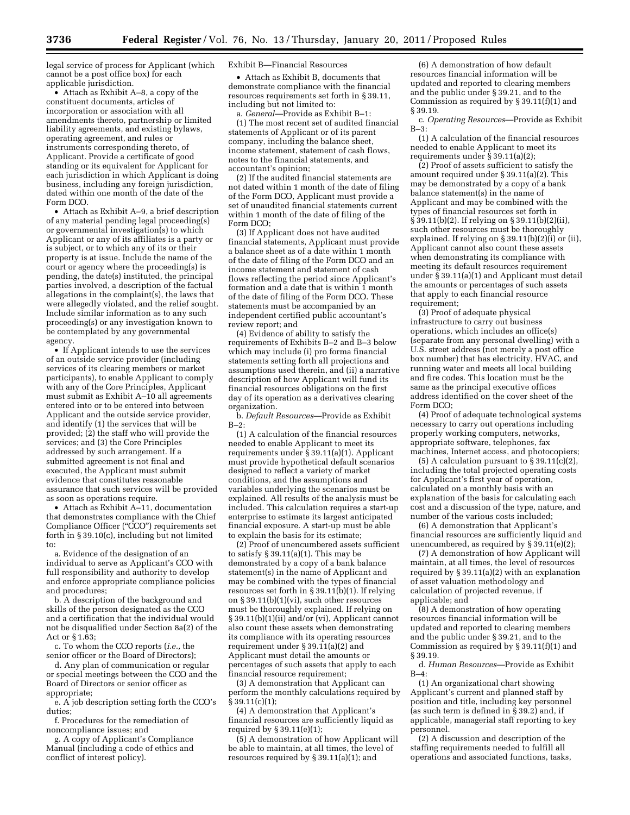legal service of process for Applicant (which cannot be a post office box) for each applicable jurisdiction.

• Attach as Exhibit A–8, a copy of the constituent documents, articles of incorporation or association with all amendments thereto, partnership or limited liability agreements, and existing bylaws, operating agreement, and rules or instruments corresponding thereto, of Applicant. Provide a certificate of good standing or its equivalent for Applicant for each jurisdiction in which Applicant is doing business, including any foreign jurisdiction, dated within one month of the date of the Form DCO.

• Attach as Exhibit A–9, a brief description of any material pending legal proceeding(s) or governmental investigation(s) to which Applicant or any of its affiliates is a party or is subject, or to which any of its or their property is at issue. Include the name of the court or agency where the proceeding(s) is pending, the date(s) instituted, the principal parties involved, a description of the factual allegations in the complaint(s), the laws that were allegedly violated, and the relief sought. Include similar information as to any such proceeding(s) or any investigation known to be contemplated by any governmental agency.

• If Applicant intends to use the services of an outside service provider (including services of its clearing members or market participants), to enable Applicant to comply with any of the Core Principles, Applicant must submit as Exhibit A–10 all agreements entered into or to be entered into between Applicant and the outside service provider, and identify (1) the services that will be provided; (2) the staff who will provide the services; and (3) the Core Principles addressed by such arrangement. If a submitted agreement is not final and executed, the Applicant must submit evidence that constitutes reasonable assurance that such services will be provided as soon as operations require.

• Attach as Exhibit A–11, documentation that demonstrates compliance with the Chief Compliance Officer (''CCO'') requirements set forth in § 39.10(c), including but not limited to:

a. Evidence of the designation of an individual to serve as Applicant's CCO with full responsibility and authority to develop and enforce appropriate compliance policies and procedures;

b. A description of the background and skills of the person designated as the CCO and a certification that the individual would not be disqualified under Section 8a(2) of the Act or § 1.63;

c. To whom the CCO reports (*i.e.,* the senior officer or the Board of Directors);

d. Any plan of communication or regular or special meetings between the CCO and the Board of Directors or senior officer as appropriate;

e. A job description setting forth the CCO's duties;

f. Procedures for the remediation of noncompliance issues; and

g. A copy of Applicant's Compliance Manual (including a code of ethics and conflict of interest policy).

#### Exhibit B—Financial Resources

• Attach as Exhibit B, documents that demonstrate compliance with the financial resources requirements set forth in § 39.11, including but not limited to:

a. *General*—Provide as Exhibit B–1: (1) The most recent set of audited financial statements of Applicant or of its parent company, including the balance sheet, income statement, statement of cash flows, notes to the financial statements, and accountant's opinion;

(2) If the audited financial statements are not dated within 1 month of the date of filing of the Form DCO, Applicant must provide a set of unaudited financial statements current within 1 month of the date of filing of the Form DCO;

(3) If Applicant does not have audited financial statements, Applicant must provide a balance sheet as of a date within 1 month of the date of filing of the Form DCO and an income statement and statement of cash flows reflecting the period since Applicant's formation and a date that is within 1 month of the date of filing of the Form DCO. These statements must be accompanied by an independent certified public accountant's review report; and

(4) Evidence of ability to satisfy the requirements of Exhibits B–2 and B–3 below which may include (i) pro forma financial statements setting forth all projections and assumptions used therein, and (ii) a narrative description of how Applicant will fund its financial resources obligations on the first day of its operation as a derivatives clearing organization.

b. *Default Resources*—Provide as Exhibit  $B-2$ 

(1) A calculation of the financial resources needed to enable Applicant to meet its requirements under § 39.11(a)(1). Applicant must provide hypothetical default scenarios designed to reflect a variety of market conditions, and the assumptions and variables underlying the scenarios must be explained. All results of the analysis must be included. This calculation requires a start-up enterprise to estimate its largest anticipated financial exposure. A start-up must be able to explain the basis for its estimate;

(2) Proof of unencumbered assets sufficient to satisfy  $\S 39.11(a)(1)$ . This may be demonstrated by a copy of a bank balance statement(s) in the name of Applicant and may be combined with the types of financial resources set forth in § 39.11( $\bar{b}$ )(1). If relying on § 39.11(b)(1)(vi), such other resources must be thoroughly explained. If relying on § 39.11(b)(1)(ii) and/or (vi), Applicant cannot also count these assets when demonstrating its compliance with its operating resources requirement under § 39.11(a)(2) and Applicant must detail the amounts or percentages of such assets that apply to each financial resource requirement;

(3) A demonstration that Applicant can perform the monthly calculations required by  $§ 39.11(c)(1);$ 

(4) A demonstration that Applicant's financial resources are sufficiently liquid as required by § 39.11(e)(1);

(5) A demonstration of how Applicant will be able to maintain, at all times, the level of resources required by § 39.11(a)(1); and

(6) A demonstration of how default resources financial information will be updated and reported to clearing members and the public under § 39.21, and to the Commission as required by § 39.11(f)(1) and § 39.19.

c. *Operating Resources*—Provide as Exhibit B–3:

(1) A calculation of the financial resources needed to enable Applicant to meet its requirements under  $\S 39.11(a)(2)$ ;

(2) Proof of assets sufficient to satisfy the amount required under § 39.11(a)(2). This may be demonstrated by a copy of a bank balance statement(s) in the name of Applicant and may be combined with the types of financial resources set forth in § 39.11(b)(2). If relying on § 39.11(b)(2)(ii), such other resources must be thoroughly explained. If relying on § 39.11(b)(2)(i) or (ii), Applicant cannot also count these assets when demonstrating its compliance with meeting its default resources requirement under § 39.11(a)(1) and Applicant must detail the amounts or percentages of such assets that apply to each financial resource requirement;

(3) Proof of adequate physical infrastructure to carry out business operations, which includes an office(s) (separate from any personal dwelling) with a U.S. street address (not merely a post office box number) that has electricity, HVAC, and running water and meets all local building and fire codes. This location must be the same as the principal executive offices address identified on the cover sheet of the Form DCO;

(4) Proof of adequate technological systems necessary to carry out operations including properly working computers, networks, appropriate software, telephones, fax machines, Internet access, and photocopiers;

(5) A calculation pursuant to  $\S 39.11(c)(2)$ , including the total projected operating costs for Applicant's first year of operation, calculated on a monthly basis with an explanation of the basis for calculating each cost and a discussion of the type, nature, and number of the various costs included;

(6) A demonstration that Applicant's financial resources are sufficiently liquid and unencumbered, as required by § 39.11(e)(2);

(7) A demonstration of how Applicant will maintain, at all times, the level of resources required by § 39.11(a)(2) with an explanation of asset valuation methodology and calculation of projected revenue, if applicable; and

(8) A demonstration of how operating resources financial information will be updated and reported to clearing members and the public under § 39.21, and to the Commission as required by § 39.11(f)(1) and § 39.19.

d. *Human Resources*—Provide as Exhibit B–4:

(1) An organizational chart showing Applicant's current and planned staff by position and title, including key personnel (as such term is defined in  $\S 39.2$ ) and, if applicable, managerial staff reporting to key personnel.

(2) A discussion and description of the staffing requirements needed to fulfill all operations and associated functions, tasks,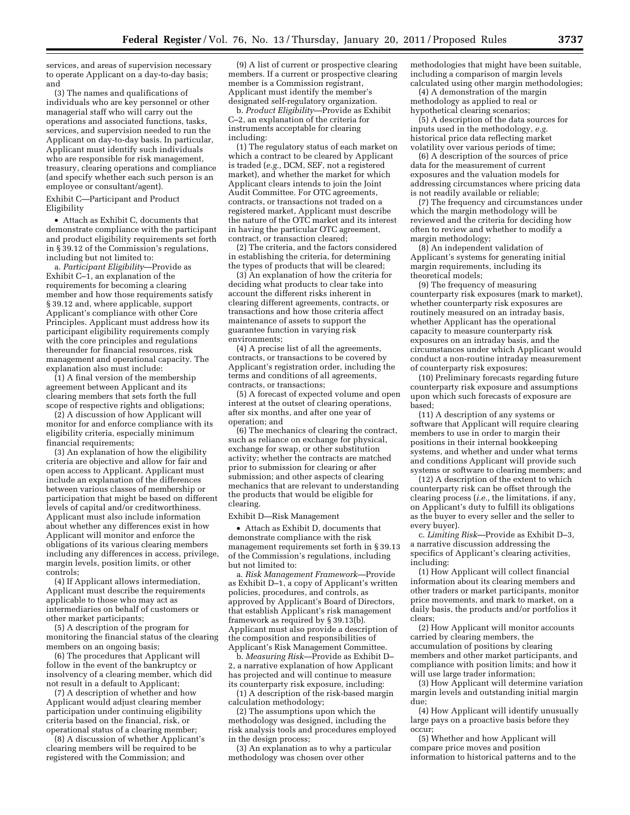services, and areas of supervision necessary to operate Applicant on a day-to-day basis; and

(3) The names and qualifications of individuals who are key personnel or other managerial staff who will carry out the operations and associated functions, tasks, services, and supervision needed to run the Applicant on day-to-day basis. In particular, Applicant must identify such individuals who are responsible for risk management, treasury, clearing operations and compliance (and specify whether each such person is an employee or consultant/agent).

Exhibit C—Participant and Product Eligibility

• Attach as Exhibit C, documents that demonstrate compliance with the participant and product eligibility requirements set forth in § 39.12 of the Commission's regulations, including but not limited to:

a. *Participant Eligibility*—Provide as Exhibit C–1, an explanation of the requirements for becoming a clearing member and how those requirements satisfy § 39.12 and, where applicable, support Applicant's compliance with other Core Principles. Applicant must address how its participant eligibility requirements comply with the core principles and regulations thereunder for financial resources, risk management and operational capacity. The explanation also must include:

 $(1)$  A final version of the membership agreement between Applicant and its clearing members that sets forth the full scope of respective rights and obligations;

(2) A discussion of how Applicant will monitor for and enforce compliance with its eligibility criteria, especially minimum financial requirements;

(3) An explanation of how the eligibility criteria are objective and allow for fair and open access to Applicant. Applicant must include an explanation of the differences between various classes of membership or participation that might be based on different levels of capital and/or creditworthiness. Applicant must also include information about whether any differences exist in how Applicant will monitor and enforce the obligations of its various clearing members including any differences in access, privilege, margin levels, position limits, or other controls;

(4) If Applicant allows intermediation, Applicant must describe the requirements applicable to those who may act as intermediaries on behalf of customers or other market participants;

(5) A description of the program for monitoring the financial status of the clearing members on an ongoing basis;

(6) The procedures that Applicant will follow in the event of the bankruptcy or insolvency of a clearing member, which did not result in a default to Applicant;

(7) A description of whether and how Applicant would adjust clearing member participation under continuing eligibility criteria based on the financial, risk, or operational status of a clearing member;

(8) A discussion of whether Applicant's clearing members will be required to be registered with the Commission; and

(9) A list of current or prospective clearing members. If a current or prospective clearing member is a Commission registrant, Applicant must identify the member's designated self-regulatory organization.

b. *Product Eligibility*—Provide as Exhibit C–2, an explanation of the criteria for instruments acceptable for clearing including:

(1) The regulatory status of each market on which a contract to be cleared by Applicant is traded (*e.g.,* DCM, SEF, not a registered market), and whether the market for which Applicant clears intends to join the Joint Audit Committee. For OTC agreements, contracts, or transactions not traded on a registered market, Applicant must describe the nature of the OTC market and its interest in having the particular OTC agreement, contract, or transaction cleared;

(2) The criteria, and the factors considered in establishing the criteria, for determining the types of products that will be cleared;

(3) An explanation of how the criteria for deciding what products to clear take into account the different risks inherent in clearing different agreements, contracts, or transactions and how those criteria affect maintenance of assets to support the guarantee function in varying risk environments;

(4) A precise list of all the agreements, contracts, or transactions to be covered by Applicant's registration order, including the terms and conditions of all agreements, contracts, or transactions;

(5) A forecast of expected volume and open interest at the outset of clearing operations, after six months, and after one year of operation; and

(6) The mechanics of clearing the contract, such as reliance on exchange for physical, exchange for swap, or other substitution activity; whether the contracts are matched prior to submission for clearing or after submission; and other aspects of clearing mechanics that are relevant to understanding the products that would be eligible for clearing.

Exhibit D—Risk Management

• Attach as Exhibit D, documents that demonstrate compliance with the risk management requirements set forth in § 39.13 of the Commission's regulations, including but not limited to:

a. *Risk Management Framework*—Provide as Exhibit D–1, a copy of Applicant's written policies, procedures, and controls, as approved by Applicant's Board of Directors, that establish Applicant's risk management framework as required by § 39.13(b). Applicant must also provide a description of the composition and responsibilities of Applicant's Risk Management Committee.

b. *Measuring Risk*—Provide as Exhibit D– 2, a narrative explanation of how Applicant has projected and will continue to measure its counterparty risk exposure, including:

(1) A description of the risk-based margin calculation methodology;

(2) The assumptions upon which the methodology was designed, including the risk analysis tools and procedures employed in the design process;

(3) An explanation as to why a particular methodology was chosen over other

methodologies that might have been suitable, including a comparison of margin levels calculated using other margin methodologies;

(4) A demonstration of the margin methodology as applied to real or hypothetical clearing scenarios;

(5) A description of the data sources for inputs used in the methodology, *e.g.*  historical price data reflecting market volatility over various periods of time;

(6) A description of the sources of price data for the measurement of current exposures and the valuation models for addressing circumstances where pricing data is not readily available or reliable;

(7) The frequency and circumstances under which the margin methodology will be reviewed and the criteria for deciding how often to review and whether to modify a margin methodology;

(8) An independent validation of Applicant's systems for generating initial margin requirements, including its theoretical models;

(9) The frequency of measuring counterparty risk exposures (mark to market), whether counterparty risk exposures are routinely measured on an intraday basis, whether Applicant has the operational capacity to measure counterparty risk exposures on an intraday basis, and the circumstances under which Applicant would conduct a non-routine intraday measurement of counterparty risk exposures;

(10) Preliminary forecasts regarding future counterparty risk exposure and assumptions upon which such forecasts of exposure are based;

(11) A description of any systems or software that Applicant will require clearing members to use in order to margin their positions in their internal bookkeeping systems, and whether and under what terms and conditions Applicant will provide such systems or software to clearing members; and

(12) A description of the extent to which counterparty risk can be offset through the clearing process (*i.e.,* the limitations, if any, on Applicant's duty to fulfill its obligations as the buyer to every seller and the seller to every buyer).

c. *Limiting Risk*—Provide as Exhibit D–3, a narrative discussion addressing the specifics of Applicant's clearing activities, including:

(1) How Applicant will collect financial information about its clearing members and other traders or market participants, monitor price movements, and mark to market, on a daily basis, the products and/or portfolios it clears;

(2) How Applicant will monitor accounts carried by clearing members, the accumulation of positions by clearing members and other market participants, and compliance with position limits; and how it will use large trader information;

(3) How Applicant will determine variation margin levels and outstanding initial margin due;

(4) How Applicant will identify unusually large pays on a proactive basis before they occur;

(5) Whether and how Applicant will compare price moves and position information to historical patterns and to the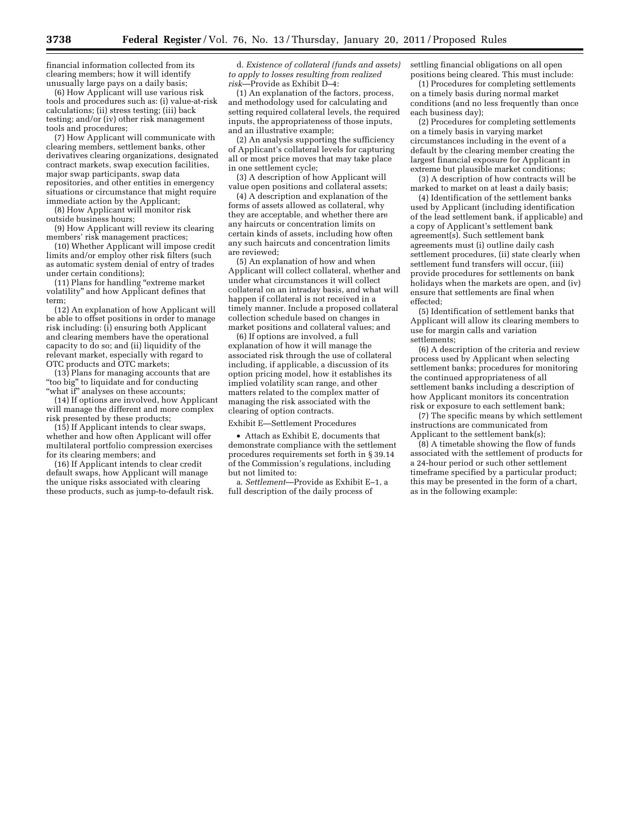financial information collected from its clearing members; how it will identify unusually large pays on a daily basis;

(6) How Applicant will use various risk tools and procedures such as: (i) value-at-risk calculations; (ii) stress testing; (iii) back testing; and/or (iv) other risk management tools and procedures;

(7) How Applicant will communicate with clearing members, settlement banks, other derivatives clearing organizations, designated contract markets, swap execution facilities, major swap participants, swap data repositories, and other entities in emergency situations or circumstance that might require immediate action by the Applicant;

(8) How Applicant will monitor risk outside business hours;

(9) How Applicant will review its clearing members' risk management practices;

(10) Whether Applicant will impose credit limits and/or employ other risk filters (such as automatic system denial of entry of trades under certain conditions);

(11) Plans for handling ''extreme market volatility'' and how Applicant defines that term;

(12) An explanation of how Applicant will be able to offset positions in order to manage risk including: (i) ensuring both Applicant and clearing members have the operational capacity to do so; and (ii) liquidity of the relevant market, especially with regard to OTC products and OTC markets;

(13) Plans for managing accounts that are ''too big'' to liquidate and for conducting "what if" analyses on these accounts;

(14) If options are involved, how Applicant will manage the different and more complex risk presented by these products;

(15) If Applicant intends to clear swaps, whether and how often Applicant will offer multilateral portfolio compression exercises for its clearing members; and

(16) If Applicant intends to clear credit default swaps, how Applicant will manage the unique risks associated with clearing these products, such as jump-to-default risk.

d. *Existence of collateral (funds and assets) to apply to losses resulting from realized risk*—Provide as Exhibit D–4:

(1) An explanation of the factors, process, and methodology used for calculating and setting required collateral levels, the required inputs, the appropriateness of those inputs, and an illustrative example;

(2) An analysis supporting the sufficiency of Applicant's collateral levels for capturing all or most price moves that may take place in one settlement cycle;

(3) A description of how Applicant will value open positions and collateral assets;

(4) A description and explanation of the forms of assets allowed as collateral, why they are acceptable, and whether there are any haircuts or concentration limits on certain kinds of assets, including how often any such haircuts and concentration limits are reviewed;

(5) An explanation of how and when Applicant will collect collateral, whether and under what circumstances it will collect collateral on an intraday basis, and what will happen if collateral is not received in a timely manner. Include a proposed collateral collection schedule based on changes in market positions and collateral values; and

(6) If options are involved, a full explanation of how it will manage the associated risk through the use of collateral including, if applicable, a discussion of its option pricing model, how it establishes its implied volatility scan range, and other matters related to the complex matter of managing the risk associated with the clearing of option contracts.

Exhibit E—Settlement Procedures

• Attach as Exhibit E, documents that demonstrate compliance with the settlement procedures requirements set forth in § 39.14 of the Commission's regulations, including but not limited to:

a. *Settlement*—Provide as Exhibit E–1, a full description of the daily process of

settling financial obligations on all open positions being cleared. This must include:

(1) Procedures for completing settlements on a timely basis during normal market conditions (and no less frequently than once each business day);

(2) Procedures for completing settlements on a timely basis in varying market circumstances including in the event of a default by the clearing member creating the largest financial exposure for Applicant in extreme but plausible market conditions;

(3) A description of how contracts will be marked to market on at least a daily basis;

(4) Identification of the settlement banks used by Applicant (including identification of the lead settlement bank, if applicable) and a copy of Applicant's settlement bank agreement(s). Such settlement bank agreements must (i) outline daily cash settlement procedures, (ii) state clearly when settlement fund transfers will occur, (iii) provide procedures for settlements on bank holidays when the markets are open, and (iv) ensure that settlements are final when effected;

(5) Identification of settlement banks that Applicant will allow its clearing members to use for margin calls and variation settlements;

(6) A description of the criteria and review process used by Applicant when selecting settlement banks; procedures for monitoring the continued appropriateness of all settlement banks including a description of how Applicant monitors its concentration risk or exposure to each settlement bank;

(7) The specific means by which settlement instructions are communicated from Applicant to the settlement bank(s);

(8) A timetable showing the flow of funds associated with the settlement of products for a 24-hour period or such other settlement timeframe specified by a particular product; this may be presented in the form of a chart, as in the following example: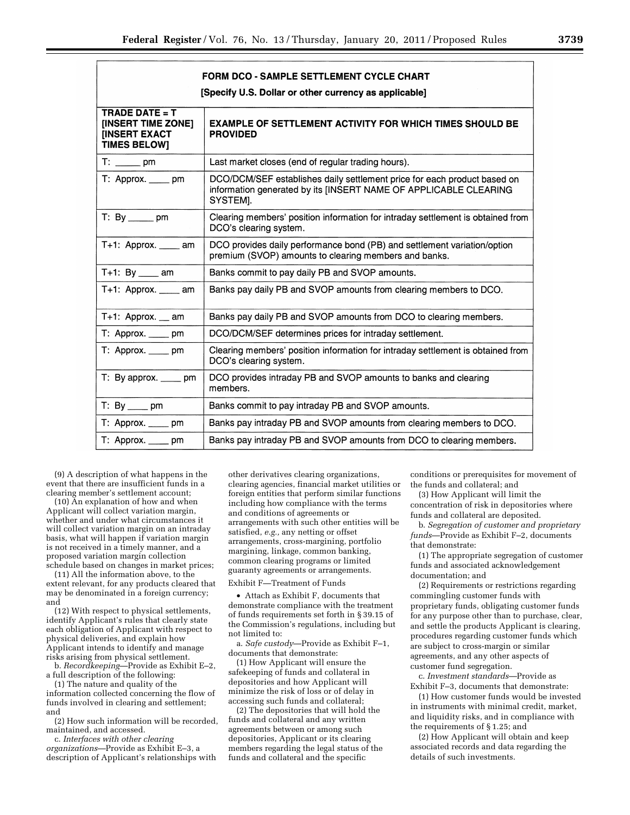| <b>FORM DCO - SAMPLE SETTLEMENT CYCLE CHART</b><br>[Specify U.S. Dollar or other currency as applicable] |                                                                                                                                                          |  |  |
|----------------------------------------------------------------------------------------------------------|----------------------------------------------------------------------------------------------------------------------------------------------------------|--|--|
| TRADE DATE = $T$<br>[INSERT TIME ZONE]<br><b>IINSERT EXACT</b><br><b>TIMES BELOW]</b>                    | <b>EXAMPLE OF SETTLEMENT ACTIVITY FOR WHICH TIMES SHOULD BE</b><br><b>PROVIDED</b>                                                                       |  |  |
| $T:$ pm                                                                                                  | Last market closes (end of regular trading hours).                                                                                                       |  |  |
| T: Approx. _____ pm                                                                                      | DCO/DCM/SEF establishes daily settlement price for each product based on<br>information generated by its [INSERT NAME OF APPLICABLE CLEARING<br>SYSTEM]. |  |  |
| $T: By \_\_pm$ pm                                                                                        | Clearing members' position information for intraday settlement is obtained from<br>DCO's clearing system.                                                |  |  |
| $T+1$ : Approx. _____ am                                                                                 | DCO provides daily performance bond (PB) and settlement variation/option<br>premium (SVOP) amounts to clearing members and banks.                        |  |  |
| $T+1$ : By _____ am                                                                                      | Banks commit to pay daily PB and SVOP amounts.                                                                                                           |  |  |
| $T+1$ : Approx. _____ am                                                                                 | Banks pay daily PB and SVOP amounts from clearing members to DCO.                                                                                        |  |  |
| $T+1$ : Approx. $\_\_$ am                                                                                | Banks pay daily PB and SVOP amounts from DCO to clearing members.                                                                                        |  |  |
| T: Approx. _____ pm                                                                                      | DCO/DCM/SEF determines prices for intraday settlement.                                                                                                   |  |  |
| T: Approx. _____ pm                                                                                      | Clearing members' position information for intraday settlement is obtained from<br>DCO's clearing system.                                                |  |  |
| $T: By approx.$ ______ pm                                                                                | DCO provides intraday PB and SVOP amounts to banks and clearing<br>members.                                                                              |  |  |
| $T: By \_\_pm$ pm                                                                                        | Banks commit to pay intraday PB and SVOP amounts.                                                                                                        |  |  |
| $T:$ Approx. $\_\_\_\_$ pm                                                                               | Banks pay intraday PB and SVOP amounts from clearing members to DCO.                                                                                     |  |  |
| T: Approx. _____ pm                                                                                      | Banks pay intraday PB and SVOP amounts from DCO to clearing members.                                                                                     |  |  |

(9) A description of what happens in the event that there are insufficient funds in a clearing member's settlement account;

(10) An explanation of how and when Applicant will collect variation margin, whether and under what circumstances it will collect variation margin on an intraday basis, what will happen if variation margin is not received in a timely manner, and a proposed variation margin collection schedule based on changes in market prices;

(11) All the information above, to the extent relevant, for any products cleared that may be denominated in a foreign currency; and

(12) With respect to physical settlements, identify Applicant's rules that clearly state each obligation of Applicant with respect to physical deliveries, and explain how Applicant intends to identify and manage risks arising from physical settlement.

b. *Recordkeeping*—Provide as Exhibit E–2, a full description of the following:

(1) The nature and quality of the information collected concerning the flow of funds involved in clearing and settlement; and

(2) How such information will be recorded, maintained, and accessed.

c. *Interfaces with other clearing organizations*—Provide as Exhibit E–3, a description of Applicant's relationships with

other derivatives clearing organizations, clearing agencies, financial market utilities or foreign entities that perform similar functions including how compliance with the terms and conditions of agreements or arrangements with such other entities will be satisfied, *e.g.,* any netting or offset arrangements, cross-margining, portfolio margining, linkage, common banking, common clearing programs or limited guaranty agreements or arrangements.

# Exhibit F—Treatment of Funds

• Attach as Exhibit F, documents that demonstrate compliance with the treatment of funds requirements set forth in § 39.15 of the Commission's regulations, including but not limited to:

a. *Safe custody*—Provide as Exhibit F–1, documents that demonstrate:

(1) How Applicant will ensure the safekeeping of funds and collateral in depositories and how Applicant will minimize the risk of loss or of delay in accessing such funds and collateral;

(2) The depositories that will hold the funds and collateral and any written agreements between or among such depositories, Applicant or its clearing members regarding the legal status of the funds and collateral and the specific

conditions or prerequisites for movement of the funds and collateral; and

(3) How Applicant will limit the concentration of risk in depositories where funds and collateral are deposited.

b. *Segregation of customer and proprietary funds*—Provide as Exhibit F–2, documents that demonstrate:

(1) The appropriate segregation of customer funds and associated acknowledgement documentation; and

(2) Requirements or restrictions regarding commingling customer funds with proprietary funds, obligating customer funds for any purpose other than to purchase, clear, and settle the products Applicant is clearing, procedures regarding customer funds which are subject to cross-margin or similar agreements, and any other aspects of customer fund segregation.

c. *Investment standards*—Provide as Exhibit F–3, documents that demonstrate:

(1) How customer funds would be invested in instruments with minimal credit, market, and liquidity risks, and in compliance with the requirements of § 1.25; and

(2) How Applicant will obtain and keep associated records and data regarding the details of such investments.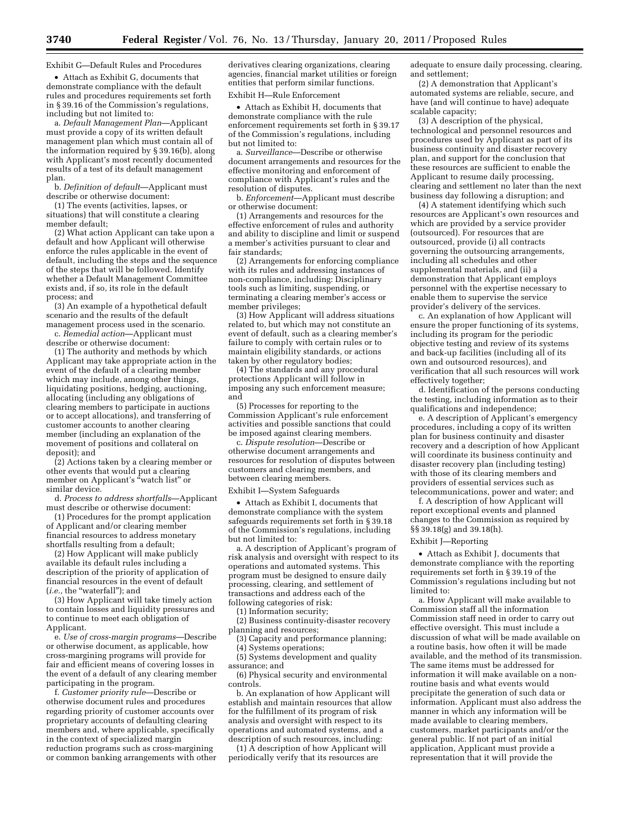Exhibit G—Default Rules and Procedures

• Attach as Exhibit G, documents that demonstrate compliance with the default rules and procedures requirements set forth in § 39.16 of the Commission's regulations, including but not limited to:

a. *Default Management Plan*—Applicant must provide a copy of its written default management plan which must contain all of the information required by § 39.16(b), along with Applicant's most recently documented results of a test of its default management plan.

b. *Definition of default*—Applicant must describe or otherwise document:

(1) The events (activities, lapses, or situations) that will constitute a clearing member default;

(2) What action Applicant can take upon a default and how Applicant will otherwise enforce the rules applicable in the event of default, including the steps and the sequence of the steps that will be followed. Identify whether a Default Management Committee exists and, if so, its role in the default process; and

(3) An example of a hypothetical default scenario and the results of the default management process used in the scenario.

c. *Remedial action*—Applicant must describe or otherwise document:

(1) The authority and methods by which Applicant may take appropriate action in the event of the default of a clearing member which may include, among other things, liquidating positions, hedging, auctioning, allocating (including any obligations of clearing members to participate in auctions or to accept allocations), and transferring of customer accounts to another clearing member (including an explanation of the movement of positions and collateral on deposit); and

(2) Actions taken by a clearing member or other events that would put a clearing member on Applicant's "watch list" or similar device.

d. *Process to address shortfalls*—Applicant must describe or otherwise document:

(1) Procedures for the prompt application of Applicant and/or clearing member financial resources to address monetary shortfalls resulting from a default;

(2) How Applicant will make publicly available its default rules including a description of the priority of application of financial resources in the event of default (*i.e.,* the ''waterfall''); and

(3) How Applicant will take timely action to contain losses and liquidity pressures and to continue to meet each obligation of Applicant.

e. *Use of cross-margin programs*—Describe or otherwise document, as applicable, how cross-margining programs will provide for fair and efficient means of covering losses in the event of a default of any clearing member participating in the program.

f. *Customer priority rule*—Describe or otherwise document rules and procedures regarding priority of customer accounts over proprietary accounts of defaulting clearing members and, where applicable, specifically in the context of specialized margin reduction programs such as cross-margining or common banking arrangements with other

derivatives clearing organizations, clearing agencies, financial market utilities or foreign entities that perform similar functions.

Exhibit H—Rule Enforcement

• Attach as Exhibit H, documents that demonstrate compliance with the rule enforcement requirements set forth in § 39.17 of the Commission's regulations, including but not limited to:

a. *Surveillance*—Describe or otherwise document arrangements and resources for the effective monitoring and enforcement of compliance with Applicant's rules and the resolution of disputes.

b. *Enforcement*—Applicant must describe or otherwise document:

(1) Arrangements and resources for the effective enforcement of rules and authority and ability to discipline and limit or suspend a member's activities pursuant to clear and fair standards;

(2) Arrangements for enforcing compliance with its rules and addressing instances of non-compliance, including: Disciplinary tools such as limiting, suspending, or terminating a clearing member's access or member privileges;

(3) How Applicant will address situations related to, but which may not constitute an event of default, such as a clearing member's failure to comply with certain rules or to maintain eligibility standards, or actions taken by other regulatory bodies;

(4) The standards and any procedural protections Applicant will follow in imposing any such enforcement measure; and

(5) Processes for reporting to the Commission Applicant's rule enforcement activities and possible sanctions that could be imposed against clearing members.

c. *Dispute resolution*—Describe or otherwise document arrangements and resources for resolution of disputes between customers and clearing members, and between clearing members.

Exhibit I—System Safeguards

• Attach as Exhibit I, documents that demonstrate compliance with the system safeguards requirements set forth in § 39.18 of the Commission's regulations, including but not limited to:

a. A description of Applicant's program of risk analysis and oversight with respect to its operations and automated systems. This program must be designed to ensure daily processing, clearing, and settlement of transactions and address each of the following categories of risk:

(1) Information security;

(2) Business continuity-disaster recovery planning and resources;

(3) Capacity and performance planning;

(4) Systems operations;

(5) Systems development and quality assurance; and

(6) Physical security and environmental controls.

b. An explanation of how Applicant will establish and maintain resources that allow for the fulfillment of its program of risk analysis and oversight with respect to its operations and automated systems, and a description of such resources, including:

(1) A description of how Applicant will periodically verify that its resources are

adequate to ensure daily processing, clearing, and settlement;

(2) A demonstration that Applicant's automated systems are reliable, secure, and have (and will continue to have) adequate scalable capacity;

(3) A description of the physical, technological and personnel resources and procedures used by Applicant as part of its business continuity and disaster recovery plan, and support for the conclusion that these resources are sufficient to enable the Applicant to resume daily processing, clearing and settlement no later than the next business day following a disruption; and

(4) A statement identifying which such resources are Applicant's own resources and which are provided by a service provider (outsourced). For resources that are outsourced, provide (i) all contracts governing the outsourcing arrangements, including all schedules and other supplemental materials, and (ii) a demonstration that Applicant employs personnel with the expertise necessary to enable them to supervise the service provider's delivery of the services.

c. An explanation of how Applicant will ensure the proper functioning of its systems, including its program for the periodic objective testing and review of its systems and back-up facilities (including all of its own and outsourced resources), and verification that all such resources will work effectively together;

d. Identification of the persons conducting the testing, including information as to their qualifications and independence;

e. A description of Applicant's emergency procedures, including a copy of its written plan for business continuity and disaster recovery and a description of how Applicant will coordinate its business continuity and disaster recovery plan (including testing) with those of its clearing members and providers of essential services such as telecommunications, power and water; and

f. A description of how Applicant will report exceptional events and planned changes to the Commission as required by §§ 39.18(g) and 39.18(h).

# Exhibit J—Reporting

• Attach as Exhibit J, documents that demonstrate compliance with the reporting requirements set forth in § 39.19 of the Commission's regulations including but not limited to:

a. How Applicant will make available to Commission staff all the information Commission staff need in order to carry out effective oversight. This must include a discussion of what will be made available on a routine basis, how often it will be made available, and the method of its transmission. The same items must be addressed for information it will make available on a nonroutine basis and what events would precipitate the generation of such data or information. Applicant must also address the manner in which any information will be made available to clearing members, customers, market participants and/or the general public. If not part of an initial application, Applicant must provide a representation that it will provide the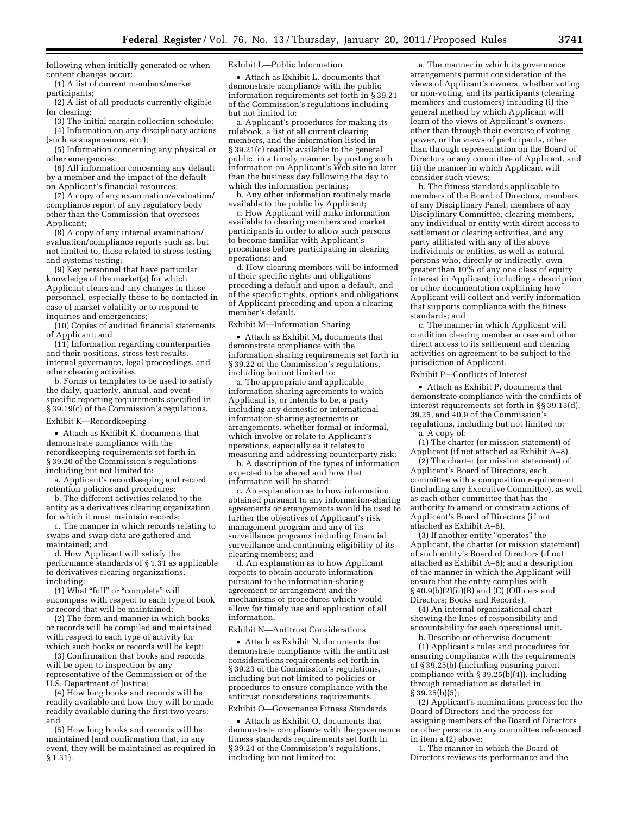following when initially generated or when content changes occur:

(1) A list of current members/market participants;

(2) A list of all products currently eligible for clearing;

(3) The initial margin collection schedule; (4) Information on any disciplinary actions (such as suspensions, etc.);

(5) Information concerning any physical or other emergencies;

(6) All information concerning any default by a member and the impact of the default on Applicant's financial resources;

(7) A copy of any examination/evaluation/ compliance report of any regulatory body other than the Commission that oversees Applicant;

(8) A copy of any internal examination/ evaluation/compliance reports such as, but not limited to, those related to stress testing and systems testing;

(9) Key personnel that have particular knowledge of the market(s) for which Applicant clears and any changes in those personnel, especially those to be contacted in case of market volatility or to respond to inquiries and emergencies;

(10) Copies of audited financial statements of Applicant; and

(11) Information regarding counterparties and their positions, stress test results, internal governance, legal proceedings, and other clearing activities.

b. Forms or templates to be used to satisfy the daily, quarterly, annual, and eventspecific reporting requirements specified in § 39.19(c) of the Commission's regulations.

Exhibit K—Recordkeeping

• Attach as Exhibit K, documents that demonstrate compliance with the recordkeeping requirements set forth in § 39.20 of the Commission's regulations including but not limited to:

a. Applicant's recordkeeping and record retention policies and procedures;

b. The different activities related to the entity as a derivatives clearing organization for which it must maintain records;

c. The manner in which records relating to swaps and swap data are gathered and maintained; and

d. How Applicant will satisfy the performance standards of § 1.31 as applicable to derivatives clearing organizations, including:

(1) What "full" or "complete" will encompass with respect to each type of book or record that will be maintained;

(2) The form and manner in which books or records will be compiled and maintained with respect to each type of activity for which such books or records will be kept;

(3) Confirmation that books and records will be open to inspection by any representative of the Commission or of the U.S. Department of Justice;

(4) How long books and records will be readily available and how they will be made readily available during the first two years; and

(5) How long books and records will be maintained (and confirmation that, in any event, they will be maintained as required in § 1.31).

Exhibit L—Public Information

• Attach as Exhibit L, documents that demonstrate compliance with the public information requirements set forth in § 39.21 of the Commission's regulations including but not limited to:

a. Applicant's procedures for making its rulebook, a list of all current clearing members, and the information listed in § 39.21(c) readily available to the general public, in a timely manner, by posting such information on Applicant's Web site no later than the business day following the day to which the information pertains;

b. Any other information routinely made available to the public by Applicant;

c. How Applicant will make information available to clearing members and market participants in order to allow such persons to become familiar with Applicant's procedures before participating in clearing operations; and

d. How clearing members will be informed of their specific rights and obligations preceding a default and upon a default, and of the specific rights, options and obligations of Applicant preceding and upon a clearing member's default.

Exhibit M—Information Sharing

• Attach as Exhibit M, documents that demonstrate compliance with the information sharing requirements set forth in § 39.22 of the Commission's regulations, including but not limited to:

a. The appropriate and applicable information sharing agreements to which Applicant is, or intends to be, a party including any domestic or international information-sharing agreements or arrangements, whether formal or informal, which involve or relate to Applicant's operations, especially as it relates to measuring and addressing counterparty risk;

b. A description of the types of information expected to be shared and how that information will be shared;

c. An explanation as to how information obtained pursuant to any information-sharing agreements or arrangements would be used to further the objectives of Applicant's risk management program and any of its surveillance programs including financial surveillance and continuing eligibility of its clearing members; and

d. An explanation as to how Applicant expects to obtain accurate information pursuant to the information-sharing agreement or arrangement and the mechanisms or procedures which would allow for timely use and application of all information.

Exhibit N—Antitrust Considerations

• Attach as Exhibit N, documents that demonstrate compliance with the antitrust considerations requirements set forth in § 39.23 of the Commission's regulations, including but not limited to policies or procedures to ensure compliance with the antitrust considerations requirements.

Exhibit O—Governance Fitness Standards

• Attach as Exhibit O, documents that demonstrate compliance with the governance fitness standards requirements set forth in § 39.24 of the Commission's regulations, including but not limited to:

a. The manner in which its governance arrangements permit consideration of the views of Applicant's owners, whether voting or non-voting, and its participants (clearing members and customers) including (i) the general method by which Applicant will learn of the views of Applicant's owners, other than through their exercise of voting power, or the views of participants, other than through representation on the Board of Directors or any committee of Applicant, and (ii) the manner in which Applicant will consider such views;

b. The fitness standards applicable to members of the Board of Directors, members of any Disciplinary Panel, members of any Disciplinary Committee, clearing members, any individual or entity with direct access to settlement or clearing activities, and any party affiliated with any of the above individuals or entities, as well as natural persons who, directly or indirectly, own greater than 10% of any one class of equity interest in Applicant; including a description or other documentation explaining how Applicant will collect and verify information that supports compliance with the fitness standards; and

c. The manner in which Applicant will condition clearing member access and other direct access to its settlement and clearing activities on agreement to be subject to the jurisdiction of Applicant.

### Exhibit P—Conflicts of Interest

• Attach as Exhibit P, documents that demonstrate compliance with the conflicts of interest requirements set forth in §§ 39.13(d), 39.25, and 40.9 of the Commission's regulations, including but not limited to: a. A copy of:

(1) The charter (or mission statement) of Applicant (if not attached as Exhibit A–8).

(2) The charter (or mission statement) of Applicant's Board of Directors, each committee with a composition requirement (including any Executive Committee), as well as each other committee that has the authority to amend or constrain actions of Applicant's Board of Directors (if not attached as Exhibit A–8).

(3) If another entity ''operates'' the Applicant, the charter (or mission statement) of such entity's Board of Directors (if not attached as Exhibit A–8); and a description of the manner in which the Applicant will ensure that the entity complies with  $§40.9(b)(2)(ii)(B)$  and (C) (Officers and Directors; Books and Records).

(4) An internal organizational chart showing the lines of responsibility and accountability for each operational unit. b. Describe or otherwise document:

(1) Applicant's rules and procedures for ensuring compliance with the requirements of § 39.25(b) (including ensuring parent compliance with §  $39.25(b)(4)$ ), including through remediation as detailed in § 39.25(b)(5);

(2) Applicant's nominations process for the Board of Directors and the process for assigning members of the Board of Directors or other persons to any committee referenced in item a.(2) above;

1. The manner in which the Board of Directors reviews its performance and the